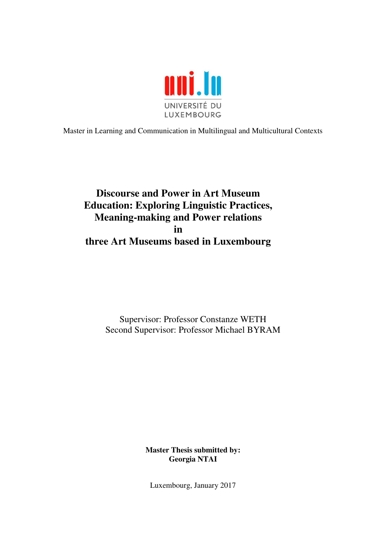

Master in Learning and Communication in Multilingual and Multicultural Contexts

# **Discourse and Power in Art Museum Education: Exploring Linguistic Practices, Meaning-making and Power relations in three Art Museums based in Luxembourg**

Supervisor: Professor Constanze WETH Second Supervisor: Professor Michael BYRAM

> **Master Thesis submitted by: Georgia NTAI**

Luxembourg, January 2017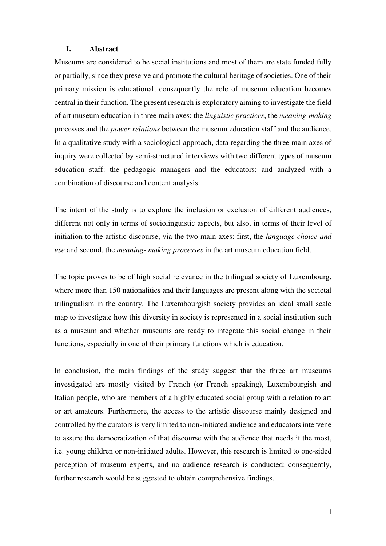# **I. Abstract**

Museums are considered to be social institutions and most of them are state funded fully or partially, since they preserve and promote the cultural heritage of societies. One of their primary mission is educational, consequently the role of museum education becomes central in their function. The present research is exploratory aiming to investigate the field of art museum education in three main axes: the *linguistic practices*, the *meaning-making* processes and the *power relations* between the museum education staff and the audience. In a qualitative study with a sociological approach, data regarding the three main axes of inquiry were collected by semi-structured interviews with two different types of museum education staff: the pedagogic managers and the educators; and analyzed with a combination of discourse and content analysis.

The intent of the study is to explore the inclusion or exclusion of different audiences, different not only in terms of sociolinguistic aspects, but also, in terms of their level of initiation to the artistic discourse, via the two main axes: first, the *language choice and use* and second, the *meaning- making processes* in the art museum education field.

The topic proves to be of high social relevance in the trilingual society of Luxembourg, where more than 150 nationalities and their languages are present along with the societal trilingualism in the country. The Luxembourgish society provides an ideal small scale map to investigate how this diversity in society is represented in a social institution such as a museum and whether museums are ready to integrate this social change in their functions, especially in one of their primary functions which is education.

In conclusion, the main findings of the study suggest that the three art museums investigated are mostly visited by French (or French speaking), Luxembourgish and Italian people, who are members of a highly educated social group with a relation to art or art amateurs. Furthermore, the access to the artistic discourse mainly designed and controlled by the curators is very limited to non-initiated audience and educators intervene to assure the democratization of that discourse with the audience that needs it the most, i.e. young children or non-initiated adults. However, this research is limited to one-sided perception of museum experts, and no audience research is conducted; consequently, further research would be suggested to obtain comprehensive findings.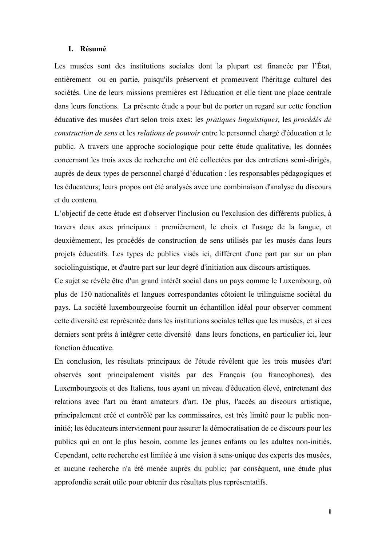## **I. Résumé**

Les musées sont des institutions sociales dont la plupart est financée par l'État, entièrement ou en partie, puisqu'ils préservent et promeuvent l'héritage culturel des sociétés. Une de leurs missions premières est l'éducation et elle tient une place centrale dans leurs fonctions. La présente étude a pour but de porter un regard sur cette fonction éducative des musées d'art selon trois axes: les *pratiques linguistiques*, les *procédés de construction de sens* et les *relations de pouvoir* entre le personnel chargé d'éducation et le public. A travers une approche sociologique pour cette étude qualitative, les données concernant les trois axes de recherche ont été collectées par des entretiens semi-dirigés, auprès de deux types de personnel chargé d'éducation : les responsables pédagogiques et les éducateurs; leurs propos ont été analysés avec une combinaison d'analyse du discours et du contenu*.*

L'objectif de cette étude est d'observer l'inclusion ou l'exclusion des différents publics, à travers deux axes principaux : premièrement, le choix et l'usage de la langue, et deuxièmement, les procédés de construction de sens utilisés par les musés dans leurs projets éducatifs. Les types de publics visés ici, diffèrent d'une part par sur un plan sociolinguistique, et d'autre part sur leur degré d'initiation aux discours artistiques.

Ce sujet se révèle être d'un grand intérêt social dans un pays comme le Luxembourg, où plus de 150 nationalités et langues correspondantes côtoient le trilinguisme sociétal du pays. La société luxembourgeoise fournit un échantillon idéal pour observer comment cette diversité est représentée dans les institutions sociales telles que les musées, et si ces derniers sont prêts à intégrer cette diversité dans leurs fonctions, en particulier ici, leur fonction éducative.

En conclusion, les résultats principaux de l'étude révèlent que les trois musées d'art observés sont principalement visités par des Français (ou francophones), des Luxembourgeois et des Italiens, tous ayant un niveau d'éducation élevé, entretenant des relations avec l'art ou étant amateurs d'art. De plus, l'accès au discours artistique, principalement créé et contrôlé par les commissaires, est très limité pour le public noninitié; les éducateurs interviennent pour assurer la démocratisation de ce discours pour les publics qui en ont le plus besoin, comme les jeunes enfants ou les adultes non-initiés. Cependant, cette recherche est limitée à une vision à sens-unique des experts des musées, et aucune recherche n'a été menée auprès du public; par conséquent, une étude plus approfondie serait utile pour obtenir des résultats plus représentatifs.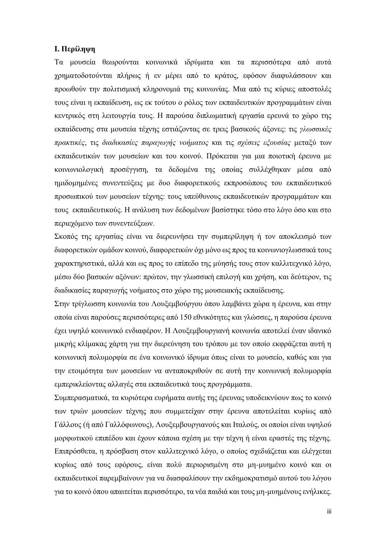# **I. Περίληψη**

Τα μουσεία θεωρούνται κοινωνικά ιδρύματα και τα περισσότερα από αυτά χρηματοδοτούνται πλήρως ή εν μέρει από το κράτος, εφόσον διαφυλάσσουν και προωθούν την πολιτισμική κληρονομιά της κοινωνίας. Μια από τις κύριες αποστολές τους είναι η εκπαίδευση, ως εκ τούτου ο ρόλος των εκπαιδευτικών προγραμμάτων είναι κεντρικός στη λειτουργία τους. Η παρούσα διπλωματική εργασία ερευνά το χώρο της εκπαίδευσης στα μουσεία τέχνης εστιάζοντας σε τρεις βασικούς άξονες: τις *γλωσσικές πρακτικές*, τις *διαδικασίες παραγωγής νοήματος* και τις *σχέσεις εξουσίας* μεταξύ των εκπαιδευτικών των μουσείων και του κοινού. Πρόκειται για μια ποιοτική έρευνα με κοινωνιολογική προσέγγιση, τα δεδομένα της οποίας συλλέχθηκαν μέσα από ημιδομημένες συνεντεύξεις με δυο διαφορετικούς εκπροσώπους του εκπαιδευτικού προσωπικού των μουσείων τέχνης: τους υπεύθυνους εκπαιδευτικών προγραμμάτων και τους εκπαιδευτικούς. Η ανάλυση των δεδομένων βασίστηκε τόσο στο λόγο όσο και στο περιεχόμενο των συνεντεύξεων.

Σκοπός της εργασίας είναι να διερευνήσει την συμπερίληψη ή τον αποκλεισμό των διαφορετικών ομάδων κοινού, διαφορετικών όχι μόνο ως προς τα κοινωνιογλωσσικά τους χαρακτηριστικά, αλλά και ως προς το επίπεδο της μύησής τους στον καλλιτεχνικό λόγο, μέσω δύο βασικών αξόνων: πρώτον, την γλωσσική επιλογή και χρήση, και δεύτερον, τις διαδικασίες παραγωγής νοήματος στο χώρο της μουσειακής εκπαίδευσης.

Στην τρίγλωσση κοινωνία του Λουξεμβούργου όπου λαμβάνει χώρα η έρευνα, και στην οποία είναι παρούσες περισσότερες από 150 εθνικότητες και γλώσσες, η παρούσα έρευνα έχει υψηλό κοινωνικό ενδιαφέρον. Η Λουξεμβουργιανή κοινωνία αποτελεί έναν ιδανικό μικρής κλίμακας χάρτη για την διερεύνηση του τρόπου με τον οποίο εκφράζεται αυτή η κοινωνική πολυμορφία σε ένα κοινωνικό ίδρυμα όπως είναι το μουσείο, καθώς και για την ετοιμότητα των μουσείων να ανταποκριθούν σε αυτή την κοινωνική πολυμορφία εμπερικλείοντας αλλαγές στα εκπαιδευτικά τους προγράμματα.

Συμπερασματικά, τα κυριότερα ευρήματα αυτής της έρευνας υποδεικνύουν πως το κοινό των τριών μουσείων τέχνης που συμμετείχαν στην έρευνα αποτελείται κυρίως από Γάλλους (ή από Γαλλόφωνους), Λουξεμβουργιανούς και Ιταλούς, οι οποίοι είναι υψηλού μορφωτικού επιπέδου και έχουν κάποια σχέση με την τέχνη ή είναι εραστές της τέχνης. Επιπρόσθετα, η πρόσβαση στον καλλιτεχνικό λόγο, ο οποίος σχεδιάζεται και ελέγχεται κυρίως από τους εφόρους, είναι πολύ περιορισμένη στο μη-μυημένο κοινό και οι εκπαιδευτικοί παρεμβαίνουν για να διασφαλίσουν την εκδημοκρατισμό αυτού του λόγου για το κοινό όπου απαιτείται περισσότερο, τα νέα παιδιά και τους μη-μυημένους ενήλικες.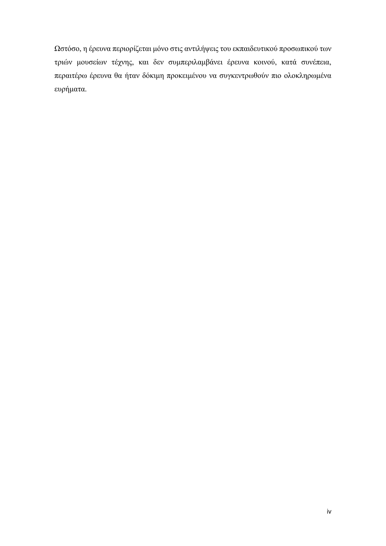Ωστόσο, η έρευνα περιορίζεται μόνο στις αντιλήψεις του εκπαιδευτικού προσωπικού των τριών μουσείων τέχνης, και δεν συμπεριλαμβάνει έρευνα κοινού, κατά συνέπεια, περαιτέρω έρευνα θα ήταν δόκιμη προκειμένου να συγκεντρωθούν πιο ολοκληρωμένα ευρήματα.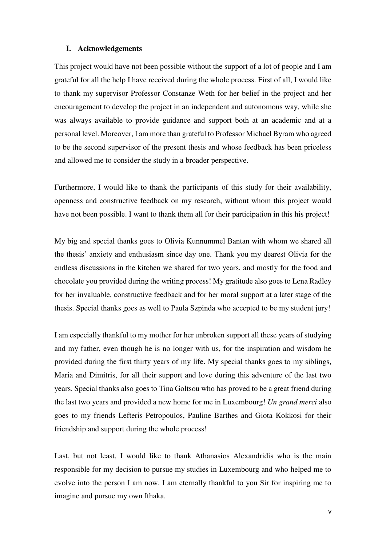# **I. Acknowledgements**

This project would have not been possible without the support of a lot of people and I am grateful for all the help I have received during the whole process. First of all, I would like to thank my supervisor Professor Constanze Weth for her belief in the project and her encouragement to develop the project in an independent and autonomous way, while she was always available to provide guidance and support both at an academic and at a personal level. Moreover, I am more than grateful to Professor Michael Byram who agreed to be the second supervisor of the present thesis and whose feedback has been priceless and allowed me to consider the study in a broader perspective.

Furthermore, I would like to thank the participants of this study for their availability, openness and constructive feedback on my research, without whom this project would have not been possible. I want to thank them all for their participation in this his project!

My big and special thanks goes to Olivia Kunnummel Bantan with whom we shared all the thesis' anxiety and enthusiasm since day one. Thank you my dearest Olivia for the endless discussions in the kitchen we shared for two years, and mostly for the food and chocolate you provided during the writing process! My gratitude also goes to Lena Radley for her invaluable, constructive feedback and for her moral support at a later stage of the thesis. Special thanks goes as well to Paula Szpinda who accepted to be my student jury!

I am especially thankful to my mother for her unbroken support all these years of studying and my father, even though he is no longer with us, for the inspiration and wisdom he provided during the first thirty years of my life. My special thanks goes to my siblings, Maria and Dimitris, for all their support and love during this adventure of the last two years. Special thanks also goes to Tina Goltsou who has proved to be a great friend during the last two years and provided a new home for me in Luxembourg! *Un grand merci* also goes to my friends Lefteris Petropoulos, Pauline Barthes and Giota Kokkosi for their friendship and support during the whole process!

Last, but not least, I would like to thank Athanasios Alexandridis who is the main responsible for my decision to pursue my studies in Luxembourg and who helped me to evolve into the person I am now. I am eternally thankful to you Sir for inspiring me to imagine and pursue my own Ithaka.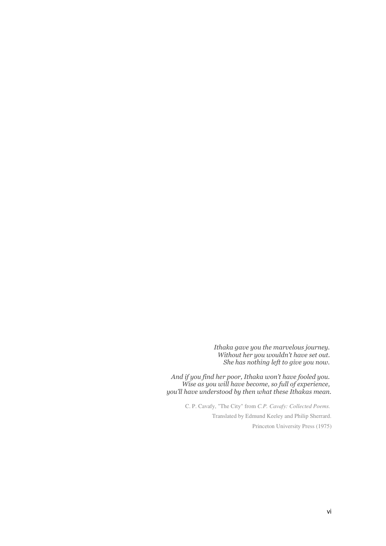*Ithaka gave you the marvelous journey. Without her you wouldn't have set out. She has nothing left to give you now.* 

*And if you find her poor, Ithaka won't have fooled you. Wise as you will have become, so full of experience, you'll have understood by then what these Ithakas mean.*

> C. P. Cavafy, "The City" from *C.P. Cavafy: Collected Poems.*  Translated by Edmund Keeley and Philip Sherrard. Princeton University Press (1975)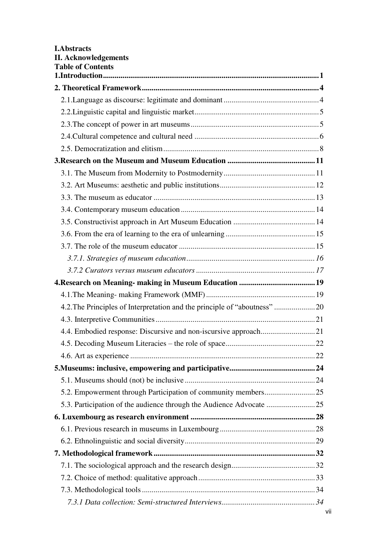| <b>I.Abstracts</b><br><b>II. Acknowledgements</b><br><b>Table of Contents</b> |  |
|-------------------------------------------------------------------------------|--|
|                                                                               |  |
|                                                                               |  |
|                                                                               |  |
|                                                                               |  |
|                                                                               |  |
|                                                                               |  |
|                                                                               |  |
|                                                                               |  |
|                                                                               |  |
|                                                                               |  |
|                                                                               |  |
|                                                                               |  |
|                                                                               |  |
|                                                                               |  |
|                                                                               |  |
|                                                                               |  |
|                                                                               |  |
|                                                                               |  |
| 4.2. The Principles of Interpretation and the principle of "aboutness"  20    |  |
|                                                                               |  |
|                                                                               |  |
|                                                                               |  |
|                                                                               |  |
|                                                                               |  |
|                                                                               |  |
|                                                                               |  |
| 5.3. Participation of the audience through the Audience Advocate 25           |  |
|                                                                               |  |
|                                                                               |  |
|                                                                               |  |
|                                                                               |  |
|                                                                               |  |
|                                                                               |  |
|                                                                               |  |
|                                                                               |  |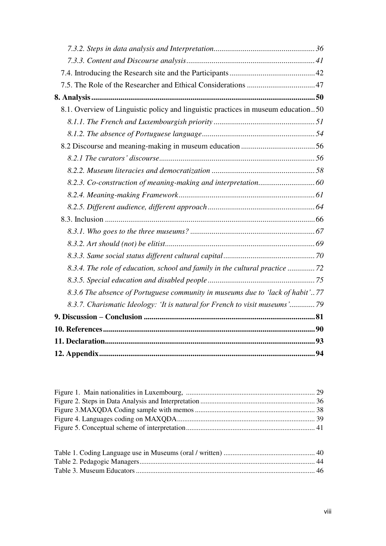| 8.1. Overview of Linguistic policy and linguistic practices in museum education50 |  |
|-----------------------------------------------------------------------------------|--|
|                                                                                   |  |
|                                                                                   |  |
|                                                                                   |  |
|                                                                                   |  |
|                                                                                   |  |
|                                                                                   |  |
|                                                                                   |  |
|                                                                                   |  |
|                                                                                   |  |
|                                                                                   |  |
|                                                                                   |  |
|                                                                                   |  |
| 8.3.4. The role of education, school and family in the cultural practice 72       |  |
|                                                                                   |  |
| 8.3.6 The absence of Portuguese community in museums due to 'lack of habit'77     |  |
| 8.3.7. Charismatic Ideology: 'It is natural for French to visit museums'79        |  |
|                                                                                   |  |
|                                                                                   |  |
|                                                                                   |  |
|                                                                                   |  |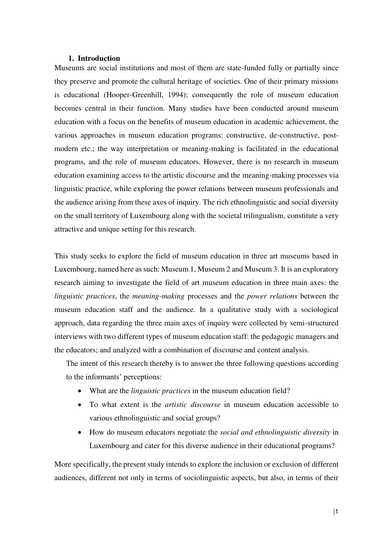## <span id="page-9-0"></span>**1. Introduction**

Museums are social institutions and most of them are state-funded fully or partially since they preserve and promote the cultural heritage of societies. One of their primary missions is educational (Hooper-Greenhill, 1994); consequently the role of museum education becomes central in their function. Many studies have been conducted around museum education with a focus on the benefits of museum education in academic achievement, the various approaches in museum education programs: constructive, de-constructive, postmodern etc.; the way interpretation or meaning-making is facilitated in the educational programs, and the role of museum educators. However, there is no research in museum education examining access to the artistic discourse and the meaning-making processes via linguistic practice, while exploring the power relations between museum professionals and the audience arising from these axes of inquiry. The rich ethnolinguistic and social diversity on the small territory of Luxembourg along with the societal trilingualism, constitute a very attractive and unique setting for this research.

This study seeks to explore the field of museum education in three art museums based in Luxembourg, named here as such: Museum 1, Museum 2 and Museum 3. It is an exploratory research aiming to investigate the field of art museum education in three main axes: the *linguistic practices*, the *meaning-making* processes and the *power relations* between the museum education staff and the audience. In a qualitative study with a sociological approach, data regarding the three main axes of inquiry were collected by semi-structured interviews with two different types of museum education staff: the pedagogic managers and the educators; and analyzed with a combination of discourse and content analysis.

The intent of this research thereby is to answer the three following questions according to the informants' perceptions:

- What are the *linguistic practices* in the museum education field?
- To what extent is the *artistic discourse* in museum education accessible to various ethnolinguistic and social groups?
- How do museum educators negotiate the *social and ethnolinguistic diversity* in Luxembourg and cater for this diverse audience in their educational programs?

More specifically, the present study intends to explore the inclusion or exclusion of different audiences, different not only in terms of sociolinguistic aspects, but also, in terms of their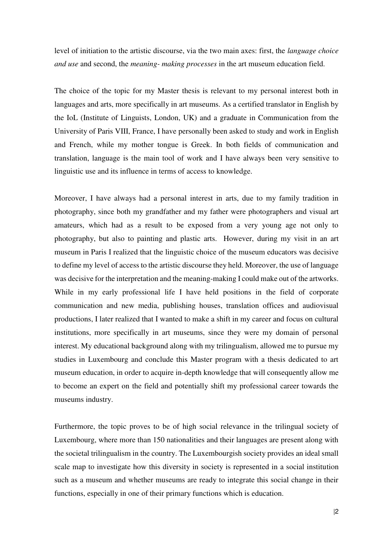level of initiation to the artistic discourse, via the two main axes: first, the *language choice and use* and second, the *meaning- making processes* in the art museum education field.

The choice of the topic for my Master thesis is relevant to my personal interest both in languages and arts, more specifically in art museums. As a certified translator in English by the IoL (Institute of Linguists, London, UK) and a graduate in Communication from the University of Paris VIII, France, I have personally been asked to study and work in English and French, while my mother tongue is Greek. In both fields of communication and translation, language is the main tool of work and I have always been very sensitive to linguistic use and its influence in terms of access to knowledge.

Moreover, I have always had a personal interest in arts, due to my family tradition in photography, since both my grandfather and my father were photographers and visual art amateurs, which had as a result to be exposed from a very young age not only to photography, but also to painting and plastic arts. However, during my visit in an art museum in Paris I realized that the linguistic choice of the museum educators was decisive to define my level of access to the artistic discourse they held. Moreover, the use of language was decisive for the interpretation and the meaning-making I could make out of the artworks. While in my early professional life I have held positions in the field of corporate communication and new media, publishing houses, translation offices and audiovisual productions, I later realized that I wanted to make a shift in my career and focus on cultural institutions, more specifically in art museums, since they were my domain of personal interest. My educational background along with my trilingualism, allowed me to pursue my studies in Luxembourg and conclude this Master program with a thesis dedicated to art museum education, in order to acquire in-depth knowledge that will consequently allow me to become an expert on the field and potentially shift my professional career towards the museums industry.

Furthermore, the topic proves to be of high social relevance in the trilingual society of Luxembourg, where more than 150 nationalities and their languages are present along with the societal trilingualism in the country. The Luxembourgish society provides an ideal small scale map to investigate how this diversity in society is represented in a social institution such as a museum and whether museums are ready to integrate this social change in their functions, especially in one of their primary functions which is education.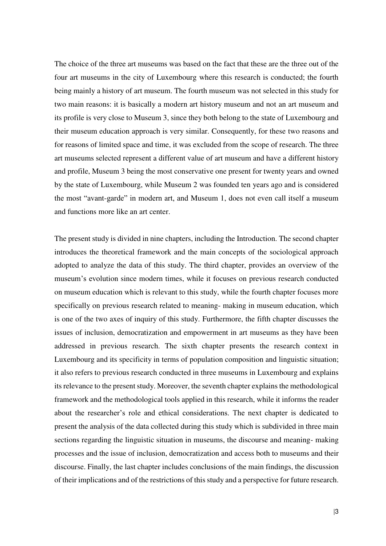The choice of the three art museums was based on the fact that these are the three out of the four art museums in the city of Luxembourg where this research is conducted; the fourth being mainly a history of art museum. The fourth museum was not selected in this study for two main reasons: it is basically a modern art history museum and not an art museum and its profile is very close to Museum 3, since they both belong to the state of Luxembourg and their museum education approach is very similar. Consequently, for these two reasons and for reasons of limited space and time, it was excluded from the scope of research. The three art museums selected represent a different value of art museum and have a different history and profile, Museum 3 being the most conservative one present for twenty years and owned by the state of Luxembourg, while Museum 2 was founded ten years ago and is considered the most "avant-garde" in modern art, and Museum 1, does not even call itself a museum and functions more like an art center.

The present study is divided in nine chapters, including the Introduction. The second chapter introduces the theoretical framework and the main concepts of the sociological approach adopted to analyze the data of this study. The third chapter, provides an overview of the museum's evolution since modern times, while it focuses on previous research conducted on museum education which is relevant to this study, while the fourth chapter focuses more specifically on previous research related to meaning- making in museum education, which is one of the two axes of inquiry of this study. Furthermore, the fifth chapter discusses the issues of inclusion, democratization and empowerment in art museums as they have been addressed in previous research. The sixth chapter presents the research context in Luxembourg and its specificity in terms of population composition and linguistic situation; it also refers to previous research conducted in three museums in Luxembourg and explains its relevance to the present study. Moreover, the seventh chapter explains the methodological framework and the methodological tools applied in this research, while it informs the reader about the researcher's role and ethical considerations. The next chapter is dedicated to present the analysis of the data collected during this study which is subdivided in three main sections regarding the linguistic situation in museums, the discourse and meaning- making processes and the issue of inclusion, democratization and access both to museums and their discourse. Finally, the last chapter includes conclusions of the main findings, the discussion of their implications and of the restrictions of this study and a perspective for future research.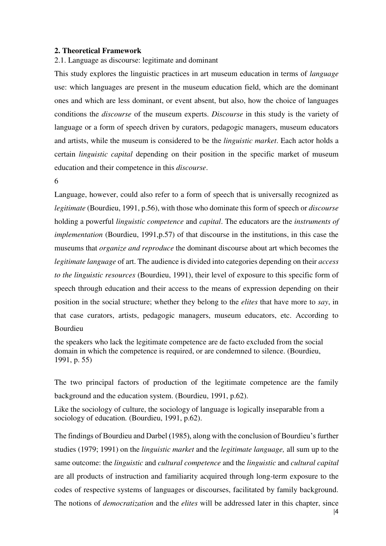# <span id="page-12-0"></span>**2. Theoretical Framework**

<span id="page-12-1"></span>2.1. Language as discourse: legitimate and dominant

This study explores the linguistic practices in art museum education in terms of *language* use: which languages are present in the museum education field, which are the dominant ones and which are less dominant, or event absent, but also, how the choice of languages conditions the *discourse* of the museum experts. *Discourse* in this study is the variety of language or a form of speech driven by curators, pedagogic managers, museum educators and artists, while the museum is considered to be the *linguistic market*. Each actor holds a certain *linguistic capital* depending on their position in the specific market of museum education and their competence in this *discourse*.

6

Language, however, could also refer to a form of speech that is universally recognized as *legitimate* (Bourdieu, 1991, p.56), with those who dominate this form of speech or *discourse*  holding a powerful *linguistic competence* and *capital*. The educators are the *instruments of implementation* (Bourdieu, 1991, p.57) of that discourse in the institutions, in this case the museums that *organize and reproduce* the dominant discourse about art which becomes the *legitimate language* of art. The audience is divided into categories depending on their *access to the linguistic resources* (Bourdieu, 1991), their level of exposure to this specific form of speech through education and their access to the means of expression depending on their position in the social structure; whether they belong to the *elites* that have more to *say*, in that case curators, artists, pedagogic managers, museum educators, etc. According to Bourdieu

the speakers who lack the legitimate competence are de facto excluded from the social domain in which the competence is required, or are condemned to silence. (Bourdieu, 1991, p. 55)

The two principal factors of production of the legitimate competence are the family background and the education system. (Bourdieu, 1991, p.62).

Like the sociology of culture, the sociology of language is logically inseparable from a sociology of education. (Bourdieu, 1991, p.62).

The findings of Bourdieu and Darbel (1985), along with the conclusion of Bourdieu's further studies (1979; 1991) on the *linguistic market* and the *legitimate language,* all sum up to the same outcome: the *linguistic* and *cultural competence* and the *linguistic* and *cultural capital*  are all products of instruction and familiarity acquired through long-term exposure to the codes of respective systems of languages or discourses, facilitated by family background. The notions of *democratization* and the *elites* will be addressed later in this chapter, since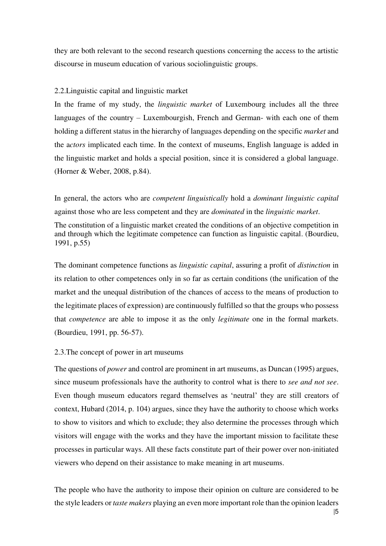they are both relevant to the second research questions concerning the access to the artistic discourse in museum education of various sociolinguistic groups.

## <span id="page-13-0"></span>2.2.Linguistic capital and linguistic market

In the frame of my study, the *linguistic market* of Luxembourg includes all the three languages of the country – Luxembourgish, French and German- with each one of them holding a different status in the hierarchy of languages depending on the specific *market* and the a*ctors* implicated each time. In the context of museums, English language is added in the linguistic market and holds a special position, since it is considered a global language. (Horner & Weber, 2008, p.84).

In general, the actors who are *competent linguistically* hold a *dominant linguistic capital*  against those who are less competent and they are *dominated* in the *linguistic market*.

The constitution of a linguistic market created the conditions of an objective competition in and through which the legitimate competence can function as linguistic capital. (Bourdieu, 1991, p.55)

The dominant competence functions as *linguistic capital*, assuring a profit of *distinction* in its relation to other competences only in so far as certain conditions (the unification of the market and the unequal distribution of the chances of access to the means of production to the legitimate places of expression) are continuously fulfilled so that the groups who possess that *competence* are able to impose it as the only *legitimate* one in the formal markets. (Bourdieu, 1991, pp. 56-57).

## <span id="page-13-1"></span>2.3.The concept of power in art museums

The questions of *power* and control are prominent in art museums, as Duncan (1995) argues, since museum professionals have the authority to control what is there to *see and not see*. Even though museum educators regard themselves as 'neutral' they are still creators of context, Hubard (2014, p. 104) argues, since they have the authority to choose which works to show to visitors and which to exclude; they also determine the processes through which visitors will engage with the works and they have the important mission to facilitate these processes in particular ways. All these facts constitute part of their power over non-initiated viewers who depend on their assistance to make meaning in art museums.

The people who have the authority to impose their opinion on culture are considered to be the style leaders or *taste makers* playing an even more important role than the opinion leaders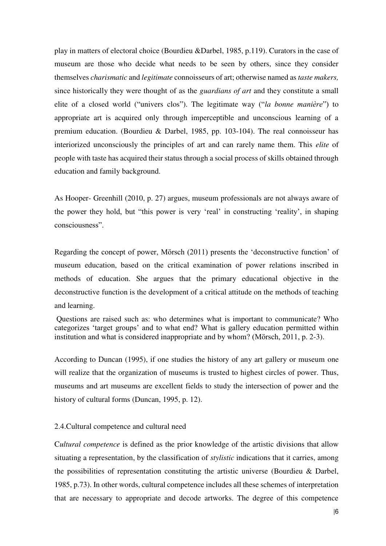play in matters of electoral choice (Bourdieu &Darbel, 1985, p.119). Curators in the case of museum are those who decide what needs to be seen by others, since they consider themselves *charismatic* and *legitimate* connoisseurs of art; otherwise named as *taste makers,*  since historically they were thought of as the *guardians of art* and they constitute a small elite of a closed world ("univers clos"). The legitimate way ("*la bonne manière*") to appropriate art is acquired only through imperceptible and unconscious learning of a premium education. (Bourdieu & Darbel, 1985, pp. 103-104). The real connoisseur has interiorized unconsciously the principles of art and can rarely name them. This *elite* of people with taste has acquired their status through a social process of skills obtained through education and family background.

As Hooper- Greenhill (2010, p. 27) argues, museum professionals are not always aware of the power they hold, but "this power is very 'real' in constructing 'reality', in shaping consciousness".

Regarding the concept of power, Mörsch (2011) presents the 'deconstructive function' of museum education, based on the critical examination of power relations inscribed in methods of education. She argues that the primary educational objective in the deconstructive function is the development of a critical attitude on the methods of teaching and learning.

 Questions are raised such as: who determines what is important to communicate? Who categorizes 'target groups' and to what end? What is gallery education permitted within institution and what is considered inappropriate and by whom? (Mörsch, 2011, p. 2-3).

According to Duncan (1995), if one studies the history of any art gallery or museum one will realize that the organization of museums is trusted to highest circles of power. Thus, museums and art museums are excellent fields to study the intersection of power and the history of cultural forms (Duncan, 1995, p. 12).

## <span id="page-14-0"></span>2.4.Cultural competence and cultural need

C*ultural competence* is defined as the prior knowledge of the artistic divisions that allow situating a representation, by the classification of *stylistic* indications that it carries, among the possibilities of representation constituting the artistic universe (Bourdieu & Darbel, 1985, p.73). In other words, cultural competence includes all these schemes of interpretation that are necessary to appropriate and decode artworks. The degree of this competence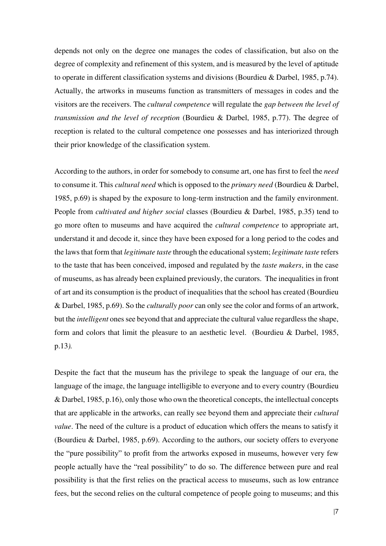depends not only on the degree one manages the codes of classification, but also on the degree of complexity and refinement of this system, and is measured by the level of aptitude to operate in different classification systems and divisions (Bourdieu & Darbel, 1985, p.74). Actually, the artworks in museums function as transmitters of messages in codes and the visitors are the receivers. The *cultural competence* will regulate the *gap between the level of transmission and the level of reception* (Bourdieu & Darbel, 1985, p.77). The degree of reception is related to the cultural competence one possesses and has interiorized through their prior knowledge of the classification system.

According to the authors, in order for somebody to consume art, one has first to feel the *need*  to consume it. This *cultural need* which is opposed to the *primary need* (Bourdieu & Darbel, 1985, p.69) is shaped by the exposure to long-term instruction and the family environment. People from *cultivated and higher social* classes (Bourdieu & Darbel, 1985, p.35) tend to go more often to museums and have acquired the *cultural competence* to appropriate art, understand it and decode it, since they have been exposed for a long period to the codes and the laws that form that *legitimate taste* through the educational system; *legitimate taste* refers to the taste that has been conceived, imposed and regulated by the *taste makers*, in the case of museums, as has already been explained previously, the curators. The inequalities in front of art and its consumption is the product of inequalities that the school has created (Bourdieu & Darbel, 1985, p.69). So the *culturally poor* can only see the color and forms of an artwork, but the *intelligent* ones see beyond that and appreciate the cultural value regardless the shape, form and colors that limit the pleasure to an aesthetic level. (Bourdieu & Darbel, 1985, p.13*).* 

Despite the fact that the museum has the privilege to speak the language of our era, the language of the image, the language intelligible to everyone and to every country (Bourdieu & Darbel, 1985, p.16), only those who own the theoretical concepts, the intellectual concepts that are applicable in the artworks, can really see beyond them and appreciate their *cultural value*. The need of the culture is a product of education which offers the means to satisfy it (Bourdieu & Darbel, 1985, p.69). According to the authors, our society offers to everyone the "pure possibility" to profit from the artworks exposed in museums, however very few people actually have the "real possibility" to do so. The difference between pure and real possibility is that the first relies on the practical access to museums, such as low entrance fees, but the second relies on the cultural competence of people going to museums; and this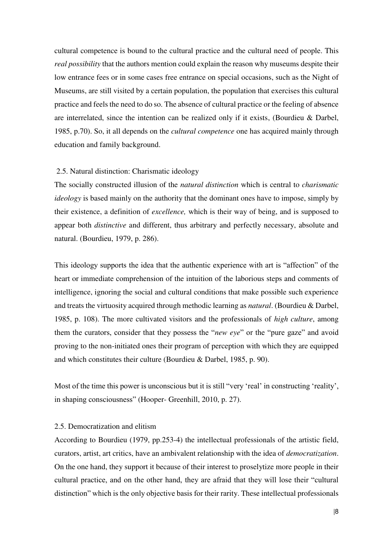cultural competence is bound to the cultural practice and the cultural need of people. This *real possibility* that the authors mention could explain the reason why museums despite their low entrance fees or in some cases free entrance on special occasions, such as the Night of Museums, are still visited by a certain population, the population that exercises this cultural practice and feels the need to do so. The absence of cultural practice or the feeling of absence are interrelated, since the intention can be realized only if it exists, (Bourdieu & Darbel, 1985, p.70). So, it all depends on the *cultural competence* one has acquired mainly through education and family background.

## 2.5. Natural distinction: Charismatic ideology

The socially constructed illusion of the *natural distinction* which is central to *charismatic ideology* is based mainly on the authority that the dominant ones have to impose, simply by their existence, a definition of *excellence,* which is their way of being, and is supposed to appear both *distinctive* and different, thus arbitrary and perfectly necessary, absolute and natural. (Bourdieu, 1979, p. 286).

This ideology supports the idea that the authentic experience with art is "affection" of the heart or immediate comprehension of the intuition of the laborious steps and comments of intelligence, ignoring the social and cultural conditions that make possible such experience and treats the virtuosity acquired through methodic learning as *natural*. (Bourdieu & Darbel, 1985, p. 108). The more cultivated visitors and the professionals of *high culture*, among them the curators, consider that they possess the "*new eye*" or the "pure gaze" and avoid proving to the non-initiated ones their program of perception with which they are equipped and which constitutes their culture (Bourdieu & Darbel, 1985, p. 90).

Most of the time this power is unconscious but it is still "very 'real' in constructing 'reality', in shaping consciousness" (Hooper- Greenhill, 2010, p. 27).

## <span id="page-16-0"></span>2.5. Democratization and elitism

According to Bourdieu (1979, pp.253-4) the intellectual professionals of the artistic field, curators, artist, art critics, have an ambivalent relationship with the idea of *democratization*. On the one hand, they support it because of their interest to proselytize more people in their cultural practice, and on the other hand, they are afraid that they will lose their "cultural distinction" which is the only objective basis for their rarity. These intellectual professionals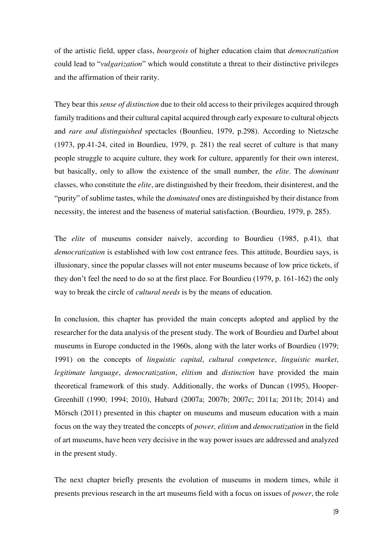of the artistic field, upper class, *bourgeois* of higher education claim that *democratization*  could lead to "*vulgarization*" which would constitute a threat to their distinctive privileges and the affirmation of their rarity.

They bear this *sense of distinction* due to their old access to their privileges acquired through family traditions and their cultural capital acquired through early exposure to cultural objects and *rare and distinguished* spectacles (Bourdieu, 1979, p.298). According to Nietzsche (1973, pp.41-24, cited in Bourdieu, 1979, p. 281) the real secret of culture is that many people struggle to acquire culture, they work for culture, apparently for their own interest, but basically, only to allow the existence of the small number, the *elite*. The *dominant*  classes, who constitute the *elite*, are distinguished by their freedom, their disinterest, and the "purity" of sublime tastes, while the *dominated* ones are distinguished by their distance from necessity, the interest and the baseness of material satisfaction. (Bourdieu, 1979, p. 285).

The *elite* of museums consider naively, according to Bourdieu (1985, p.41), that *democratization* is established with low cost entrance fees. This attitude, Bourdieu says, is illusionary, since the popular classes will not enter museums because of low price tickets, if they don't feel the need to do so at the first place. For Bourdieu (1979, p. 161-162) the only way to break the circle of *cultural needs* is by the means of education.

In conclusion, this chapter has provided the main concepts adopted and applied by the researcher for the data analysis of the present study. The work of Bourdieu and Darbel about museums in Europe conducted in the 1960s, along with the later works of Bourdieu (1979; 1991) on the concepts of *linguistic capital*, *cultural competence*, *linguistic market*, *legitimate language*, *democratization*, *elitism* and *distinction* have provided the main theoretical framework of this study. Additionally, the works of Duncan (1995), Hooper-Greenhill (1990; 1994; 2010), Hubard (2007a; 2007b; 2007c; 2011a; 2011b; 2014) and Mörsch (2011) presented in this chapter on museums and museum education with a main focus on the way they treated the concepts of *power, elitism* and *democratization* in the field of art museums, have been very decisive in the way power issues are addressed and analyzed in the present study.

The next chapter briefly presents the evolution of museums in modern times, while it presents previous research in the art museums field with a focus on issues of *power*, the role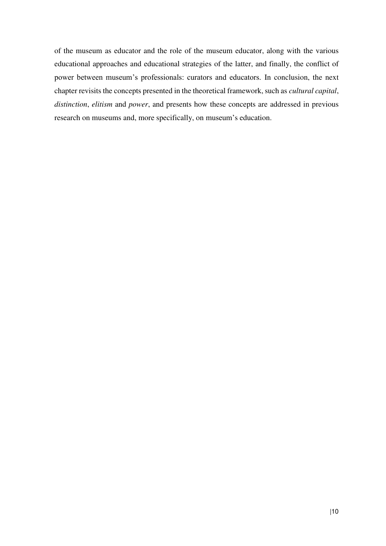of the museum as educator and the role of the museum educator, along with the various educational approaches and educational strategies of the latter, and finally, the conflict of power between museum's professionals: curators and educators. In conclusion, the next chapter revisits the concepts presented in the theoretical framework, such as *cultural capital*, *distinction*, *elitism* and *power*, and presents how these concepts are addressed in previous research on museums and, more specifically, on museum's education.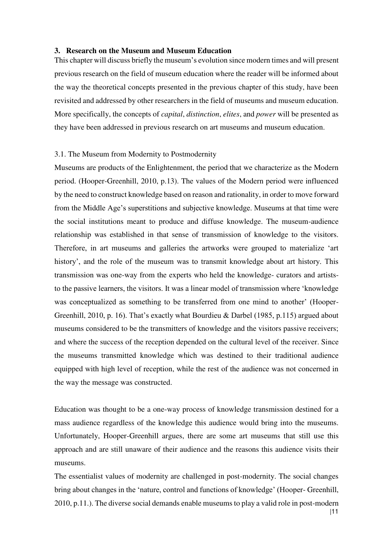#### <span id="page-19-0"></span>**3. Research on the Museum and Museum Education**

This chapter will discuss briefly the museum's evolution since modern times and will present previous research on the field of museum education where the reader will be informed about the way the theoretical concepts presented in the previous chapter of this study, have been revisited and addressed by other researchers in the field of museums and museum education. More specifically, the concepts of *capital*, *distinction*, *elites*, and *power* will be presented as they have been addressed in previous research on art museums and museum education.

## <span id="page-19-1"></span>3.1. The Museum from Modernity to Postmodernity

Museums are products of the Enlightenment, the period that we characterize as the Modern period. (Hooper-Greenhill, 2010, p.13). The values of the Modern period were influenced by the need to construct knowledge based on reason and rationality, in order to move forward from the Middle Age's superstitions and subjective knowledge. Museums at that time were the social institutions meant to produce and diffuse knowledge. The museum-audience relationship was established in that sense of transmission of knowledge to the visitors. Therefore, in art museums and galleries the artworks were grouped to materialize 'art history', and the role of the museum was to transmit knowledge about art history. This transmission was one-way from the experts who held the knowledge- curators and artiststo the passive learners, the visitors. It was a linear model of transmission where 'knowledge was conceptualized as something to be transferred from one mind to another' (Hooper-Greenhill, 2010, p. 16). That's exactly what Bourdieu & Darbel (1985, p.115) argued about museums considered to be the transmitters of knowledge and the visitors passive receivers; and where the success of the reception depended on the cultural level of the receiver. Since the museums transmitted knowledge which was destined to their traditional audience equipped with high level of reception, while the rest of the audience was not concerned in the way the message was constructed.

Education was thought to be a one-way process of knowledge transmission destined for a mass audience regardless of the knowledge this audience would bring into the museums. Unfortunately, Hooper-Greenhill argues, there are some art museums that still use this approach and are still unaware of their audience and the reasons this audience visits their museums.

The essentialist values of modernity are challenged in post-modernity. The social changes bring about changes in the 'nature, control and functions of knowledge' (Hooper- Greenhill, 2010, p.11.). The diverse social demands enable museums to play a valid role in post-modern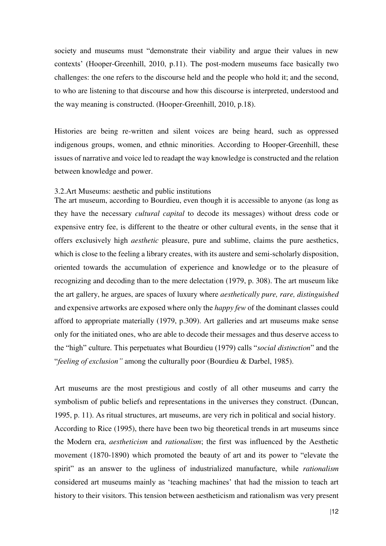society and museums must "demonstrate their viability and argue their values in new contexts' (Hooper-Greenhill, 2010, p.11). The post-modern museums face basically two challenges: the one refers to the discourse held and the people who hold it; and the second, to who are listening to that discourse and how this discourse is interpreted, understood and the way meaning is constructed. (Hooper-Greenhill, 2010, p.18).

Histories are being re-written and silent voices are being heard, such as oppressed indigenous groups, women, and ethnic minorities. According to Hooper-Greenhill, these issues of narrative and voice led to readapt the way knowledge is constructed and the relation between knowledge and power.

#### <span id="page-20-0"></span>3.2.Art Museums: aesthetic and public institutions

The art museum, according to Bourdieu, even though it is accessible to anyone (as long as they have the necessary *cultural capital* to decode its messages) without dress code or expensive entry fee, is different to the theatre or other cultural events, in the sense that it offers exclusively high *aesthetic* pleasure, pure and sublime, claims the pure aesthetics, which is close to the feeling a library creates, with its austere and semi-scholarly disposition, oriented towards the accumulation of experience and knowledge or to the pleasure of recognizing and decoding than to the mere delectation (1979, p. 308). The art museum like the art gallery, he argues, are spaces of luxury where *aesthetically pure, rare, distinguished*  and expensive artworks are exposed where only the *happy few* of the dominant classes could afford to appropriate materially (1979, p.309). Art galleries and art museums make sense only for the initiated ones, who are able to decode their messages and thus deserve access to the "high" culture. This perpetuates what Bourdieu (1979) calls "*social distinction*" and the "*feeling of exclusion"* among the culturally poor (Bourdieu & Darbel, 1985).

Art museums are the most prestigious and costly of all other museums and carry the symbolism of public beliefs and representations in the universes they construct. (Duncan, 1995, p. 11). As ritual structures, art museums, are very rich in political and social history. According to Rice (1995), there have been two big theoretical trends in art museums since the Modern era, *aestheticism* and *rationalism*; the first was influenced by the Aesthetic movement (1870-1890) which promoted the beauty of art and its power to "elevate the spirit" as an answer to the ugliness of industrialized manufacture, while *rationalism*  considered art museums mainly as 'teaching machines' that had the mission to teach art history to their visitors. This tension between aestheticism and rationalism was very present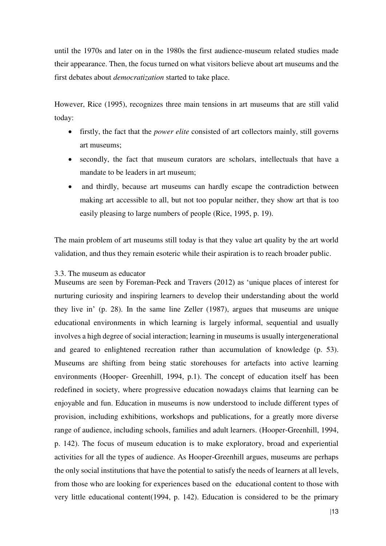until the 1970s and later on in the 1980s the first audience-museum related studies made their appearance. Then, the focus turned on what visitors believe about art museums and the first debates about *democratization* started to take place.

However, Rice (1995), recognizes three main tensions in art museums that are still valid today:

- firstly, the fact that the *power elite* consisted of art collectors mainly, still governs art museums;
- secondly, the fact that museum curators are scholars, intellectuals that have a mandate to be leaders in art museum;
- and thirdly, because art museums can hardly escape the contradiction between making art accessible to all, but not too popular neither, they show art that is too easily pleasing to large numbers of people (Rice, 1995, p. 19).

The main problem of art museums still today is that they value art quality by the art world validation, and thus they remain esoteric while their aspiration is to reach broader public.

# <span id="page-21-0"></span>3.3. The museum as educator

Museums are seen by Foreman-Peck and Travers (2012) as 'unique places of interest for nurturing curiosity and inspiring learners to develop their understanding about the world they live in' (p. 28). In the same line Zeller (1987), argues that museums are unique educational environments in which learning is largely informal, sequential and usually involves a high degree of social interaction; learning in museums is usually intergenerational and geared to enlightened recreation rather than accumulation of knowledge (p. 53). Museums are shifting from being static storehouses for artefacts into active learning environments (Hooper- Greenhill, 1994, p.1). The concept of education itself has been redefined in society, where progressive education nowadays claims that learning can be enjoyable and fun. Education in museums is now understood to include different types of provision, including exhibitions, workshops and publications, for a greatly more diverse range of audience, including schools, families and adult learners. (Hooper-Greenhill, 1994, p. 142). The focus of museum education is to make exploratory, broad and experiential activities for all the types of audience. As Hooper-Greenhill argues, museums are perhaps the only social institutions that have the potential to satisfy the needs of learners at all levels, from those who are looking for experiences based on the educational content to those with very little educational content(1994, p. 142). Education is considered to be the primary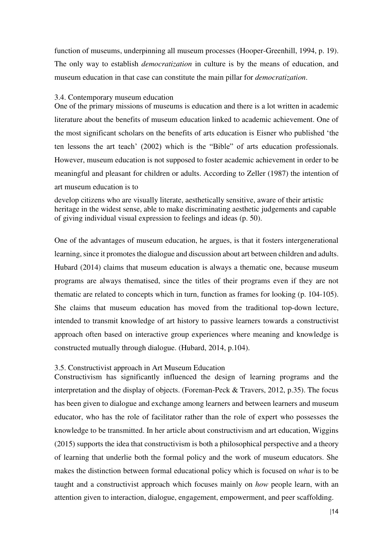function of museums, underpinning all museum processes (Hooper-Greenhill, 1994, p. 19). The only way to establish *democratization* in culture is by the means of education, and museum education in that case can constitute the main pillar for *democratization*.

#### <span id="page-22-0"></span>3.4. Contemporary museum education

One of the primary missions of museums is education and there is a lot written in academic literature about the benefits of museum education linked to academic achievement. One of the most significant scholars on the benefits of arts education is Eisner who published 'the ten lessons the art teach' (2002) which is the "Bible" of arts education professionals. However, museum education is not supposed to foster academic achievement in order to be meaningful and pleasant for children or adults. According to Zeller (1987) the intention of art museum education is to

develop citizens who are visually literate, aesthetically sensitive, aware of their artistic heritage in the widest sense, able to make discriminating aesthetic judgements and capable of giving individual visual expression to feelings and ideas (p. 50).

One of the advantages of museum education, he argues, is that it fosters intergenerational learning, since it promotes the dialogue and discussion about art between children and adults. Hubard (2014) claims that museum education is always a thematic one, because museum programs are always thematised, since the titles of their programs even if they are not thematic are related to concepts which in turn, function as frames for looking (p. 104-105). She claims that museum education has moved from the traditional top-down lecture, intended to transmit knowledge of art history to passive learners towards a constructivist approach often based on interactive group experiences where meaning and knowledge is constructed mutually through dialogue. (Hubard, 2014, p.104).

#### <span id="page-22-1"></span>3.5. Constructivist approach in Art Museum Education

Constructivism has significantly influenced the design of learning programs and the interpretation and the display of objects. (Foreman-Peck & Travers, 2012, p.35). The focus has been given to dialogue and exchange among learners and between learners and museum educator, who has the role of facilitator rather than the role of expert who possesses the knowledge to be transmitted. In her article about constructivism and art education, Wiggins (2015) supports the idea that constructivism is both a philosophical perspective and a theory of learning that underlie both the formal policy and the work of museum educators. She makes the distinction between formal educational policy which is focused on *what* is to be taught and a constructivist approach which focuses mainly on *how* people learn, with an attention given to interaction, dialogue, engagement, empowerment, and peer scaffolding.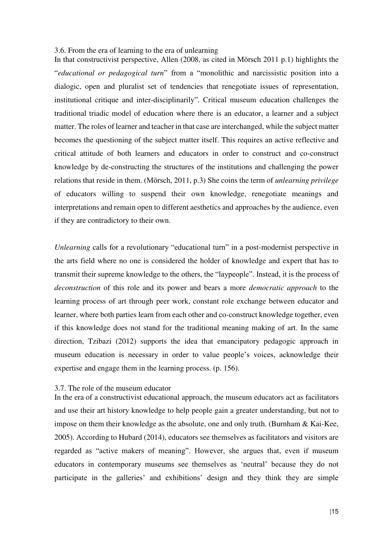#### <span id="page-23-0"></span>3.6. From the era of learning to the era of unlearning

In that constructivist perspective, Allen (2008, as cited in Mörsch 2011 p.1) highlights the "*educational or pedagogical turn*" from a "monolithic and narcissistic position into a dialogic, open and pluralist set of tendencies that renegotiate issues of representation, institutional critique and inter-disciplinarily". Critical museum education challenges the traditional triadic model of education where there is an educator, a learner and a subject matter. The roles of learner and teacher in that case are interchanged, while the subject matter becomes the questioning of the subject matter itself. This requires an active reflective and critical attitude of both learners and educators in order to construct and co-construct knowledge by de-constructing the structures of the institutions and challenging the power relations that reside in them. (Mörsch, 2011, p.3) She coins the term of *unlearning privilege*  of educators willing to suspend their own knowledge, renegotiate meanings and interpretations and remain open to different aesthetics and approaches by the audience, even if they are contradictory to their own.

*Unlearning* calls for a revolutionary "educational turn" in a post-modernist perspective in the arts field where no one is considered the holder of knowledge and expert that has to transmit their supreme knowledge to the others, the "laypeople". Instead, it is the process of *deconstruction* of this role and its power and bears a more *democratic approach* to the learning process of art through peer work, constant role exchange between educator and learner, where both parties learn from each other and co-construct knowledge together, even if this knowledge does not stand for the traditional meaning making of art. In the same direction, Tzibazi (2012) supports the idea that emancipatory pedagogic approach in museum education is necessary in order to value people's voices, acknowledge their expertise and engage them in the learning process. (p. 156).

### <span id="page-23-1"></span>3.7. The role of the museum educator

In the era of a constructivist educational approach, the museum educators act as facilitators and use their art history knowledge to help people gain a greater understanding, but not to impose on them their knowledge as the absolute, one and only truth. (Burnham & Kai-Kee, 2005). According to Hubard (2014), educators see themselves as facilitators and visitors are regarded as "active makers of meaning". However, she argues that, even if museum educators in contemporary museums see themselves as 'neutral' because they do not participate in the galleries' and exhibitions' design and they think they are simple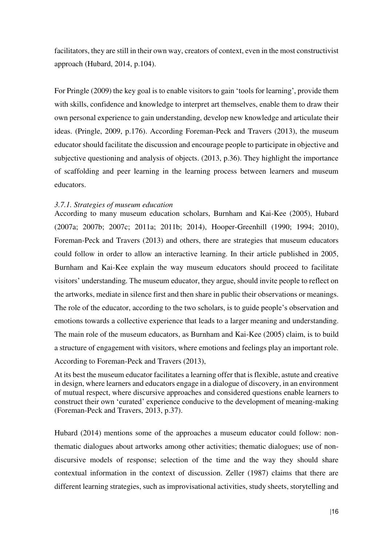facilitators, they are still in their own way, creators of context, even in the most constructivist approach (Hubard, 2014, p.104).

For Pringle (2009) the key goal is to enable visitors to gain 'tools for learning', provide them with skills, confidence and knowledge to interpret art themselves, enable them to draw their own personal experience to gain understanding, develop new knowledge and articulate their ideas. (Pringle, 2009, p.176). According Foreman-Peck and Travers (2013), the museum educator should facilitate the discussion and encourage people to participate in objective and subjective questioning and analysis of objects. (2013, p.36). They highlight the importance of scaffolding and peer learning in the learning process between learners and museum educators.

## <span id="page-24-0"></span>*3.7.1. Strategies of museum education*

According to many museum education scholars, Burnham and Kai-Kee (2005), Hubard (2007a; 2007b; 2007c; 2011a; 2011b; 2014), Hooper-Greenhill (1990; 1994; 2010), Foreman-Peck and Travers (2013) and others, there are strategies that museum educators could follow in order to allow an interactive learning. In their article published in 2005, Burnham and Kai-Kee explain the way museum educators should proceed to facilitate visitors' understanding. The museum educator, they argue, should invite people to reflect on the artworks, mediate in silence first and then share in public their observations or meanings. The role of the educator, according to the two scholars, is to guide people's observation and emotions towards a collective experience that leads to a larger meaning and understanding. The main role of the museum educators, as Burnham and Kai-Kee (2005) claim, is to build a structure of engagement with visitors, where emotions and feelings play an important role. According to Foreman-Peck and Travers (2013),

At its best the museum educator facilitates a learning offer that is flexible, astute and creative in design, where learners and educators engage in a dialogue of discovery, in an environment of mutual respect, where discursive approaches and considered questions enable learners to construct their own 'curated' experience conducive to the development of meaning-making (Foreman-Peck and Travers, 2013, p.37).

Hubard (2014) mentions some of the approaches a museum educator could follow: nonthematic dialogues about artworks among other activities; thematic dialogues; use of nondiscursive models of response; selection of the time and the way they should share contextual information in the context of discussion. Zeller (1987) claims that there are different learning strategies, such as improvisational activities, study sheets, storytelling and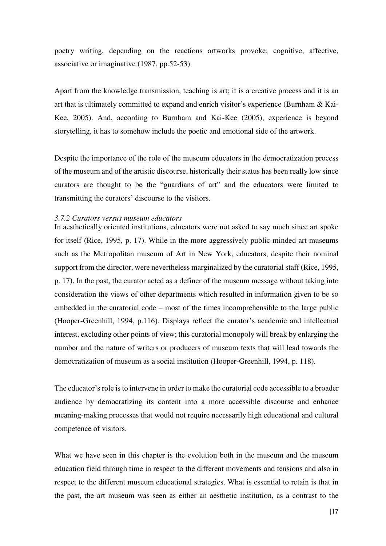poetry writing, depending on the reactions artworks provoke; cognitive, affective, associative or imaginative (1987, pp.52-53).

Apart from the knowledge transmission, teaching is art; it is a creative process and it is an art that is ultimately committed to expand and enrich visitor's experience (Burnham & Kai-Kee, 2005). And, according to Burnham and Kai-Kee (2005), experience is beyond storytelling, it has to somehow include the poetic and emotional side of the artwork.

Despite the importance of the role of the museum educators in the democratization process of the museum and of the artistic discourse, historically their status has been really low since curators are thought to be the "guardians of art" and the educators were limited to transmitting the curators' discourse to the visitors.

### <span id="page-25-0"></span>*3.7.2 Curators versus museum educators*

In aesthetically oriented institutions, educators were not asked to say much since art spoke for itself (Rice, 1995, p. 17). While in the more aggressively public-minded art museums such as the Metropolitan museum of Art in New York, educators, despite their nominal support from the director, were nevertheless marginalized by the curatorial staff (Rice, 1995, p. 17). In the past, the curator acted as a definer of the museum message without taking into consideration the views of other departments which resulted in information given to be so embedded in the curatorial code – most of the times incomprehensible to the large public (Hooper-Greenhill, 1994, p.116). Displays reflect the curator's academic and intellectual interest, excluding other points of view; this curatorial monopoly will break by enlarging the number and the nature of writers or producers of museum texts that will lead towards the democratization of museum as a social institution (Hooper-Greenhill, 1994, p. 118).

The educator's role is to intervene in order to make the curatorial code accessible to a broader audience by democratizing its content into a more accessible discourse and enhance meaning-making processes that would not require necessarily high educational and cultural competence of visitors.

What we have seen in this chapter is the evolution both in the museum and the museum education field through time in respect to the different movements and tensions and also in respect to the different museum educational strategies. What is essential to retain is that in the past, the art museum was seen as either an aesthetic institution, as a contrast to the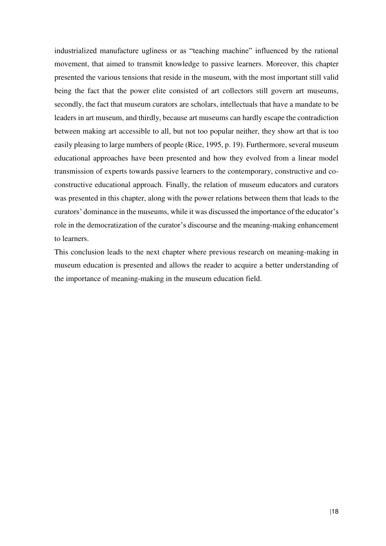industrialized manufacture ugliness or as "teaching machine" influenced by the rational movement, that aimed to transmit knowledge to passive learners. Moreover, this chapter presented the various tensions that reside in the museum, with the most important still valid being the fact that the power elite consisted of art collectors still govern art museums, secondly, the fact that museum curators are scholars, intellectuals that have a mandate to be leaders in art museum, and thirdly, because art museums can hardly escape the contradiction between making art accessible to all, but not too popular neither, they show art that is too easily pleasing to large numbers of people (Rice, 1995, p. 19). Furthermore, several museum educational approaches have been presented and how they evolved from a linear model transmission of experts towards passive learners to the contemporary, constructive and coconstructive educational approach. Finally, the relation of museum educators and curators was presented in this chapter, along with the power relations between them that leads to the curators' dominance in the museums, while it was discussed the importance of the educator's role in the democratization of the curator's discourse and the meaning-making enhancement to learners.

This conclusion leads to the next chapter where previous research on meaning-making in museum education is presented and allows the reader to acquire a better understanding of the importance of meaning-making in the museum education field.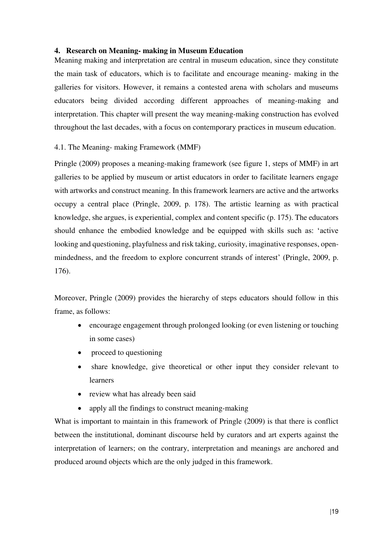# <span id="page-27-0"></span>**4. Research on Meaning- making in Museum Education**

Meaning making and interpretation are central in museum education, since they constitute the main task of educators, which is to facilitate and encourage meaning- making in the galleries for visitors. However, it remains a contested arena with scholars and museums educators being divided according different approaches of meaning-making and interpretation. This chapter will present the way meaning-making construction has evolved throughout the last decades, with a focus on contemporary practices in museum education.

# <span id="page-27-1"></span>4.1. The Meaning- making Framework (MMF)

Pringle (2009) proposes a meaning-making framework (see figure 1, steps of MMF) in art galleries to be applied by museum or artist educators in order to facilitate learners engage with artworks and construct meaning. In this framework learners are active and the artworks occupy a central place (Pringle, 2009, p. 178). The artistic learning as with practical knowledge, she argues, is experiential, complex and content specific (p. 175). The educators should enhance the embodied knowledge and be equipped with skills such as: 'active looking and questioning, playfulness and risk taking, curiosity, imaginative responses, openmindedness, and the freedom to explore concurrent strands of interest' (Pringle, 2009, p. 176).

Moreover, Pringle (2009) provides the hierarchy of steps educators should follow in this frame, as follows:

- encourage engagement through prolonged looking (or even listening or touching in some cases)
- proceed to questioning
- share knowledge, give theoretical or other input they consider relevant to learners
- review what has already been said
- apply all the findings to construct meaning-making

What is important to maintain in this framework of Pringle (2009) is that there is conflict between the institutional, dominant discourse held by curators and art experts against the interpretation of learners; on the contrary, interpretation and meanings are anchored and produced around objects which are the only judged in this framework.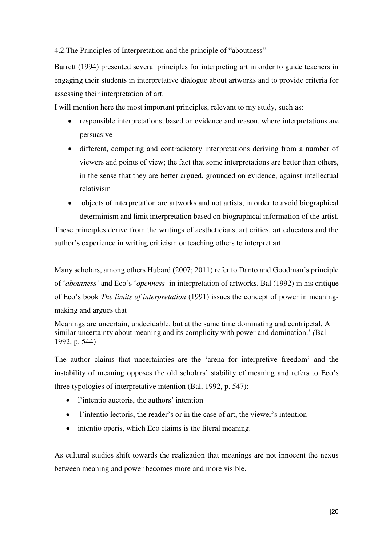<span id="page-28-0"></span>4.2.The Principles of Interpretation and the principle of "aboutness"

Barrett (1994) presented several principles for interpreting art in order to guide teachers in engaging their students in interpretative dialogue about artworks and to provide criteria for assessing their interpretation of art.

I will mention here the most important principles, relevant to my study, such as:

- responsible interpretations, based on evidence and reason, where interpretations are persuasive
- different, competing and contradictory interpretations deriving from a number of viewers and points of view; the fact that some interpretations are better than others, in the sense that they are better argued, grounded on evidence, against intellectual relativism
- objects of interpretation are artworks and not artists, in order to avoid biographical determinism and limit interpretation based on biographical information of the artist.

These principles derive from the writings of aestheticians, art critics, art educators and the author's experience in writing criticism or teaching others to interpret art.

Many scholars, among others Hubard (2007; 2011) refer to Danto and Goodman's principle of '*aboutness'* and Eco's '*openness'* in interpretation of artworks. Bal (1992) in his critique of Eco's book *The limits of interpretation* (1991) issues the concept of power in meaningmaking and argues that

Meanings are uncertain, undecidable, but at the same time dominating and centripetal. A similar uncertainty about meaning and its complicity with power and domination.' *(*Bal 1992, p. 544)

The author claims that uncertainties are the 'arena for interpretive freedom' and the instability of meaning opposes the old scholars' stability of meaning and refers to Eco's three typologies of interpretative intention (Bal, 1992, p. 547):

- l'intentio auctoris, the authors' intention
- l'intentio lectoris, the reader's or in the case of art, the viewer's intention
- intentio operis, which Eco claims is the literal meaning.

As cultural studies shift towards the realization that meanings are not innocent the nexus between meaning and power becomes more and more visible.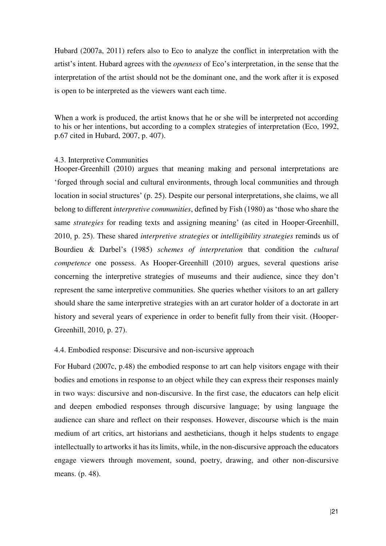Hubard (2007a, 2011) refers also to Eco to analyze the conflict in interpretation with the artist's intent. Hubard agrees with the *openness* of Eco's interpretation, in the sense that the interpretation of the artist should not be the dominant one, and the work after it is exposed is open to be interpreted as the viewers want each time.

When a work is produced, the artist knows that he or she will be interpreted not according to his or her intentions, but according to a complex strategies of interpretation (Eco, 1992, p.67 cited in Hubard, 2007, p. 407).

## <span id="page-29-0"></span>4.3. Interpretive Communities

Hooper-Greenhill (2010) argues that meaning making and personal interpretations are 'forged through social and cultural environments, through local communities and through location in social structures' (p. 25). Despite our personal interpretations, she claims, we all belong to different *interpretive communities*, defined by Fish (1980) as 'those who share the same *strategies* for reading texts and assigning meaning' (as cited in Hooper-Greenhill, 2010, p. 25). These shared *interpretive strategies* or *intelligibility strategies* reminds us of Bourdieu & Darbel's (1985) *schemes of interpretation* that condition the *cultural competence* one possess. As Hooper-Greenhill (2010) argues, several questions arise concerning the interpretive strategies of museums and their audience, since they don't represent the same interpretive communities. She queries whether visitors to an art gallery should share the same interpretive strategies with an art curator holder of a doctorate in art history and several years of experience in order to benefit fully from their visit. (Hooper-Greenhill, 2010, p. 27).

## <span id="page-29-1"></span>4.4. Embodied response: Discursive and non-iscursive approach

For Hubard (2007c, p.48) the embodied response to art can help visitors engage with their bodies and emotions in response to an object while they can express their responses mainly in two ways: discursive and non-discursive. In the first case, the educators can help elicit and deepen embodied responses through discursive language; by using language the audience can share and reflect on their responses. However, discourse which is the main medium of art critics, art historians and aestheticians, though it helps students to engage intellectually to artworks it has its limits, while, in the non-discursive approach the educators engage viewers through movement, sound, poetry, drawing, and other non-discursive means. (p. 48).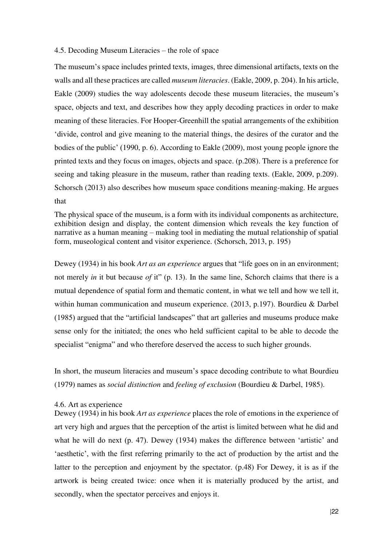## <span id="page-30-0"></span>4.5. Decoding Museum Literacies – the role of space

The museum's space includes printed texts, images, three dimensional artifacts, texts on the walls and all these practices are called *museum literacies*. (Eakle, 2009, p. 204). In his article, Eakle (2009) studies the way adolescents decode these museum literacies, the museum's space, objects and text, and describes how they apply decoding practices in order to make meaning of these literacies. For Hooper-Greenhill the spatial arrangements of the exhibition 'divide, control and give meaning to the material things, the desires of the curator and the bodies of the public' (1990, p. 6). According to Eakle (2009), most young people ignore the printed texts and they focus on images, objects and space. (p.208). There is a preference for seeing and taking pleasure in the museum, rather than reading texts. (Eakle, 2009, p.209). Schorsch (2013) also describes how museum space conditions meaning-making. He argues that

The physical space of the museum, is a form with its individual components as architecture, exhibition design and display, the content dimension which reveals the key function of narrative as a human meaning – making tool in mediating the mutual relationship of spatial form, museological content and visitor experience. (Schorsch, 2013, p. 195)

Dewey (1934) in his book *Art as an experience* argues that "life goes on in an environment; not merely *in* it but because *of* it" (p. 13). In the same line, Schorch claims that there is a mutual dependence of spatial form and thematic content, in what we tell and how we tell it, within human communication and museum experience. (2013, p.197). Bourdieu & Darbel (1985) argued that the "artificial landscapes" that art galleries and museums produce make sense only for the initiated; the ones who held sufficient capital to be able to decode the specialist "enigma" and who therefore deserved the access to such higher grounds.

In short, the museum literacies and museum's space decoding contribute to what Bourdieu (1979) names as *social distinction* and *feeling of exclusion* (Bourdieu & Darbel, 1985).

#### <span id="page-30-1"></span>4.6. Art as experience

Dewey (1934) in his book *Art as experience* places the role of emotions in the experience of art very high and argues that the perception of the artist is limited between what he did and what he will do next (p. 47). Dewey (1934) makes the difference between 'artistic' and 'aesthetic', with the first referring primarily to the act of production by the artist and the latter to the perception and enjoyment by the spectator. (p.48) For Dewey, it is as if the artwork is being created twice: once when it is materially produced by the artist, and secondly, when the spectator perceives and enjoys it.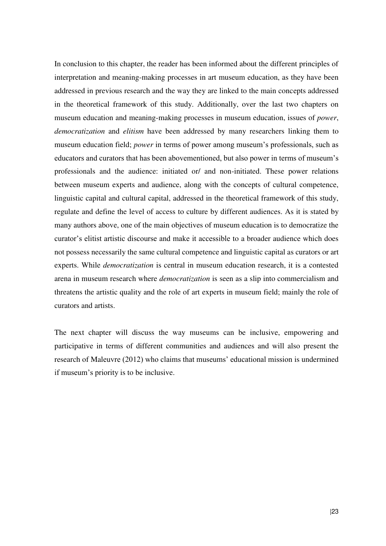In conclusion to this chapter, the reader has been informed about the different principles of interpretation and meaning-making processes in art museum education, as they have been addressed in previous research and the way they are linked to the main concepts addressed in the theoretical framework of this study. Additionally, over the last two chapters on museum education and meaning-making processes in museum education, issues of *power*, *democratization* and *elitism* have been addressed by many researchers linking them to museum education field; *power* in terms of power among museum's professionals, such as educators and curators that has been abovementioned, but also power in terms of museum's professionals and the audience: initiated or/ and non-initiated. These power relations between museum experts and audience, along with the concepts of cultural competence, linguistic capital and cultural capital, addressed in the theoretical framework of this study, regulate and define the level of access to culture by different audiences. As it is stated by many authors above, one of the main objectives of museum education is to democratize the curator's elitist artistic discourse and make it accessible to a broader audience which does not possess necessarily the same cultural competence and linguistic capital as curators or art experts. While *democratization* is central in museum education research, it is a contested arena in museum research where *democratization* is seen as a slip into commercialism and threatens the artistic quality and the role of art experts in museum field; mainly the role of curators and artists.

The next chapter will discuss the way museums can be inclusive, empowering and participative in terms of different communities and audiences and will also present the research of Maleuvre (2012) who claims that museums' educational mission is undermined if museum's priority is to be inclusive.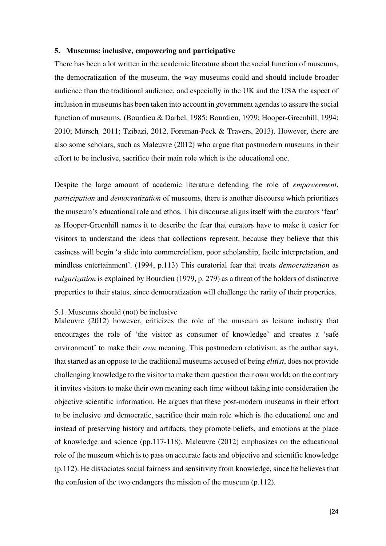## <span id="page-32-0"></span>**5. Museums: inclusive, empowering and participative**

There has been a lot written in the academic literature about the social function of museums, the democratization of the museum, the way museums could and should include broader audience than the traditional audience, and especially in the UK and the USA the aspect of inclusion in museums has been taken into account in government agendas to assure the social function of museums. (Bourdieu & Darbel, 1985; Bourdieu, 1979; Hooper-Greenhill, 1994; 2010; Mörsch*,* 2011; Tzibazi, 2012, Foreman-Peck & Travers, 2013). However, there are also some scholars, such as Maleuvre (2012) who argue that postmodern museums in their effort to be inclusive, sacrifice their main role which is the educational one.

Despite the large amount of academic literature defending the role of *empowerment*, *participation* and *democratization* of museums, there is another discourse which prioritizes the museum's educational role and ethos. This discourse aligns itself with the curators 'fear' as Hooper-Greenhill names it to describe the fear that curators have to make it easier for visitors to understand the ideas that collections represent, because they believe that this easiness will begin 'a slide into commercialism, poor scholarship, facile interpretation, and mindless entertainment'. (1994, p.113) This curatorial fear that treats *democratization* as *vulgarization* is explained by Bourdieu (1979, p. 279) as a threat of the holders of distinctive properties to their status, since democratization will challenge the rarity of their properties.

#### <span id="page-32-1"></span>5.1. Museums should (not) be inclusive

Maleuvre (2012) however, criticizes the role of the museum as leisure industry that encourages the role of 'the visitor as consumer of knowledge' and creates a 'safe environment' to make their *own* meaning. This postmodern relativism, as the author says, that started as an oppose to the traditional museums accused of being *elitist*, does not provide challenging knowledge to the visitor to make them question their own world; on the contrary it invites visitors to make their own meaning each time without taking into consideration the objective scientific information. He argues that these post-modern museums in their effort to be inclusive and democratic, sacrifice their main role which is the educational one and instead of preserving history and artifacts, they promote beliefs, and emotions at the place of knowledge and science (pp.117-118). Maleuvre (2012) emphasizes on the educational role of the museum which is to pass on accurate facts and objective and scientific knowledge (p.112). He dissociates social fairness and sensitivity from knowledge, since he believes that the confusion of the two endangers the mission of the museum (p.112).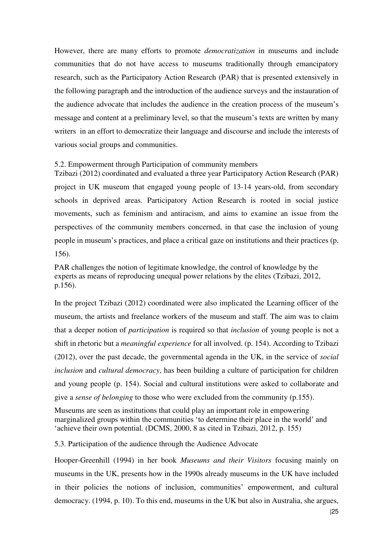However, there are many efforts to promote *democratization* in museums and include communities that do not have access to museums traditionally through emancipatory research, such as the Participatory Action Research (PAR) that is presented extensively in the following paragraph and the introduction of the audience surveys and the instauration of the audience advocate that includes the audience in the creation process of the museum's message and content at a preliminary level, so that the museum's texts are written by many writers in an effort to democratize their language and discourse and include the interests of various social groups and communities.

<span id="page-33-0"></span>5.2. Empowerment through Participation of community members

Tzibazi (2012) coordinated and evaluated a three year Participatory Action Research (PAR) project in UK museum that engaged young people of 13-14 years-old, from secondary schools in deprived areas. Participatory Action Research is rooted in social justice movements, such as feminism and antiracism, and aims to examine an issue from the perspectives of the community members concerned, in that case the inclusion of young people in museum's practices, and place a critical gaze on institutions and their practices (p. 156).

PAR challenges the notion of legitimate knowledge, the control of knowledge by the experts as means of reproducing unequal power relations by the elites (Tzibazi, 2012, p.156).

In the project Tzibazi (2012) coordinated were also implicated the Learning officer of the museum, the artists and freelance workers of the museum and staff. The aim was to claim that a deeper notion of *participation* is required so that *inclusion* of young people is not a shift in rhetoric but a *meaningful experience* for all involved. (p. 154). According to Tzibazi (2012), over the past decade, the governmental agenda in the UK, in the service of *social inclusion* and *cultural democracy*, has been building a culture of participation for children and young people (p. 154). Social and cultural institutions were asked to collaborate and give a *sense of belonging* to those who were excluded from the community (p.155).

Museums are seen as institutions that could play an important role in empowering marginalized groups within the communities 'to determine their place in the world' and 'achieve their own potential*.* (DCMS, 2000, 8 as cited in Tzibazi, 2012, p. 155)

<span id="page-33-1"></span>5.3. Participation of the audience through the Audience Advocate

Hooper-Greenhill (1994) in her book *Museums and their Visitors* focusing mainly on museums in the UK, presents how in the 1990s already museums in the UK have included in their policies the notions of inclusion, communities' empowerment, and cultural democracy. (1994, p. 10). To this end, museums in the UK but also in Australia, she argues,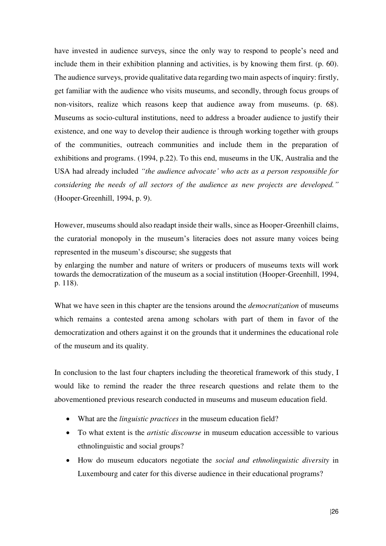have invested in audience surveys, since the only way to respond to people's need and include them in their exhibition planning and activities, is by knowing them first. (p. 60). The audience surveys, provide qualitative data regarding two main aspects of inquiry: firstly, get familiar with the audience who visits museums, and secondly, through focus groups of non-visitors, realize which reasons keep that audience away from museums. (p. 68). Museums as socio-cultural institutions, need to address a broader audience to justify their existence, and one way to develop their audience is through working together with groups of the communities, outreach communities and include them in the preparation of exhibitions and programs. (1994, p.22). To this end, museums in the UK, Australia and the USA had already included *"the audience advocate' who acts as a person responsible for considering the needs of all sectors of the audience as new projects are developed."*  (Hooper-Greenhill, 1994, p. 9).

However, museums should also readapt inside their walls, since as Hooper-Greenhill claims, the curatorial monopoly in the museum's literacies does not assure many voices being represented in the museum's discourse; she suggests that

by enlarging the number and nature of writers or producers of museums texts will work towards the democratization of the museum as a social institution (Hooper-Greenhill, 1994, p. 118).

What we have seen in this chapter are the tensions around the *democratization* of museums which remains a contested arena among scholars with part of them in favor of the democratization and others against it on the grounds that it undermines the educational role of the museum and its quality.

In conclusion to the last four chapters including the theoretical framework of this study, I would like to remind the reader the three research questions and relate them to the abovementioned previous research conducted in museums and museum education field.

- What are the *linguistic practices* in the museum education field?
- To what extent is the *artistic discourse* in museum education accessible to various ethnolinguistic and social groups?
- How do museum educators negotiate the *social and ethnolinguistic diversity* in Luxembourg and cater for this diverse audience in their educational programs?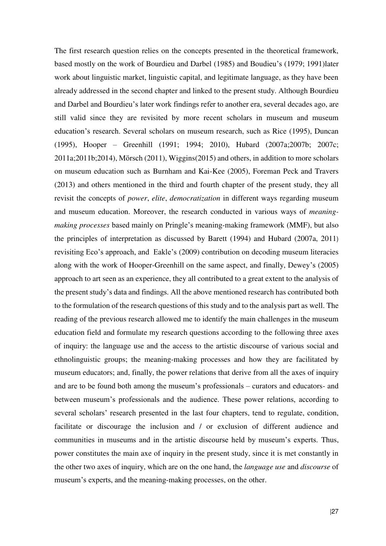The first research question relies on the concepts presented in the theoretical framework, based mostly on the work of Bourdieu and Darbel (1985) and Boudieu's (1979; 1991)later work about linguistic market, linguistic capital, and legitimate language, as they have been already addressed in the second chapter and linked to the present study. Although Bourdieu and Darbel and Bourdieu's later work findings refer to another era, several decades ago, are still valid since they are revisited by more recent scholars in museum and museum education's research. Several scholars on museum research, such as Rice (1995), Duncan (1995), Hooper – Greenhill (1991; 1994; 2010), Hubard (2007a;2007b; 2007c; 2011a;2011b;2014), Mörsch (2011), Wiggins(2015) and others, in addition to more scholars on museum education such as Burnham and Kai-Kee (2005), Foreman Peck and Travers (2013) and others mentioned in the third and fourth chapter of the present study, they all revisit the concepts of *power*, *elite*, *democratization* in different ways regarding museum and museum education. Moreover, the research conducted in various ways of *meaningmaking processes* based mainly on Pringle's meaning-making framework (MMF), but also the principles of interpretation as discussed by Barett (1994) and Hubard (2007a, 2011) revisiting Eco's approach, and Eakle's (2009) contribution on decoding museum literacies along with the work of Hooper-Greenhill on the same aspect, and finally, Dewey's (2005) approach to art seen as an experience, they all contributed to a great extent to the analysis of the present study's data and findings. All the above mentioned research has contributed both to the formulation of the research questions of this study and to the analysis part as well. The reading of the previous research allowed me to identify the main challenges in the museum education field and formulate my research questions according to the following three axes of inquiry: the language use and the access to the artistic discourse of various social and ethnolinguistic groups; the meaning-making processes and how they are facilitated by museum educators; and, finally, the power relations that derive from all the axes of inquiry and are to be found both among the museum's professionals – curators and educators- and between museum's professionals and the audience. These power relations, according to several scholars' research presented in the last four chapters, tend to regulate, condition, facilitate or discourage the inclusion and / or exclusion of different audience and communities in museums and in the artistic discourse held by museum's experts. Thus, power constitutes the main axe of inquiry in the present study, since it is met constantly in the other two axes of inquiry, which are on the one hand, the *language use* and *discourse* of museum's experts, and the meaning-making processes, on the other.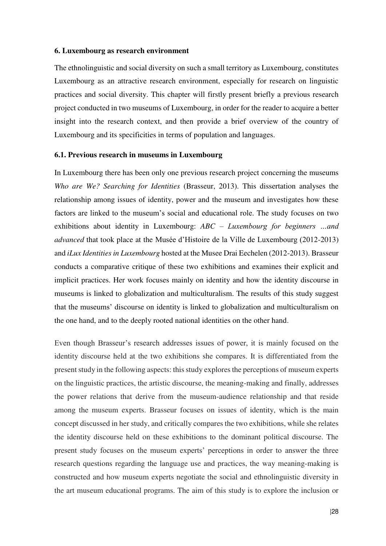#### **6. Luxembourg as research environment**

The ethnolinguistic and social diversity on such a small territory as Luxembourg, constitutes Luxembourg as an attractive research environment, especially for research on linguistic practices and social diversity. This chapter will firstly present briefly a previous research project conducted in two museums of Luxembourg, in order for the reader to acquire a better insight into the research context, and then provide a brief overview of the country of Luxembourg and its specificities in terms of population and languages.

### **6.1. Previous research in museums in Luxembourg**

In Luxembourg there has been only one previous research project concerning the museums *Who are We? Searching for Identities* (Brasseur, 2013). This dissertation analyses the relationship among issues of identity, power and the museum and investigates how these factors are linked to the museum's social and educational role. The study focuses on two exhibitions about identity in Luxembourg: *ABC – Luxembourg for beginners …and advanced* that took place at the Musée d'Histoire de la Ville de Luxembourg (2012-2013) and *iLux Identities in Luxembourg* hosted at the Musee Drai Eechelen (2012-2013). Brasseur conducts a comparative critique of these two exhibitions and examines their explicit and implicit practices. Her work focuses mainly on identity and how the identity discourse in museums is linked to globalization and multiculturalism. The results of this study suggest that the museums' discourse on identity is linked to globalization and multiculturalism on the one hand, and to the deeply rooted national identities on the other hand.

Even though Brasseur's research addresses issues of power, it is mainly focused on the identity discourse held at the two exhibitions she compares. It is differentiated from the present study in the following aspects: this study explores the perceptions of museum experts on the linguistic practices, the artistic discourse, the meaning-making and finally, addresses the power relations that derive from the museum-audience relationship and that reside among the museum experts. Brasseur focuses on issues of identity, which is the main concept discussed in her study, and critically compares the two exhibitions, while she relates the identity discourse held on these exhibitions to the dominant political discourse. The present study focuses on the museum experts' perceptions in order to answer the three research questions regarding the language use and practices, the way meaning-making is constructed and how museum experts negotiate the social and ethnolinguistic diversity in the art museum educational programs. The aim of this study is to explore the inclusion or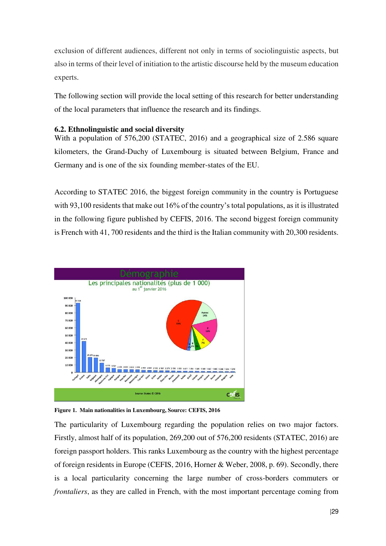exclusion of different audiences, different not only in terms of sociolinguistic aspects, but also in terms of their level of initiation to the artistic discourse held by the museum education experts.

The following section will provide the local setting of this research for better understanding of the local parameters that influence the research and its findings.

# **6.2. Ethnolinguistic and social diversity**

With a population of 576,200 (STATEC, 2016) and a geographical size of 2.586 square kilometers, the Grand-Duchy of Luxembourg is situated between Belgium, France and Germany and is one of the six founding member-states of the EU.

According to STATEC 2016, the biggest foreign community in the country is Portuguese with 93,100 residents that make out 16% of the country's total populations, as it is illustrated in the following figure published by CEFIS, 2016. The second biggest foreign community is French with 41, 700 residents and the third is the Italian community with 20,300 residents.





The particularity of Luxembourg regarding the population relies on two major factors. Firstly, almost half of its population, 269,200 out of 576,200 residents (STATEC, 2016) are foreign passport holders. This ranks Luxembourg as the country with the highest percentage of foreign residents in Europe (CEFIS, 2016, Horner & Weber, 2008, p. 69). Secondly, there is a local particularity concerning the large number of cross-borders commuters or *frontaliers*, as they are called in French, with the most important percentage coming from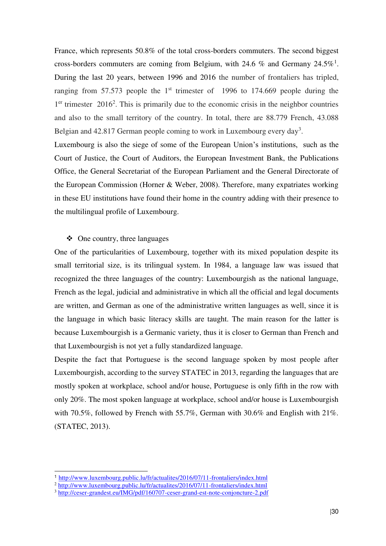France, which represents 50.8% of the total cross-borders commuters. The second biggest cross-borders commuters are coming from Belgium, with 24.6 % and Germany  $24.5\%$ <sup>1</sup>. During the last 20 years, between 1996 and 2016 the number of frontaliers has tripled, ranging from 57.573 people the  $1<sup>st</sup>$  trimester of 1996 to 174.669 people during the  $1<sup>er</sup>$  trimester 2016<sup>2</sup>. This is primarily due to the economic crisis in the neighbor countries and also to the small territory of the country. In total, there are 88.779 French, 43.088 Belgian and  $42.817$  German people coming to work in Luxembourg every day<sup>3</sup>.

Luxembourg is also the siege of some of the European Union's institutions, such as the Court of Justice, the Court of Auditors, the European Investment Bank, the Publications Office, the General Secretariat of the European Parliament and the General Directorate of the European Commission (Horner & Weber, 2008). Therefore, many expatriates working in these EU institutions have found their home in the country adding with their presence to the multilingual profile of Luxembourg.

### $\triangleleft$  One country, three languages

One of the particularities of Luxembourg, together with its mixed population despite its small territorial size, is its trilingual system. In 1984, a language law was issued that recognized the three languages of the country: Luxembourgish as the national language, French as the legal, judicial and administrative in which all the official and legal documents are written, and German as one of the administrative written languages as well, since it is the language in which basic literacy skills are taught. The main reason for the latter is because Luxembourgish is a Germanic variety, thus it is closer to German than French and that Luxembourgish is not yet a fully standardized language.

Despite the fact that Portuguese is the second language spoken by most people after Luxembourgish, according to the survey STATEC in 2013, regarding the languages that are mostly spoken at workplace, school and/or house, Portuguese is only fifth in the row with only 20%. The most spoken language at workplace, school and/or house is Luxembourgish with 70.5%, followed by French with 55.7%, German with 30.6% and English with 21%. (STATEC, 2013).

-

<sup>1</sup> <http://www.luxembourg.public.lu/fr/actualites/2016/07/11-frontaliers/index.html>

<sup>&</sup>lt;sup>2</sup> <http://www.luxembourg.public.lu/fr/actualites/2016/07/11-frontaliers/index.html>

<sup>3</sup> <http://ceser-grandest.eu/IMG/pdf/160707-ceser-grand-est-note-conjoncture-2.pdf>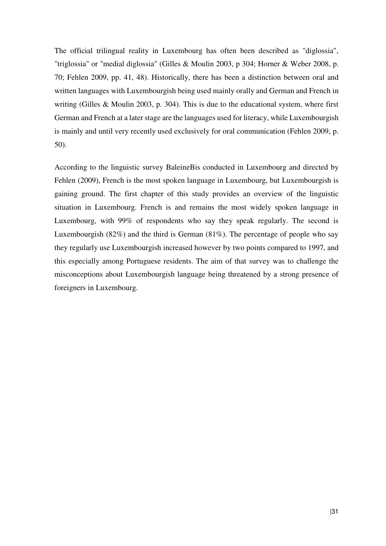The official trilingual reality in Luxembourg has often been described as "diglossia", "triglossia" or "medial diglossia" (Gilles & Moulin 2003, p 304; Horner & Weber 2008, p. 70; Fehlen 2009, pp. 41, 48). Historically, there has been a distinction between oral and written languages with Luxembourgish being used mainly orally and German and French in writing (Gilles & Moulin 2003, p. 304). This is due to the educational system, where first German and French at a later stage are the languages used for literacy, while Luxembourgish is mainly and until very recently used exclusively for oral communication (Fehlen 2009, p. 50).

According to the linguistic survey BaleineBis conducted in Luxembourg and directed by Fehlen (2009), French is the most spoken language in Luxembourg, but Luxembourgish is gaining ground. The first chapter of this study provides an overview of the linguistic situation in Luxembourg. French is and remains the most widely spoken language in Luxembourg, with 99% of respondents who say they speak regularly. The second is Luxembourgish (82%) and the third is German (81%). The percentage of people who say they regularly use Luxembourgish increased however by two points compared to 1997, and this especially among Portuguese residents. The aim of that survey was to challenge the misconceptions about Luxembourgish language being threatened by a strong presence of foreigners in Luxembourg.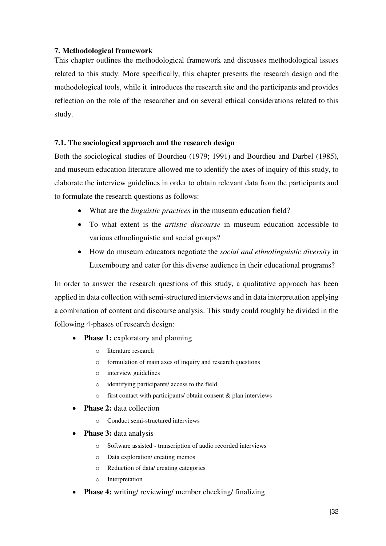# **7. Methodological framework**

This chapter outlines the methodological framework and discusses methodological issues related to this study. More specifically, this chapter presents the research design and the methodological tools, while it introduces the research site and the participants and provides reflection on the role of the researcher and on several ethical considerations related to this study.

## **7.1. The sociological approach and the research design**

Both the sociological studies of Bourdieu (1979; 1991) and Bourdieu and Darbel (1985), and museum education literature allowed me to identify the axes of inquiry of this study, to elaborate the interview guidelines in order to obtain relevant data from the participants and to formulate the research questions as follows:

- What are the *linguistic practices* in the museum education field?
- To what extent is the *artistic discourse* in museum education accessible to various ethnolinguistic and social groups?
- How do museum educators negotiate the *social and ethnolinguistic diversity* in Luxembourg and cater for this diverse audience in their educational programs?

In order to answer the research questions of this study, a qualitative approach has been applied in data collection with semi-structured interviews and in data interpretation applying a combination of content and discourse analysis. This study could roughly be divided in the following 4-phases of research design:

- **Phase 1:** exploratory and planning
	- o literature research
	- o formulation of main axes of inquiry and research questions
	- o interview guidelines
	- o identifying participants/ access to the field
	- o first contact with participants/ obtain consent & plan interviews
- **Phase 2:** data collection
	- o Conduct semi-structured interviews
- **Phase 3:** data analysis
	- o Software assisted transcription of audio recorded interviews
	- o Data exploration/ creating memos
	- o Reduction of data/ creating categories
	- o Interpretation
- **Phase 4:** writing/ reviewing/ member checking/ finalizing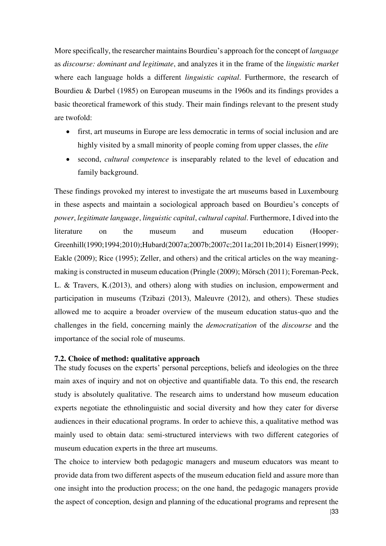More specifically, the researcher maintains Bourdieu's approach for the concept of *language* as *discourse: dominant and legitimate*, and analyzes it in the frame of the *linguistic market* where each language holds a different *linguistic capital*. Furthermore, the research of Bourdieu & Darbel (1985) on European museums in the 1960s and its findings provides a basic theoretical framework of this study. Their main findings relevant to the present study are twofold:

- first, art museums in Europe are less democratic in terms of social inclusion and are highly visited by a small minority of people coming from upper classes, the *elite*
- second, *cultural competence* is inseparably related to the level of education and family background.

These findings provoked my interest to investigate the art museums based in Luxembourg in these aspects and maintain a sociological approach based on Bourdieu's concepts of *power*, *legitimate language*, *linguistic capital*, *cultural capital*. Furthermore, I dived into the literature on the museum and museum education (Hooper-Greenhill(1990;1994;2010);Hubard(2007a;2007b;2007c;2011a;2011b;2014) Eisner(1999); Eakle (2009); Rice (1995); Zeller, and others) and the critical articles on the way meaningmaking is constructed in museum education (Pringle (2009); Mörsch (2011); Foreman-Peck, L. & Travers, K.(2013), and others) along with studies on inclusion, empowerment and participation in museums (Tzibazi (2013), Maleuvre (2012), and others). These studies allowed me to acquire a broader overview of the museum education status-quo and the challenges in the field, concerning mainly the *democratization* of the *discourse* and the importance of the social role of museums.

### **7.2. Choice of method: qualitative approach**

The study focuses on the experts' personal perceptions, beliefs and ideologies on the three main axes of inquiry and not on objective and quantifiable data. To this end, the research study is absolutely qualitative. The research aims to understand how museum education experts negotiate the ethnolinguistic and social diversity and how they cater for diverse audiences in their educational programs. In order to achieve this, a qualitative method was mainly used to obtain data: semi-structured interviews with two different categories of museum education experts in the three art museums.

The choice to interview both pedagogic managers and museum educators was meant to provide data from two different aspects of the museum education field and assure more than one insight into the production process; on the one hand, the pedagogic managers provide the aspect of conception, design and planning of the educational programs and represent the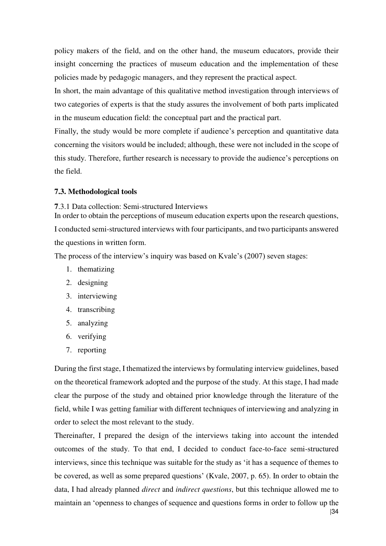policy makers of the field, and on the other hand, the museum educators, provide their insight concerning the practices of museum education and the implementation of these policies made by pedagogic managers, and they represent the practical aspect.

In short, the main advantage of this qualitative method investigation through interviews of two categories of experts is that the study assures the involvement of both parts implicated in the museum education field: the conceptual part and the practical part.

Finally, the study would be more complete if audience's perception and quantitative data concerning the visitors would be included; although, these were not included in the scope of this study. Therefore, further research is necessary to provide the audience's perceptions on the field.

## **7.3. Methodological tools**

**7**.3.1 Data collection: Semi-structured Interviews

In order to obtain the perceptions of museum education experts upon the research questions, I conducted semi-structured interviews with four participants, and two participants answered the questions in written form.

The process of the interview's inquiry was based on Kvale's (2007) seven stages:

- 1. thematizing
- 2. designing
- 3. interviewing
- 4. transcribing
- 5. analyzing
- 6. verifying
- 7. reporting

During the first stage, I thematized the interviews by formulating interview guidelines, based on the theoretical framework adopted and the purpose of the study. At this stage, I had made clear the purpose of the study and obtained prior knowledge through the literature of the field, while I was getting familiar with different techniques of interviewing and analyzing in order to select the most relevant to the study.

Thereinafter, I prepared the design of the interviews taking into account the intended outcomes of the study. To that end, I decided to conduct face-to-face semi-structured interviews, since this technique was suitable for the study as 'it has a sequence of themes to be covered, as well as some prepared questions' (Kvale, 2007, p. 65). In order to obtain the data, I had already planned *direct* and *indirect questions*, but this technique allowed me to maintain an 'openness to changes of sequence and questions forms in order to follow up the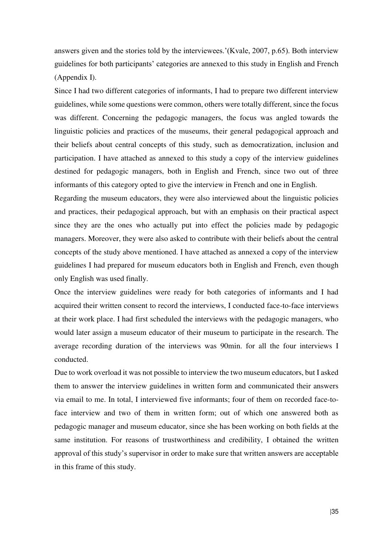answers given and the stories told by the interviewees.'(Kvale, 2007, p.65). Both interview guidelines for both participants' categories are annexed to this study in English and French (Appendix I).

Since I had two different categories of informants, I had to prepare two different interview guidelines, while some questions were common, others were totally different, since the focus was different. Concerning the pedagogic managers, the focus was angled towards the linguistic policies and practices of the museums, their general pedagogical approach and their beliefs about central concepts of this study, such as democratization, inclusion and participation. I have attached as annexed to this study a copy of the interview guidelines destined for pedagogic managers, both in English and French, since two out of three informants of this category opted to give the interview in French and one in English.

Regarding the museum educators, they were also interviewed about the linguistic policies and practices, their pedagogical approach, but with an emphasis on their practical aspect since they are the ones who actually put into effect the policies made by pedagogic managers. Moreover, they were also asked to contribute with their beliefs about the central concepts of the study above mentioned. I have attached as annexed a copy of the interview guidelines I had prepared for museum educators both in English and French, even though only English was used finally.

Once the interview guidelines were ready for both categories of informants and I had acquired their written consent to record the interviews, I conducted face-to-face interviews at their work place. I had first scheduled the interviews with the pedagogic managers, who would later assign a museum educator of their museum to participate in the research. The average recording duration of the interviews was 90min. for all the four interviews I conducted.

Due to work overload it was not possible to interview the two museum educators, but I asked them to answer the interview guidelines in written form and communicated their answers via email to me. In total, I interviewed five informants; four of them on recorded face-toface interview and two of them in written form; out of which one answered both as pedagogic manager and museum educator, since she has been working on both fields at the same institution. For reasons of trustworthiness and credibility, I obtained the written approval of this study's supervisor in order to make sure that written answers are acceptable in this frame of this study.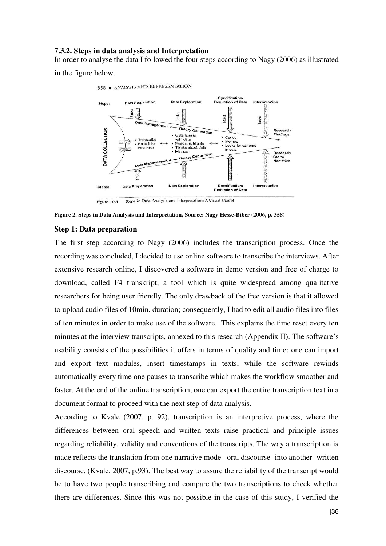### **7.3.2. Steps in data analysis and Interpretation**

In order to analyse the data I followed the four steps according to Nagy (2006) as illustrated in the figure below.



Steps in Data Analysis and Interpretation: A Visual Model Figure 10.3

**Figure 2. Steps in Data Analysis and Interpretation, Source: Nagy Hesse-Biber (2006, p. 358)** 

#### **Step 1: Data preparation**

The first step according to Nagy (2006) includes the transcription process. Once the recording was concluded, I decided to use online software to transcribe the interviews. After extensive research online, I discovered a software in demo version and free of charge to download, called F4 transkript; a tool which is quite widespread among qualitative researchers for being user friendly. The only drawback of the free version is that it allowed to upload audio files of 10min. duration; consequently, I had to edit all audio files into files of ten minutes in order to make use of the software. This explains the time reset every ten minutes at the interview transcripts, annexed to this research (Appendix II). The software's usability consists of the possibilities it offers in terms of quality and time; one can import and export text modules, insert timestamps in texts, while the software rewinds automatically every time one pauses to transcribe which makes the workflow smoother and faster. At the end of the online transcription, one can export the entire transcription text in a document format to proceed with the next step of data analysis.

According to Kvale (2007, p. 92), transcription is an interpretive process, where the differences between oral speech and written texts raise practical and principle issues regarding reliability, validity and conventions of the transcripts. The way a transcription is made reflects the translation from one narrative mode –oral discourse- into another- written discourse. (Kvale, 2007, p.93). The best way to assure the reliability of the transcript would be to have two people transcribing and compare the two transcriptions to check whether there are differences. Since this was not possible in the case of this study, I verified the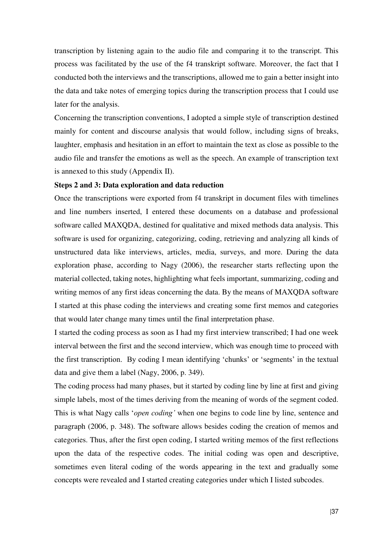transcription by listening again to the audio file and comparing it to the transcript. This process was facilitated by the use of the f4 transkript software. Moreover, the fact that I conducted both the interviews and the transcriptions, allowed me to gain a better insight into the data and take notes of emerging topics during the transcription process that I could use later for the analysis.

Concerning the transcription conventions, I adopted a simple style of transcription destined mainly for content and discourse analysis that would follow, including signs of breaks, laughter, emphasis and hesitation in an effort to maintain the text as close as possible to the audio file and transfer the emotions as well as the speech. An example of transcription text is annexed to this study (Appendix II).

### **Steps 2 and 3: Data exploration and data reduction**

Once the transcriptions were exported from f4 transkript in document files with timelines and line numbers inserted, I entered these documents on a database and professional software called MAXQDA, destined for qualitative and mixed methods data analysis. This software is used for organizing, categorizing, coding, retrieving and analyzing all kinds of unstructured data like interviews, articles, media, surveys, and more. During the data exploration phase, according to Nagy (2006), the researcher starts reflecting upon the material collected, taking notes, highlighting what feels important, summarizing, coding and writing memos of any first ideas concerning the data. By the means of MAXQDA software I started at this phase coding the interviews and creating some first memos and categories that would later change many times until the final interpretation phase.

I started the coding process as soon as I had my first interview transcribed; I had one week interval between the first and the second interview, which was enough time to proceed with the first transcription. By coding I mean identifying 'chunks' or 'segments' in the textual data and give them a label (Nagy, 2006, p. 349).

The coding process had many phases, but it started by coding line by line at first and giving simple labels, most of the times deriving from the meaning of words of the segment coded. This is what Nagy calls '*open coding'* when one begins to code line by line, sentence and paragraph (2006, p. 348). The software allows besides coding the creation of memos and categories. Thus, after the first open coding, I started writing memos of the first reflections upon the data of the respective codes. The initial coding was open and descriptive, sometimes even literal coding of the words appearing in the text and gradually some concepts were revealed and I started creating categories under which I listed subcodes.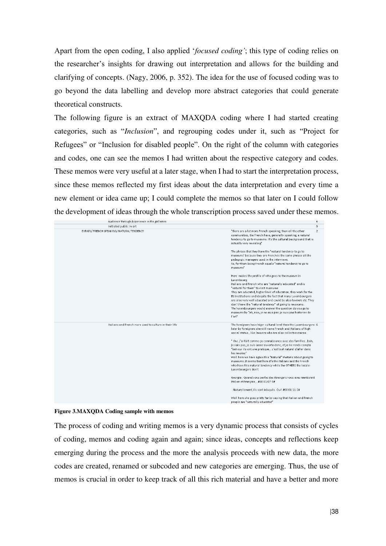Apart from the open coding, I also applied '*focused coding'*; this type of coding relies on the researcher's insights for drawing out interpretation and allows for the building and clarifying of concepts. (Nagy, 2006, p. 352). The idea for the use of focused coding was to go beyond the data labelling and develop more abstract categories that could generate theoretical constructs.

The following figure is an extract of MAXQDA coding where I had started creating categories, such as "*Inclusion*", and regrouping codes under it, such as "Project for Refugees" or "Inclusion for disabled people". On the right of the column with categories and codes, one can see the memos I had written about the respective category and codes. These memos were very useful at a later stage, when I had to start the interpretation process, since these memos reflected my first ideas about the data interpretation and every time a new element or idea came up; I could complete the memos so that later on I could follow the development of ideas through the whole transcription process saved under these memos.

| Audience through Experience in the galleries           | 4                                                                                                                                                                                                                                                                                                                                                                                                                                                                                                                                                                           |
|--------------------------------------------------------|-----------------------------------------------------------------------------------------------------------------------------------------------------------------------------------------------------------------------------------------------------------------------------------------------------------------------------------------------------------------------------------------------------------------------------------------------------------------------------------------------------------------------------------------------------------------------------|
| Initiated public in art                                | 3                                                                                                                                                                                                                                                                                                                                                                                                                                                                                                                                                                           |
| EXPATS/ FRENCH SPEAKING/ NATURAL TENDENCY              | "there are a lot more French speaking, than all the other<br>$\mathcal{P}$<br>communities, the French have, generally speaking, a natural<br>tendency to go to museums. It's the cultural background that is<br>actually very revealing"                                                                                                                                                                                                                                                                                                                                    |
|                                                        | The phrase that they have the "natural tendency to go to<br>museums' because they are French is the same phrase all the<br>pedagogic managers used in the interviews.<br>So, for them being French equals "natural tendency to go to<br>museums"                                                                                                                                                                                                                                                                                                                            |
|                                                        | Here makes the profile of who goes to the museum in<br>Luxembourg:<br>Italians and French who are "naturally educated" and is<br>"natural for them" to visit museums<br>They are educated, higher level of education, they work for the<br>EU institutions and despite the fact that many Luxembourgers<br>are also very well educated and could be also lawyers etc. They<br>don't have the "natural tendency" of going to museums.<br>The luxembourgers would answer the question do you go to<br>museums by "Ah, non, je ne suis pas. je suis pas historien de<br>l'art" |
| Italians and French more used to culture in their life | The foreigners have higer cultural level than the Luxembourgers 6<br>later by foreigners she will name French and Italians of high<br>social status, like lawyers who are also collectionnaires                                                                                                                                                                                                                                                                                                                                                                             |
|                                                        | " Oui, j'ai fait comme ça connaissance avec des famillesbah,<br>je sais pas, je suis assez ouverte donc, et je me rends compte<br>"bah oui ils ont une pratique c'est tout naturel d'aller dans<br>les musées"<br>Well here we have again this "Natural" rhetoric about going to<br>museums. It seems that here it's the Italians and the French<br>who have this natural tendency while the OTHERS the locals-<br>Luxembourgers don't                                                                                                                                      |
|                                                        | Georgia : Quand vous parlez des étrangers vous avez mentionné<br>Italien et Français #00:01:07-5#                                                                                                                                                                                                                                                                                                                                                                                                                                                                           |
|                                                        | : Naturellement, ils sont éduqués. Oui! #00:01:11-2#                                                                                                                                                                                                                                                                                                                                                                                                                                                                                                                        |
|                                                        | Well here she goes pretty far by saying that Italian and French<br>people are "naturally educated"                                                                                                                                                                                                                                                                                                                                                                                                                                                                          |

**Figure 3.MAXQDA Coding sample with memos**

The process of coding and writing memos is a very dynamic process that consists of cycles of coding, memos and coding again and again; since ideas, concepts and reflections keep emerging during the process and the more the analysis proceeds with new data, the more codes are created, renamed or subcoded and new categories are emerging. Thus, the use of memos is crucial in order to keep track of all this rich material and have a better and more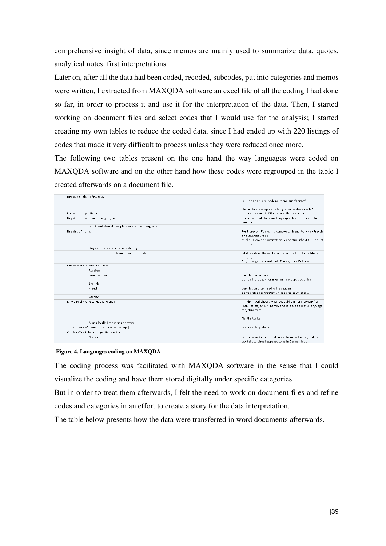comprehensive insight of data, since memos are mainly used to summarize data, quotes, analytical notes, first interpretations.

Later on, after all the data had been coded, recoded, subcodes, put into categories and memos were written, I extracted from MAXQDA software an excel file of all the coding I had done so far, in order to process it and use it for the interpretation of the data. Then, I started working on document files and select codes that I would use for the analysis; I started creating my own tables to reduce the coded data, since I had ended up with 220 listings of codes that made it very difficult to process unless they were reduced once more.

The following two tables present on the one hand the way languages were coded on MAXQDA software and on the other hand how these codes were regrouped in the table I created afterwards on a document file.

| Linguistic Policy of museum                      | "il n'y a pas vraiment de politiqueOn s'adapte"                          |
|--------------------------------------------------|--------------------------------------------------------------------------|
|                                                  | "Le mediateur adapte a la langue parlee des enfants"                     |
| <b>Exclusion linguistique</b>                    | It is avoided most of the times with translation                         |
| Linguistic plan for more languages?              | : no complaints for more languages than the ones of the<br>country.      |
| Dutch and Flemish complain to add their language |                                                                          |
| Linguistic Priority                              | For Florence it's clear: Luxembourgish and French or French              |
|                                                  | and Luxembourgish                                                        |
|                                                  | Michaela gives an interesting explanation about the linguisti            |
| Linguistic landscape in Luxembourg               | priority                                                                 |
|                                                  |                                                                          |
| Adaptation on the public                         | : it depends on the public, on the majority of the public's<br>language. |
|                                                  | But, if the guides speak only French, then it's French                   |
| Language for Lectures/ Courses                   |                                                                          |
| Russian                                          |                                                                          |
| Luxembourgish                                    | translation issues>                                                      |
|                                                  | parfois il y a des choses qu'on ne peut pas traduire                     |
| English                                          |                                                                          |
| French                                           | translation often used >villa vauban                                     |
|                                                  | parfois on a des traducteus, mais ca coute cher                          |
| German                                           |                                                                          |
| Mixed Public One Language- French                | Children workshops: When the public is "anglophone" as                   |
|                                                  | Florence says, they "normalement" speak another language                 |
|                                                  | too, "francais"                                                          |
|                                                  | Nantia Adults                                                            |
| Mixed Public French and German                   |                                                                          |
| Social Status of parents (children workshops)    | Whose kids go there?                                                     |
| Children Workshops Linguistic practice           |                                                                          |
| German                                           | When the artist is invited, apart from mediateur, to do a                |
|                                                  | workshop, it has happened to be in German too                            |

#### **Figure 4. Languages coding on MAXQDA**

The coding process was facilitated with MAXQDA software in the sense that I could visualize the coding and have them stored digitally under specific categories.

But in order to treat them afterwards, I felt the need to work on document files and refine codes and categories in an effort to create a story for the data interpretation.

The table below presents how the data were transferred in word documents afterwards.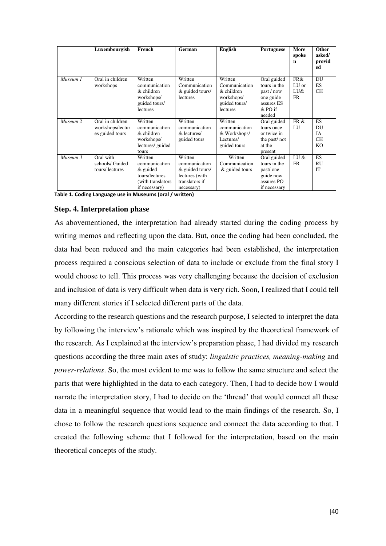|          | Luxembourgish                                           | French                                                                                         | German                                                                                        | <b>English</b>                                                                    | Portuguese                                                                                | More<br>spoke<br>n        | Other<br>asked/<br>provid<br>ed                      |
|----------|---------------------------------------------------------|------------------------------------------------------------------------------------------------|-----------------------------------------------------------------------------------------------|-----------------------------------------------------------------------------------|-------------------------------------------------------------------------------------------|---------------------------|------------------------------------------------------|
| Museum 1 | Oral in children<br>workshops                           | Written<br>communication<br>& children<br>workshops/<br>guided tours/<br>lectures              | Written<br>Communication<br>& guided tours/<br>lectures                                       | Written<br>Communication<br>& children<br>workshops/<br>guided tours/<br>lectures | Oral guided<br>tours in the<br>past / now<br>one guide<br>assures ES<br>& PO if<br>needed | FR&<br>LU or<br>LU&<br>FR | DU<br><b>ES</b><br><b>CH</b>                         |
| Museum 2 | Oral in children<br>workshops/lectur<br>es guided tours | Written<br>communication<br>$&$ children<br>workshops/<br>lectures/ guided<br>tours            | Written<br>communication<br>& lectures/<br>guided tours                                       | Written<br>communication<br>& Workshops/<br>Lectures/<br>guided tours             | Oral guided<br>tours once<br>or twice in<br>the past/not<br>at the<br>present             | FR&<br>LU                 | <b>ES</b><br>DU<br>JA<br><b>CH</b><br>KO <sub></sub> |
| Museum 3 | Oral with<br>schools/ Guided<br>tours/lectures          | Written<br>communication<br>$&$ guided<br>tours/lectures<br>(with translators<br>if necessary) | Written<br>communication<br>& guided tours/<br>lectures (with<br>translators if<br>necessary) | Written<br>Communication<br>& guided tours                                        | Oral guided<br>tours in the<br>past/one<br>guide now<br>assures PO<br>if necessary        | LU &<br><b>FR</b>         | <b>ES</b><br>RU<br><b>IT</b>                         |

**Table 1. Coding Language use in Museums (oral / written)**

# **Step. 4. Interpretation phase**

As abovementioned, the interpretation had already started during the coding process by writing memos and reflecting upon the data. But, once the coding had been concluded, the data had been reduced and the main categories had been established, the interpretation process required a conscious selection of data to include or exclude from the final story I would choose to tell. This process was very challenging because the decision of exclusion and inclusion of data is very difficult when data is very rich. Soon, I realized that I could tell many different stories if I selected different parts of the data.

According to the research questions and the research purpose, I selected to interpret the data by following the interview's rationale which was inspired by the theoretical framework of the research. As I explained at the interview's preparation phase, I had divided my research questions according the three main axes of study: *linguistic practices, meaning-making* and *power-relations*. So, the most evident to me was to follow the same structure and select the parts that were highlighted in the data to each category. Then, I had to decide how I would narrate the interpretation story, I had to decide on the 'thread' that would connect all these data in a meaningful sequence that would lead to the main findings of the research. So, I chose to follow the research questions sequence and connect the data according to that. I created the following scheme that I followed for the interpretation, based on the main theoretical concepts of the study.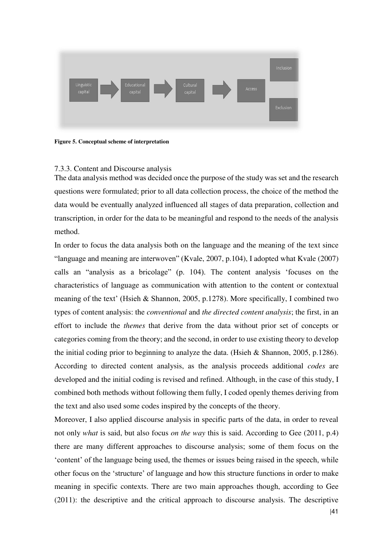

**Figure 5. Conceptual scheme of interpretation** 

# 7.3.3. Content and Discourse analysis

The data analysis method was decided once the purpose of the study was set and the research questions were formulated; prior to all data collection process, the choice of the method the data would be eventually analyzed influenced all stages of data preparation, collection and transcription, in order for the data to be meaningful and respond to the needs of the analysis method.

In order to focus the data analysis both on the language and the meaning of the text since "language and meaning are interwoven" (Kvale, 2007, p.104), I adopted what Kvale (2007) calls an "analysis as a bricolage" (p. 104). The content analysis 'focuses on the characteristics of language as communication with attention to the content or contextual meaning of the text' (Hsieh & Shannon, 2005, p.1278). More specifically, I combined two types of content analysis: the *conventional* and *the directed content analysis*; the first, in an effort to include the *themes* that derive from the data without prior set of concepts or categories coming from the theory; and the second, in order to use existing theory to develop the initial coding prior to beginning to analyze the data. (Hsieh & Shannon, 2005, p.1286). According to directed content analysis, as the analysis proceeds additional *codes* are developed and the initial coding is revised and refined. Although, in the case of this study, I combined both methods without following them fully, I coded openly themes deriving from the text and also used some codes inspired by the concepts of the theory.

Moreover, I also applied discourse analysis in specific parts of the data, in order to reveal not only *what* is said, but also focus *on the way* this is said. According to Gee (2011, p.4) there are many different approaches to discourse analysis; some of them focus on the 'content' of the language being used, the themes or issues being raised in the speech, while other focus on the 'structure' of language and how this structure functions in order to make meaning in specific contexts. There are two main approaches though, according to Gee (2011): the descriptive and the critical approach to discourse analysis. The descriptive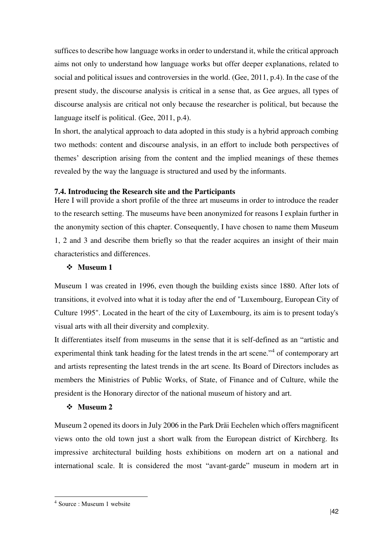suffices to describe how language works in order to understand it, while the critical approach aims not only to understand how language works but offer deeper explanations, related to social and political issues and controversies in the world. (Gee, 2011, p.4). In the case of the present study, the discourse analysis is critical in a sense that, as Gee argues, all types of discourse analysis are critical not only because the researcher is political, but because the language itself is political. (Gee, 2011, p.4).

In short, the analytical approach to data adopted in this study is a hybrid approach combing two methods: content and discourse analysis, in an effort to include both perspectives of themes' description arising from the content and the implied meanings of these themes revealed by the way the language is structured and used by the informants.

# **7.4. Introducing the Research site and the Participants**

Here I will provide a short profile of the three art museums in order to introduce the reader to the research setting. The museums have been anonymized for reasons I explain further in the anonymity section of this chapter. Consequently, I have chosen to name them Museum 1, 2 and 3 and describe them briefly so that the reader acquires an insight of their main characteristics and differences.

# **Museum 1**

Museum 1 was created in 1996, even though the building exists since 1880. After lots of transitions, it evolved into what it is today after the end of "Luxembourg, European City of Culture 1995". Located in the heart of the city of Luxembourg, its aim is to present today's visual arts with all their diversity and complexity.

It differentiates itself from museums in the sense that it is self-defined as an "artistic and experimental think tank heading for the latest trends in the art scene."<sup>4</sup> of contemporary art and artists representing the latest trends in the art scene. Its Board of Directors includes as members the Ministries of Public Works, of State, of Finance and of Culture, while the president is the Honorary director of the national museum of history and art.

### **Museum 2**

Museum 2 opened its doors in July 2006 in the Park Dräi Eechelen which offers magnificent views onto the old town just a short walk from the European district of Kirchberg. Its impressive architectural building hosts exhibitions on modern art on a national and international scale. It is considered the most "avant-garde" museum in modern art in

-

<sup>4</sup> Source : Museum 1 website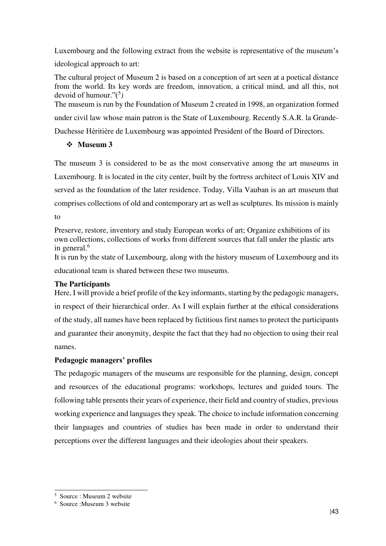Luxembourg and the following extract from the website is representative of the museum's

ideological approach to art:

The cultural project of Museum 2 is based on a conception of art seen at a poetical distance from the world. Its key words are freedom, innovation, a critical mind, and all this, not devoid of humour."(<sup>5</sup> *)* 

The museum is run by the Foundation of Museum 2 created in 1998, an organization formed under civil law whose main patron is the State of Luxembourg. Recently S.A.R. la Grande-Duchesse Héritière de Luxembourg was appointed President of the Board of Directors.

# **Museum 3**

The museum 3 is considered to be as the most conservative among the art museums in Luxembourg. It is located in the city center, built by the fortress architect of Louis XIV and served as the foundation of the later residence. Today, Villa Vauban is an art museum that comprises collections of old and contemporary art as well as sculptures. Its mission is mainly to

Preserve, restore, inventory and study European works of art; Organize exhibitions of its own collections, collections of works from different sources that fall under the plastic arts in general.<sup>6</sup>

It is run by the state of Luxembourg, along with the history museum of Luxembourg and its educational team is shared between these two museums.

# **The Participants**

Here, I will provide a brief profile of the key informants, starting by the pedagogic managers, in respect of their hierarchical order. As I will explain further at the ethical considerations of the study, all names have been replaced by fictitious first names to protect the participants and guarantee their anonymity, despite the fact that they had no objection to using their real names.

# **Pedagogic managers' profiles**

The pedagogic managers of the museums are responsible for the planning, design, concept and resources of the educational programs: workshops, lectures and guided tours. The following table presents their years of experience, their field and country of studies, previous working experience and languages they speak. The choice to include information concerning their languages and countries of studies has been made in order to understand their perceptions over the different languages and their ideologies about their speakers.

j 5 Source : Museum 2 website

<sup>6</sup> Source :Museum 3 website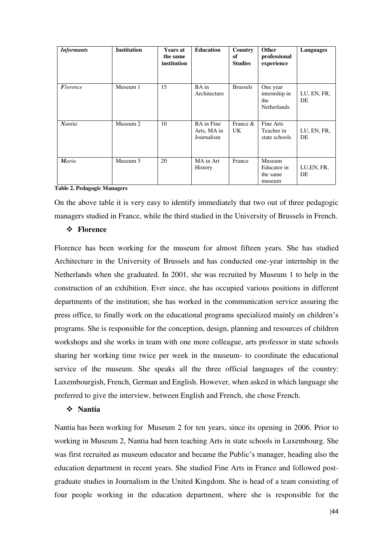| <b>Informants</b> | <b>Institution</b> | <b>Years at</b><br>the same<br>institution | <b>Education</b>                               | Country<br>of<br><b>Studies</b> | Other<br>professional<br>experience                    | Languages         |
|-------------------|--------------------|--------------------------------------------|------------------------------------------------|---------------------------------|--------------------------------------------------------|-------------------|
| <b>Florence</b>   | Museum 1           | 15                                         | BA in<br>Architecture                          | <b>Brussels</b>                 | One year<br>internship in<br>the<br><b>Netherlands</b> | LU, EN, FR,<br>DE |
| Nantia            | Museum 2           | 10                                         | <b>BA</b> in Fine<br>Arts, MA in<br>Journalism | France &<br>UK.                 | Fine Arts<br>Teacher in<br>state schools               | LU, EN, FR,<br>DE |
| Maria             | Museum 3           | 20                                         | MA in Art<br><b>History</b>                    | France                          | Museum<br>Educator in<br>the same<br>museum            | LU, EN, FR,<br>DE |

**Table 2. Pedagogic Managers**

On the above table it is very easy to identify immediately that two out of three pedagogic managers studied in France, while the third studied in the University of Brussels in French.

### **Florence**

Florence has been working for the museum for almost fifteen years. She has studied Architecture in the University of Brussels and has conducted one-year internship in the Netherlands when she graduated. In 2001, she was recruited by Museum 1 to help in the construction of an exhibition. Ever since, she has occupied various positions in different departments of the institution; she has worked in the communication service assuring the press office, to finally work on the educational programs specialized mainly on children's programs. She is responsible for the conception, design, planning and resources of children workshops and she works in team with one more colleague, arts professor in state schools sharing her working time twice per week in the museum- to coordinate the educational service of the museum. She speaks all the three official languages of the country: Luxembourgish, French, German and English. However, when asked in which language she preferred to give the interview, between English and French, she chose French.

#### **Nantia**

Nantia has been working for Museum 2 for ten years, since its opening in 2006. Prior to working in Museum 2, Nantia had been teaching Arts in state schools in Luxembourg. She was first recruited as museum educator and became the Public's manager, heading also the education department in recent years. She studied Fine Arts in France and followed postgraduate studies in Journalism in the United Kingdom. She is head of a team consisting of four people working in the education department, where she is responsible for the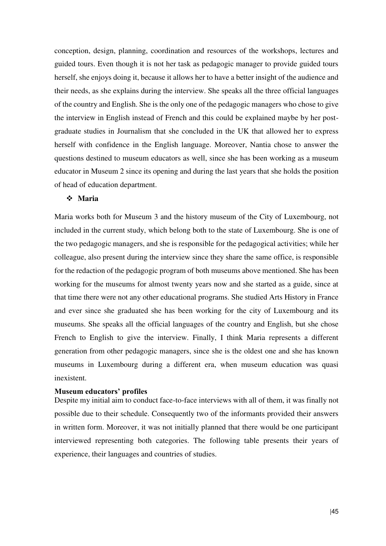conception, design, planning, coordination and resources of the workshops, lectures and guided tours. Even though it is not her task as pedagogic manager to provide guided tours herself, she enjoys doing it, because it allows her to have a better insight of the audience and their needs, as she explains during the interview. She speaks all the three official languages of the country and English. She is the only one of the pedagogic managers who chose to give the interview in English instead of French and this could be explained maybe by her postgraduate studies in Journalism that she concluded in the UK that allowed her to express herself with confidence in the English language. Moreover, Nantia chose to answer the questions destined to museum educators as well, since she has been working as a museum educator in Museum 2 since its opening and during the last years that she holds the position of head of education department.

# **Maria**

Maria works both for Museum 3 and the history museum of the City of Luxembourg, not included in the current study, which belong both to the state of Luxembourg. She is one of the two pedagogic managers, and she is responsible for the pedagogical activities; while her colleague, also present during the interview since they share the same office, is responsible for the redaction of the pedagogic program of both museums above mentioned. She has been working for the museums for almost twenty years now and she started as a guide, since at that time there were not any other educational programs. She studied Arts History in France and ever since she graduated she has been working for the city of Luxembourg and its museums. She speaks all the official languages of the country and English, but she chose French to English to give the interview. Finally, I think Maria represents a different generation from other pedagogic managers, since she is the oldest one and she has known museums in Luxembourg during a different era, when museum education was quasi inexistent.

#### **Museum educators' profiles**

Despite my initial aim to conduct face-to-face interviews with all of them, it was finally not possible due to their schedule. Consequently two of the informants provided their answers in written form. Moreover, it was not initially planned that there would be one participant interviewed representing both categories. The following table presents their years of experience, their languages and countries of studies.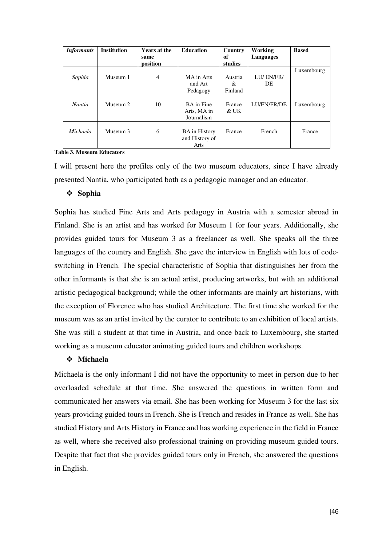| <b>Informants</b> | <b>Institution</b> | <b>Years at the</b><br>same<br>position | <b>Education</b>                               | Country<br>of<br>studies | Working<br>Languages | <b>Based</b> |
|-------------------|--------------------|-----------------------------------------|------------------------------------------------|--------------------------|----------------------|--------------|
| Sophia            | Museum 1           | $\overline{4}$                          | MA in Arts<br>and Art<br>Pedagogy              | Austria<br>&<br>Finland  | LU/EN/FR/<br>DE      | Luxembourg   |
| <b>Nantia</b>     | Museum 2           | 10                                      | BA in Fine<br>Arts, MA in<br>Journalism        | France<br>& UK           | LU/EN/FR/DE          | Luxembourg   |
| <b>Michaela</b>   | Museum 3           | 6                                       | <b>BA</b> in History<br>and History of<br>Arts | France                   | French               | France       |

**Table 3. Museum Educators**

I will present here the profiles only of the two museum educators, since I have already presented Nantia, who participated both as a pedagogic manager and an educator.

# **Sophia**

Sophia has studied Fine Arts and Arts pedagogy in Austria with a semester abroad in Finland. She is an artist and has worked for Museum 1 for four years. Additionally, she provides guided tours for Museum 3 as a freelancer as well. She speaks all the three languages of the country and English. She gave the interview in English with lots of codeswitching in French. The special characteristic of Sophia that distinguishes her from the other informants is that she is an actual artist, producing artworks, but with an additional artistic pedagogical background; while the other informants are mainly art historians, with the exception of Florence who has studied Architecture. The first time she worked for the museum was as an artist invited by the curator to contribute to an exhibition of local artists. She was still a student at that time in Austria, and once back to Luxembourg, she started working as a museum educator animating guided tours and children workshops.

# **Michaela**

Michaela is the only informant I did not have the opportunity to meet in person due to her overloaded schedule at that time. She answered the questions in written form and communicated her answers via email. She has been working for Museum 3 for the last six years providing guided tours in French. She is French and resides in France as well. She has studied History and Arts History in France and has working experience in the field in France as well, where she received also professional training on providing museum guided tours. Despite that fact that she provides guided tours only in French, she answered the questions in English.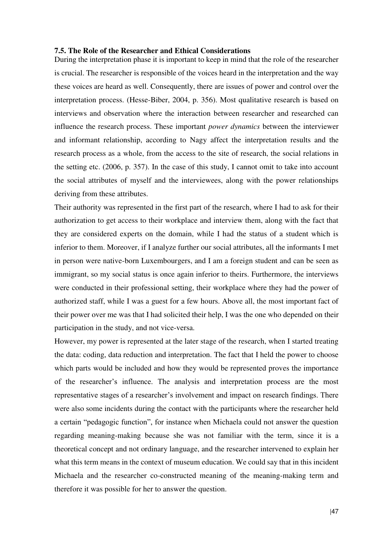## **7.5. The Role of the Researcher and Ethical Considerations**

During the interpretation phase it is important to keep in mind that the role of the researcher is crucial. The researcher is responsible of the voices heard in the interpretation and the way these voices are heard as well. Consequently, there are issues of power and control over the interpretation process. (Hesse-Biber, 2004, p. 356). Most qualitative research is based on interviews and observation where the interaction between researcher and researched can influence the research process. These important *power dynamics* between the interviewer and informant relationship, according to Nagy affect the interpretation results and the research process as a whole, from the access to the site of research, the social relations in the setting etc. (2006, p. 357). In the case of this study, I cannot omit to take into account the social attributes of myself and the interviewees, along with the power relationships deriving from these attributes.

Their authority was represented in the first part of the research, where I had to ask for their authorization to get access to their workplace and interview them, along with the fact that they are considered experts on the domain, while I had the status of a student which is inferior to them. Moreover, if I analyze further our social attributes, all the informants I met in person were native-born Luxembourgers, and I am a foreign student and can be seen as immigrant, so my social status is once again inferior to theirs. Furthermore, the interviews were conducted in their professional setting, their workplace where they had the power of authorized staff, while I was a guest for a few hours. Above all, the most important fact of their power over me was that I had solicited their help, I was the one who depended on their participation in the study, and not vice-versa.

However, my power is represented at the later stage of the research, when I started treating the data: coding, data reduction and interpretation. The fact that I held the power to choose which parts would be included and how they would be represented proves the importance of the researcher's influence. The analysis and interpretation process are the most representative stages of a researcher's involvement and impact on research findings. There were also some incidents during the contact with the participants where the researcher held a certain "pedagogic function", for instance when Michaela could not answer the question regarding meaning-making because she was not familiar with the term, since it is a theoretical concept and not ordinary language, and the researcher intervened to explain her what this term means in the context of museum education. We could say that in this incident Michaela and the researcher co-constructed meaning of the meaning-making term and therefore it was possible for her to answer the question.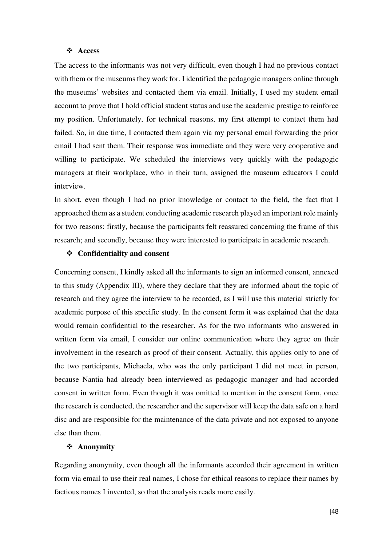### **Access**

The access to the informants was not very difficult, even though I had no previous contact with them or the museums they work for. I identified the pedagogic managers online through the museums' websites and contacted them via email. Initially, I used my student email account to prove that I hold official student status and use the academic prestige to reinforce my position. Unfortunately, for technical reasons, my first attempt to contact them had failed. So, in due time, I contacted them again via my personal email forwarding the prior email I had sent them. Their response was immediate and they were very cooperative and willing to participate. We scheduled the interviews very quickly with the pedagogic managers at their workplace, who in their turn, assigned the museum educators I could interview.

In short, even though I had no prior knowledge or contact to the field, the fact that I approached them as a student conducting academic research played an important role mainly for two reasons: firstly, because the participants felt reassured concerning the frame of this research; and secondly, because they were interested to participate in academic research.

## **Confidentiality and consent**

Concerning consent, I kindly asked all the informants to sign an informed consent, annexed to this study (Appendix III), where they declare that they are informed about the topic of research and they agree the interview to be recorded, as I will use this material strictly for academic purpose of this specific study. In the consent form it was explained that the data would remain confidential to the researcher. As for the two informants who answered in written form via email, I consider our online communication where they agree on their involvement in the research as proof of their consent. Actually, this applies only to one of the two participants, Michaela, who was the only participant I did not meet in person, because Nantia had already been interviewed as pedagogic manager and had accorded consent in written form. Even though it was omitted to mention in the consent form, once the research is conducted, the researcher and the supervisor will keep the data safe on a hard disc and are responsible for the maintenance of the data private and not exposed to anyone else than them.

# **Anonymity**

Regarding anonymity, even though all the informants accorded their agreement in written form via email to use their real names, I chose for ethical reasons to replace their names by factious names I invented, so that the analysis reads more easily.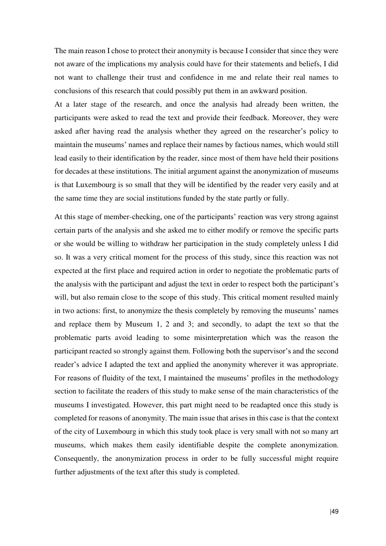The main reason I chose to protect their anonymity is because I consider that since they were not aware of the implications my analysis could have for their statements and beliefs, I did not want to challenge their trust and confidence in me and relate their real names to conclusions of this research that could possibly put them in an awkward position.

At a later stage of the research, and once the analysis had already been written, the participants were asked to read the text and provide their feedback. Moreover, they were asked after having read the analysis whether they agreed on the researcher's policy to maintain the museums' names and replace their names by factious names, which would still lead easily to their identification by the reader, since most of them have held their positions for decades at these institutions. The initial argument against the anonymization of museums is that Luxembourg is so small that they will be identified by the reader very easily and at the same time they are social institutions funded by the state partly or fully.

At this stage of member-checking, one of the participants' reaction was very strong against certain parts of the analysis and she asked me to either modify or remove the specific parts or she would be willing to withdraw her participation in the study completely unless I did so. It was a very critical moment for the process of this study, since this reaction was not expected at the first place and required action in order to negotiate the problematic parts of the analysis with the participant and adjust the text in order to respect both the participant's will, but also remain close to the scope of this study. This critical moment resulted mainly in two actions: first, to anonymize the thesis completely by removing the museums' names and replace them by Museum 1, 2 and 3; and secondly, to adapt the text so that the problematic parts avoid leading to some misinterpretation which was the reason the participant reacted so strongly against them. Following both the supervisor's and the second reader's advice I adapted the text and applied the anonymity wherever it was appropriate. For reasons of fluidity of the text, I maintained the museums' profiles in the methodology section to facilitate the readers of this study to make sense of the main characteristics of the museums I investigated. However, this part might need to be readapted once this study is completed for reasons of anonymity. The main issue that arises in this case is that the context of the city of Luxembourg in which this study took place is very small with not so many art museums, which makes them easily identifiable despite the complete anonymization. Consequently, the anonymization process in order to be fully successful might require further adjustments of the text after this study is completed.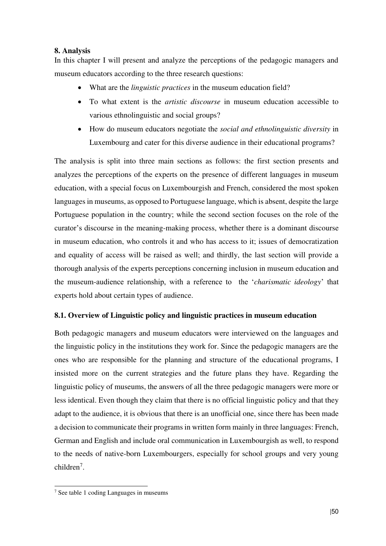# **8. Analysis**

In this chapter I will present and analyze the perceptions of the pedagogic managers and museum educators according to the three research questions:

- What are the *linguistic practices* in the museum education field?
- To what extent is the *artistic discourse* in museum education accessible to various ethnolinguistic and social groups?
- How do museum educators negotiate the *social and ethnolinguistic diversity* in Luxembourg and cater for this diverse audience in their educational programs?

The analysis is split into three main sections as follows: the first section presents and analyzes the perceptions of the experts on the presence of different languages in museum education, with a special focus on Luxembourgish and French, considered the most spoken languages in museums, as opposed to Portuguese language, which is absent, despite the large Portuguese population in the country; while the second section focuses on the role of the curator's discourse in the meaning-making process, whether there is a dominant discourse in museum education, who controls it and who has access to it; issues of democratization and equality of access will be raised as well; and thirdly, the last section will provide a thorough analysis of the experts perceptions concerning inclusion in museum education and the museum-audience relationship, with a reference to the '*charismatic ideology*' that experts hold about certain types of audience.

# **8.1. Overview of Linguistic policy and linguistic practices in museum education**

Both pedagogic managers and museum educators were interviewed on the languages and the linguistic policy in the institutions they work for. Since the pedagogic managers are the ones who are responsible for the planning and structure of the educational programs, I insisted more on the current strategies and the future plans they have. Regarding the linguistic policy of museums, the answers of all the three pedagogic managers were more or less identical. Even though they claim that there is no official linguistic policy and that they adapt to the audience, it is obvious that there is an unofficial one, since there has been made a decision to communicate their programs in written form mainly in three languages: French, German and English and include oral communication in Luxembourgish as well, to respond to the needs of native-born Luxembourgers, especially for school groups and very young children<sup>7</sup>.

<sup>-</sup>7 See table 1 coding Languages in museums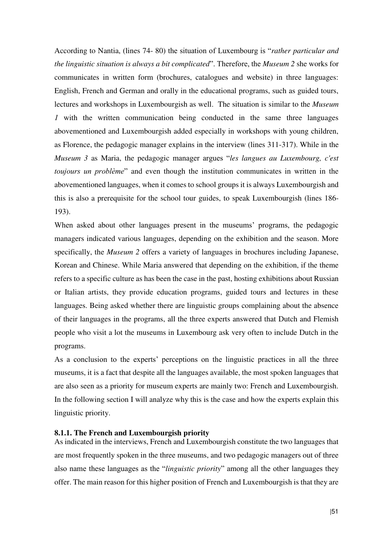According to Nantia, (lines 74- 80) the situation of Luxembourg is "*rather particular and the linguistic situation is always a bit complicated*". Therefore, the *Museum 2* she works for communicates in written form (brochures, catalogues and website) in three languages: English, French and German and orally in the educational programs, such as guided tours, lectures and workshops in Luxembourgish as well. The situation is similar to the *Museum 1* with the written communication being conducted in the same three languages abovementioned and Luxembourgish added especially in workshops with young children, as Florence, the pedagogic manager explains in the interview (lines 311-317). While in the *Museum 3* as Maria, the pedagogic manager argues "*les langues au Luxembourg, c'est toujours un problème*" and even though the institution communicates in written in the abovementioned languages, when it comes to school groups it is always Luxembourgish and this is also a prerequisite for the school tour guides, to speak Luxembourgish (lines 186- 193).

When asked about other languages present in the museums' programs, the pedagogic managers indicated various languages, depending on the exhibition and the season. More specifically, the *Museum 2* offers a variety of languages in brochures including Japanese, Korean and Chinese. While Maria answered that depending on the exhibition, if the theme refers to a specific culture as has been the case in the past, hosting exhibitions about Russian or Italian artists, they provide education programs, guided tours and lectures in these languages. Being asked whether there are linguistic groups complaining about the absence of their languages in the programs, all the three experts answered that Dutch and Flemish people who visit a lot the museums in Luxembourg ask very often to include Dutch in the programs.

As a conclusion to the experts' perceptions on the linguistic practices in all the three museums, it is a fact that despite all the languages available, the most spoken languages that are also seen as a priority for museum experts are mainly two: French and Luxembourgish. In the following section I will analyze why this is the case and how the experts explain this linguistic priority.

### **8.1.1. The French and Luxembourgish priority**

As indicated in the interviews, French and Luxembourgish constitute the two languages that are most frequently spoken in the three museums, and two pedagogic managers out of three also name these languages as the "*linguistic priority*" among all the other languages they offer. The main reason for this higher position of French and Luxembourgish is that they are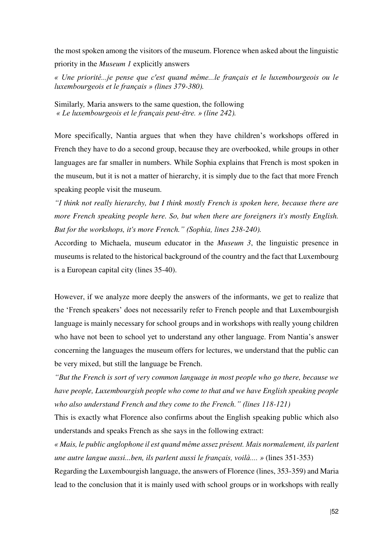the most spoken among the visitors of the museum. Florence when asked about the linguistic priority in the *Museum 1* explicitly answers

*« Une priorité...je pense que c'est quand même...le français et le luxembourgeois ou le luxembourgeois et le français » (lines 379-380).* 

Similarly*,* Maria answers to the same question, the following *« Le luxembourgeois et le français peut-être. » (line 242).* 

More specifically, Nantia argues that when they have children's workshops offered in French they have to do a second group, because they are overbooked, while groups in other languages are far smaller in numbers. While Sophia explains that French is most spoken in the museum, but it is not a matter of hierarchy, it is simply due to the fact that more French speaking people visit the museum.

*"I think not really hierarchy, but I think mostly French is spoken here, because there are more French speaking people here. So, but when there are foreigners it's mostly English. But for the workshops, it's more French." (Sophia, lines 238-240).* 

According to Michaela, museum educator in the *Museum 3*, the linguistic presence in museums is related to the historical background of the country and the fact that Luxembourg is a European capital city (lines 35-40).

However, if we analyze more deeply the answers of the informants, we get to realize that the 'French speakers' does not necessarily refer to French people and that Luxembourgish language is mainly necessary for school groups and in workshops with really young children who have not been to school yet to understand any other language. From Nantia's answer concerning the languages the museum offers for lectures, we understand that the public can be very mixed, but still the language be French.

*"But the French is sort of very common language in most people who go there, because we have people, Luxembourgish people who come to that and we have English speaking people who also understand French and they come to the French." (lines 118-121)* 

This is exactly what Florence also confirms about the English speaking public which also understands and speaks French as she says in the following extract:

*« Mais, le public anglophone il est quand même assez présent. Mais normalement, ils parlent une autre langue aussi...ben, ils parlent aussi le français, voilà.... »* (lines 351-353)

Regarding the Luxembourgish language, the answers of Florence (lines, 353-359) and Maria lead to the conclusion that it is mainly used with school groups or in workshops with really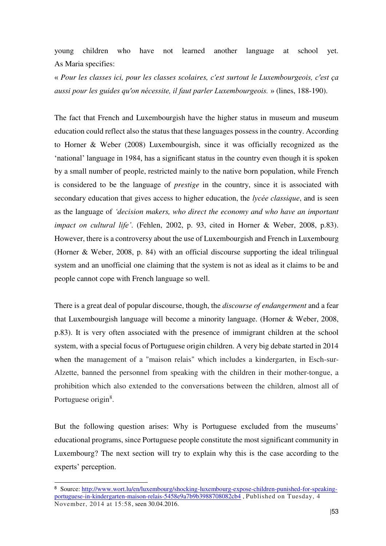young children who have not learned another language at school yet. As Maria specifies:

« *Pour les classes ici, pour les classes scolaires, c'est surtout le Luxembourgeois, c'est ça aussi pour les guides qu'on nécessite, il faut parler Luxembourgeois.* » (lines, 188-190).

The fact that French and Luxembourgish have the higher status in museum and museum education could reflect also the status that these languages possess in the country. According to Horner & Weber (2008) Luxembourgish, since it was officially recognized as the 'national' language in 1984, has a significant status in the country even though it is spoken by a small number of people, restricted mainly to the native born population, while French is considered to be the language of *prestige* in the country, since it is associated with secondary education that gives access to higher education, the *lycée classique*, and is seen as the language of *'decision makers, who direct the economy and who have an important impact on cultural life'*. (Fehlen, 2002, p. 93, cited in Horner & Weber, 2008, p.83). However, there is a controversy about the use of Luxembourgish and French in Luxembourg (Horner & Weber, 2008, p. 84) with an official discourse supporting the ideal trilingual system and an unofficial one claiming that the system is not as ideal as it claims to be and people cannot cope with French language so well.

There is a great deal of popular discourse, though, the *discourse of endangerment* and a fear that Luxembourgish language will become a minority language. (Horner & Weber, 2008, p.83). It is very often associated with the presence of immigrant children at the school system, with a special focus of Portuguese origin children. A very big debate started in 2014 when the management of a "maison relais" which includes a kindergarten, in Esch-sur-Alzette, banned the personnel from speaking with the children in their mother-tongue, a prohibition which also extended to the conversations between the children, almost all of Portuguese origin<sup>8</sup>.

But the following question arises: Why is Portuguese excluded from the museums' educational programs, since Portuguese people constitute the most significant community in Luxembourg? The next section will try to explain why this is the case according to the experts' perception.

<sup>8&</sup>lt;br>B Source: [http://www.wort.lu/en/luxembourg/shocking-luxembourg-expose-children-punished-for-speaking](http://www.wort.lu/en/luxembourg/shocking-luxembourg-expose-children-punished-for-speaking-portuguese-in-kindergarten-maison-relais-5458e9a7b9b3988708082cb4)[portuguese-in-kindergarten-maison-relais-5458e9a7b9b3988708082cb4](http://www.wort.lu/en/luxembourg/shocking-luxembourg-expose-children-punished-for-speaking-portuguese-in-kindergarten-maison-relais-5458e9a7b9b3988708082cb4) , Published on Tuesday, 4 November, 2014 at 15:58, seen 30.04.2016.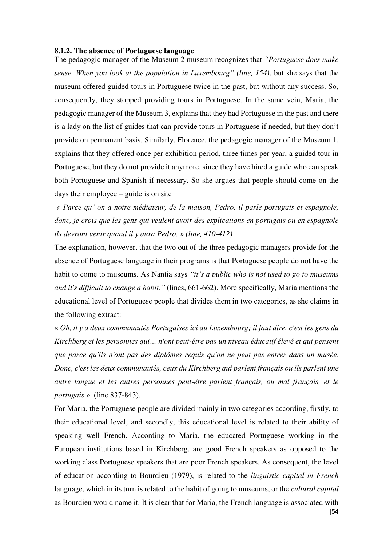## **8.1.2. The absence of Portuguese language**

The pedagogic manager of the Museum 2 museum recognizes that *"Portuguese does make sense. When you look at the population in Luxembourg" (line, 154)*, but she says that the museum offered guided tours in Portuguese twice in the past, but without any success. So, consequently, they stopped providing tours in Portuguese. In the same vein, Maria, the pedagogic manager of the Museum 3, explains that they had Portuguese in the past and there is a lady on the list of guides that can provide tours in Portuguese if needed, but they don't provide on permanent basis. Similarly, Florence, the pedagogic manager of the Museum 1, explains that they offered once per exhibition period, three times per year, a guided tour in Portuguese, but they do not provide it anymore, since they have hired a guide who can speak both Portuguese and Spanish if necessary. So she argues that people should come on the days their employee – guide is on site

*« Parce qu' on a notre médiateur, de la maison, Pedro, il parle portugais et espagnole, donc, je crois que les gens qui veulent avoir des explications en portugais ou en espagnole ils devront venir quand il y aura Pedro. » (line, 410-412)* 

The explanation, however, that the two out of the three pedagogic managers provide for the absence of Portuguese language in their programs is that Portuguese people do not have the habit to come to museums. As Nantia says *"it's a public who is not used to go to museums and it's difficult to change a habit."* (lines, 661-662). More specifically, Maria mentions the educational level of Portuguese people that divides them in two categories, as she claims in the following extract:

« *Oh, il y a deux communautés Portugaises ici au Luxembourg; il faut dire, c'est les gens du Kirchberg et les personnes qui… n'ont peut-être pas un niveau éducatif élevé et qui pensent que parce qu'ils n'ont pas des diplômes requis qu'on ne peut pas entrer dans un musée. Donc, c'est les deux communautés, ceux du Kirchberg qui parlent français ou ils parlent une autre langue et les autres personnes peut-être parlent français, ou mal français, et le portugais* » (line 837-843).

|54 For Maria, the Portuguese people are divided mainly in two categories according, firstly, to their educational level, and secondly, this educational level is related to their ability of speaking well French. According to Maria, the educated Portuguese working in the European institutions based in Kirchberg, are good French speakers as opposed to the working class Portuguese speakers that are poor French speakers. As consequent, the level of education according to Bourdieu (1979), is related to the *linguistic capital in French*  language, which in its turn is related to the habit of going to museums, or the *cultural capital* as Bourdieu would name it. It is clear that for Maria, the French language is associated with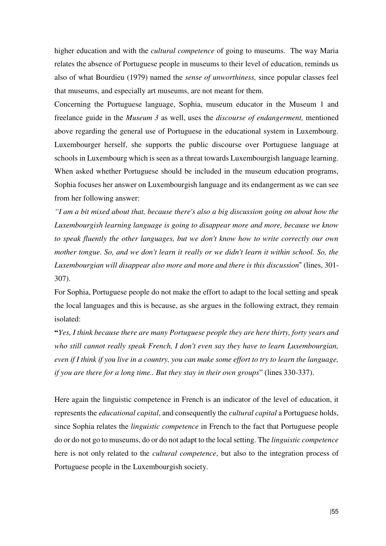higher education and with the *cultural competence* of going to museums. The way Maria relates the absence of Portuguese people in museums to their level of education, reminds us also of what Bourdieu (1979) named the *sense of unworthiness,* since popular classes feel that museums, and especially art museums, are not meant for them.

Concerning the Portuguese language, Sophia, museum educator in the Museum 1 and freelance guide in the *Museum 3* as well, uses the *discourse of endangerment,* mentioned above regarding the general use of Portuguese in the educational system in Luxembourg. Luxembourger herself, she supports the public discourse over Portuguese language at schools in Luxembourg which is seen as a threat towards Luxembourgish language learning. When asked whether Portuguese should be included in the museum education programs, Sophia focuses her answer on Luxembourgish language and its endangerment as we can see from her following answer:

*"I am a bit mixed about that, because there's also a big discussion going on about how the Luxembourgish learning language is going to disappear more and more, because we know to speak fluently the other languages, but we don't know how to write correctly our own mother tongue. So, and we don't learn it really or we didn't learn it within school. So, the Luxembourgian will disappear also more and more and there is this discussion*" (lines, 301- 307).

For Sophia, Portuguese people do not make the effort to adapt to the local setting and speak the local languages and this is because, as she argues in the following extract, they remain isolated:

**"***Yes, I think because there are many Portuguese people they are here thirty, forty years and who still cannot really speak French, I don't even say they have to learn Luxembourgian, even if I think if you live in a country, you can make some effort to try to learn the language, if you are there for a long time.. But they stay in their own groups*" (lines 330-337).

Here again the linguistic competence in French is an indicator of the level of education, it represents the *educational capital*, and consequently the *cultural capital* a Portuguese holds, since Sophia relates the *linguistic competence* in French to the fact that Portuguese people do or do not go to museums, do or do not adapt to the local setting. The *linguistic competence* here is not only related to the *cultural competence*, but also to the integration process of Portuguese people in the Luxembourgish society.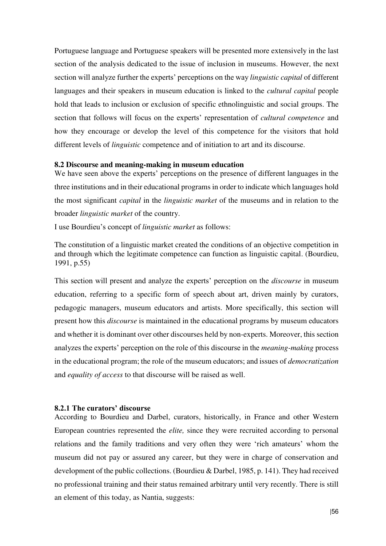Portuguese language and Portuguese speakers will be presented more extensively in the last section of the analysis dedicated to the issue of inclusion in museums. However, the next section will analyze further the experts' perceptions on the way *linguistic capital* of different languages and their speakers in museum education is linked to the *cultural capital* people hold that leads to inclusion or exclusion of specific ethnolinguistic and social groups. The section that follows will focus on the experts' representation of *cultural competence* and how they encourage or develop the level of this competence for the visitors that hold different levels of *linguistic* competence and of initiation to art and its discourse.

### **8.2 Discourse and meaning-making in museum education**

We have seen above the experts' perceptions on the presence of different languages in the three institutions and in their educational programs in order to indicate which languages hold the most significant *capital* in the *linguistic market* of the museums and in relation to the broader *linguistic market* of the country.

I use Bourdieu's concept of *linguistic market* as follows:

The constitution of a linguistic market created the conditions of an objective competition in and through which the legitimate competence can function as linguistic capital. (Bourdieu, 1991, p.55)

This section will present and analyze the experts' perception on the *discourse* in museum education, referring to a specific form of speech about art, driven mainly by curators, pedagogic managers, museum educators and artists. More specifically, this section will present how this *discourse* is maintained in the educational programs by museum educators and whether it is dominant over other discourses held by non-experts. Moreover, this section analyzes the experts' perception on the role of this discourse in the *meaning-making* process in the educational program; the role of the museum educators; and issues of *democratization* and *equality of access* to that discourse will be raised as well.

### **8.2.1 The curators' discourse**

According to Bourdieu and Darbel, curators, historically, in France and other Western European countries represented the *elite,* since they were recruited according to personal relations and the family traditions and very often they were 'rich amateurs' whom the museum did not pay or assured any career, but they were in charge of conservation and development of the public collections. (Bourdieu & Darbel, 1985, p. 141). They had received no professional training and their status remained arbitrary until very recently. There is still an element of this today, as Nantia, suggests: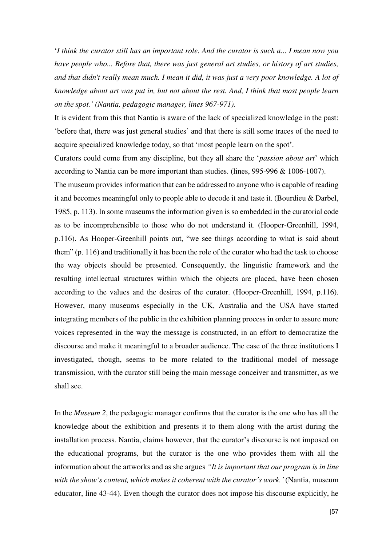'*I think the curator still has an important role. And the curator is such a... I mean now you have people who... Before that, there was just general art studies, or history of art studies, and that didn't really mean much. I mean it did, it was just a very poor knowledge. A lot of knowledge about art was put in, but not about the rest. And, I think that most people learn on the spot.' (Nantia, pedagogic manager, lines 967-971).* 

It is evident from this that Nantia is aware of the lack of specialized knowledge in the past: 'before that, there was just general studies' and that there is still some traces of the need to acquire specialized knowledge today, so that 'most people learn on the spot'.

Curators could come from any discipline, but they all share the '*passion about art*' which according to Nantia can be more important than studies. (lines, 995-996 & 1006-1007).

The museum provides information that can be addressed to anyone who is capable of reading it and becomes meaningful only to people able to decode it and taste it. (Bourdieu & Darbel, 1985, p. 113). In some museums the information given is so embedded in the curatorial code as to be incomprehensible to those who do not understand it. (Hooper-Greenhill, 1994, p.116). As Hooper-Greenhill points out, "we see things according to what is said about them" (p. 116) and traditionally it has been the role of the curator who had the task to choose the way objects should be presented. Consequently, the linguistic framework and the resulting intellectual structures within which the objects are placed, have been chosen according to the values and the desires of the curator. (Hooper-Greenhill, 1994, p.116). However, many museums especially in the UK, Australia and the USA have started integrating members of the public in the exhibition planning process in order to assure more voices represented in the way the message is constructed, in an effort to democratize the discourse and make it meaningful to a broader audience. The case of the three institutions I investigated, though, seems to be more related to the traditional model of message transmission, with the curator still being the main message conceiver and transmitter, as we shall see.

In the *Museum 2*, the pedagogic manager confirms that the curator is the one who has all the knowledge about the exhibition and presents it to them along with the artist during the installation process. Nantia, claims however, that the curator's discourse is not imposed on the educational programs, but the curator is the one who provides them with all the information about the artworks and as she argues *"It is important that our program is in line with the show's content, which makes it coherent with the curator's work.'* (Nantia, museum educator, line 43-44). Even though the curator does not impose his discourse explicitly, he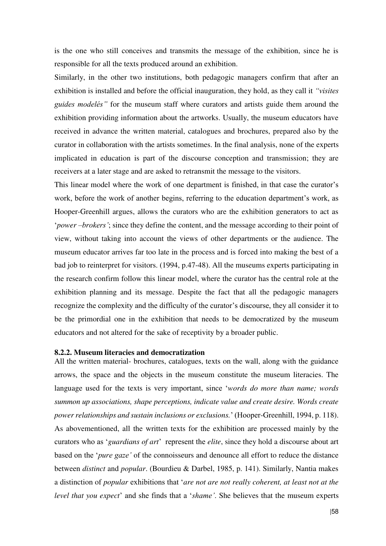is the one who still conceives and transmits the message of the exhibition, since he is responsible for all the texts produced around an exhibition.

Similarly, in the other two institutions, both pedagogic managers confirm that after an exhibition is installed and before the official inauguration, they hold, as they call it *"visites guides modelés"* for the museum staff where curators and artists guide them around the exhibition providing information about the artworks. Usually, the museum educators have received in advance the written material, catalogues and brochures, prepared also by the curator in collaboration with the artists sometimes. In the final analysis, none of the experts implicated in education is part of the discourse conception and transmission; they are receivers at a later stage and are asked to retransmit the message to the visitors.

This linear model where the work of one department is finished, in that case the curator's work, before the work of another begins, referring to the education department's work, as Hooper-Greenhill argues, allows the curators who are the exhibition generators to act as '*power –brokers'*; since they define the content, and the message according to their point of view, without taking into account the views of other departments or the audience. The museum educator arrives far too late in the process and is forced into making the best of a bad job to reinterpret for visitors. (1994, p.47-48). All the museums experts participating in the research confirm follow this linear model, where the curator has the central role at the exhibition planning and its message. Despite the fact that all the pedagogic managers recognize the complexity and the difficulty of the curator's discourse, they all consider it to be the primordial one in the exhibition that needs to be democratized by the museum educators and not altered for the sake of receptivity by a broader public.

### **8.2.2. Museum literacies and democratization**

All the written material- brochures, catalogues, texts on the wall, along with the guidance arrows, the space and the objects in the museum constitute the museum literacies. The language used for the texts is very important, since '*words do more than name; words summon up associations, shape perceptions, indicate value and create desire. Words create power relationships and sustain inclusions or exclusions.*' (Hooper-Greenhill, 1994, p. 118). As abovementioned, all the written texts for the exhibition are processed mainly by the curators who as '*guardians of art*' represent the *elite*, since they hold a discourse about art based on the '*pure gaze'* of the connoisseurs and denounce all effort to reduce the distance between *distinct* and *popular*. (Bourdieu & Darbel, 1985, p. 141). Similarly, Nantia makes a distinction of *popular* exhibitions that '*are not are not really coherent, at least not at the level that you expect*' and she finds that a '*shame'*. She believes that the museum experts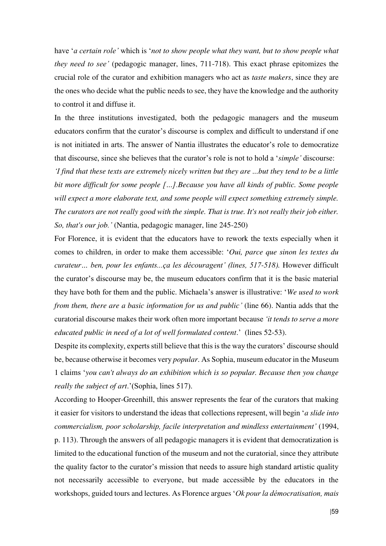have '*a certain role'* which is '*not to show people what they want, but to show people what they need to see'* (pedagogic manager, lines, 711-718). This exact phrase epitomizes the crucial role of the curator and exhibition managers who act as *taste makers*, since they are the ones who decide what the public needs to see, they have the knowledge and the authority to control it and diffuse it.

In the three institutions investigated, both the pedagogic managers and the museum educators confirm that the curator's discourse is complex and difficult to understand if one is not initiated in arts. The answer of Nantia illustrates the educator's role to democratize that discourse, since she believes that the curator's role is not to hold a '*simple'* discourse:

*'I find that these texts are extremely nicely written but they are ...but they tend to be a little bit more difficult for some people […].Because you have all kinds of public. Some people will expect a more elaborate text, and some people will expect something extremely simple. The curators are not really good with the simple. That is true. It's not really their job either. So, that's our job.'* (Nantia, pedagogic manager, line 245-250)

For Florence, it is evident that the educators have to rework the texts especially when it comes to children, in order to make them accessible: '*Oui, parce que sinon les textes du curateur… ben, pour les enfants...ça les découragent' (lines, 517-518).* However difficult the curator's discourse may be, the museum educators confirm that it is the basic material they have both for them and the public. Michaela's answer is illustrative: '*We used to work from them, there are a basic information for us and public'* (line 66). Nantia adds that the curatorial discourse makes their work often more important because *'it tends to serve a more educated public in need of a lot of well formulated content*.' (lines 52-53).

Despite its complexity, experts still believe that this is the way the curators' discourse should be, because otherwise it becomes very *popular*. As Sophia, museum educator in the Museum 1 claims '*you can't always do an exhibition which is so popular. Because then you change really the subject of art*.'(Sophia, lines 517).

According to Hooper-Greenhill, this answer represents the fear of the curators that making it easier for visitors to understand the ideas that collections represent, will begin '*a slide into commercialism, poor scholarship, facile interpretation and mindless entertainment'* (1994,

p. 113). Through the answers of all pedagogic managers it is evident that democratization is limited to the educational function of the museum and not the curatorial, since they attribute the quality factor to the curator's mission that needs to assure high standard artistic quality not necessarily accessible to everyone, but made accessible by the educators in the workshops, guided tours and lectures. As Florence argues '*Ok pour la démocratisation, mais*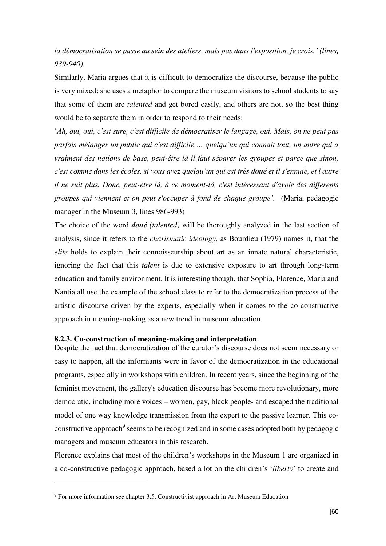*la démocratisation se passe au sein des ateliers, mais pas dans l'exposition, je crois.' (lines, 939-940).* 

Similarly, Maria argues that it is difficult to democratize the discourse, because the public is very mixed; she uses a metaphor to compare the museum visitors to school students to say that some of them are *talented* and get bored easily, and others are not, so the best thing would be to separate them in order to respond to their needs:

'*Ah, oui, oui, c'est sure, c'est difficile de démocratiser le langage, oui. Mais, on ne peut pas parfois mélanger un public qui c'est difficile … quelqu'un qui connait tout, un autre qui a vraiment des notions de base, peut-être là il faut séparer les groupes et parce que sinon, c'est comme dans les écoles, si vous avez quelqu'un qui est très doué et il s'ennuie, et l'autre il ne suit plus. Donc, peut-être là, à ce moment-là, c'est intéressant d'avoir des différents groupes qui viennent et on peut s'occuper à fond de chaque groupe'.* (Maria, pedagogic manager in the Museum 3, lines 986-993)

The choice of the word *doué (talented)* will be thoroughly analyzed in the last section of analysis, since it refers to the *charismatic ideology,* as Bourdieu (1979) names it, that the *elite* holds to explain their connoisseurship about art as an innate natural characteristic, ignoring the fact that this *talent* is due to extensive exposure to art through long-term education and family environment. It is interesting though, that Sophia, Florence, Maria and Nantia all use the example of the school class to refer to the democratization process of the artistic discourse driven by the experts, especially when it comes to the co-constructive approach in meaning-making as a new trend in museum education.

# **8.2.3. Co-construction of meaning-making and interpretation**

Despite the fact that democratization of the curator's discourse does not seem necessary or easy to happen, all the informants were in favor of the democratization in the educational programs, especially in workshops with children. In recent years, since the beginning of the feminist movement, the gallery's education discourse has become more revolutionary, more democratic, including more voices – women, gay, black people- and escaped the traditional model of one way knowledge transmission from the expert to the passive learner. This coconstructive approach<sup>9</sup> seems to be recognized and in some cases adopted both by pedagogic managers and museum educators in this research.

Florence explains that most of the children's workshops in the Museum 1 are organized in a co-constructive pedagogic approach, based a lot on the children's '*liberty*' to create and

-

<sup>9</sup> For more information see chapter 3.5. Constructivist approach in Art Museum Education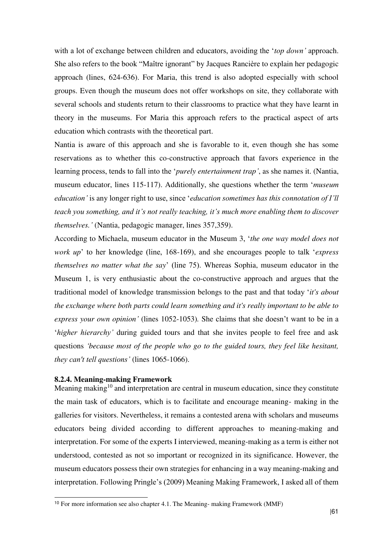with a lot of exchange between children and educators, avoiding the '*top down'* approach. She also refers to the book "Maître ignorant" by Jacques Rancière to explain her pedagogic approach (lines, 624-636). For Maria, this trend is also adopted especially with school groups. Even though the museum does not offer workshops on site, they collaborate with several schools and students return to their classrooms to practice what they have learnt in theory in the museums. For Maria this approach refers to the practical aspect of arts education which contrasts with the theoretical part.

Nantia is aware of this approach and she is favorable to it, even though she has some reservations as to whether this co-constructive approach that favors experience in the learning process, tends to fall into the '*purely entertainment trap'*, as she names it. (Nantia, museum educator, lines 115-117). Additionally, she questions whether the term '*museum education'* is any longer right to use, since '*education sometimes has this connotation of I'll teach you something, and it's not really teaching, it's much more enabling them to discover themselves.'* (Nantia, pedagogic manager, lines 357,359).

According to Michaela, museum educator in the Museum 3, '*the one way model does not work up*' to her knowledge (line, 168-169), and she encourages people to talk '*express themselves no matter what the say*' (line 75). Whereas Sophia, museum educator in the Museum 1, is very enthusiastic about the co-constructive approach and argues that the traditional model of knowledge transmission belongs to the past and that today '*it's about the exchange where both parts could learn something and it's really important to be able to express your own opinion'* (lines 1052-1053)*.* She claims that she doesn't want to be in a '*higher hierarchy'* during guided tours and that she invites people to feel free and ask questions *'because most of the people who go to the guided tours, they feel like hesitant, they can't tell questions'* (lines 1065-1066).

# **8.2.4. Meaning-making Framework**

-

Meaning making<sup>10</sup> and interpretation are central in museum education, since they constitute the main task of educators, which is to facilitate and encourage meaning- making in the galleries for visitors. Nevertheless, it remains a contested arena with scholars and museums educators being divided according to different approaches to meaning-making and interpretation. For some of the experts I interviewed, meaning-making as a term is either not understood, contested as not so important or recognized in its significance. However, the museum educators possess their own strategies for enhancing in a way meaning-making and interpretation. Following Pringle's (2009) Meaning Making Framework, I asked all of them

<sup>10</sup> For more information see also chapter 4.1. The Meaning- making Framework (MMF)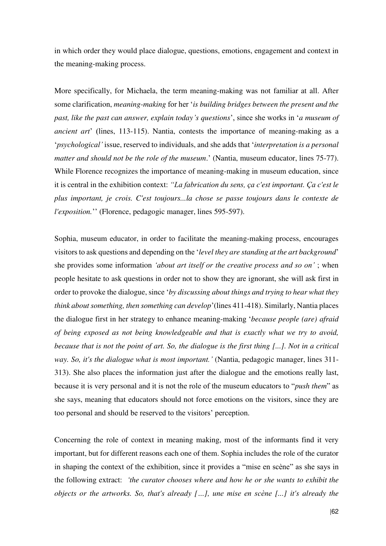in which order they would place dialogue, questions, emotions, engagement and context in the meaning-making process.

More specifically, for Michaela, the term meaning-making was not familiar at all. After some clarification, *meaning-making* for her '*is building bridges between the present and the past, like the past can answer, explain today's questions*', since she works in '*a museum of ancient art*' (lines, 113-115). Nantia, contests the importance of meaning-making as a '*psychological'* issue, reserved to individuals, and she adds that '*interpretation is a personal matter and should not be the role of the museum*.' (Nantia, museum educator, lines 75-77). While Florence recognizes the importance of meaning-making in museum education, since it is central in the exhibition context: *"La fabrication du sens, ça c'est important. Ça c'est le plus important, je crois. C'est toujours...la chose se passe toujours dans le contexte de l'exposition.*'' (Florence, pedagogic manager, lines 595-597).

Sophia, museum educator, in order to facilitate the meaning-making process, encourages visitors to ask questions and depending on the '*level they are standing at the art background*' she provides some information *'about art itself or the creative process and so on'* ; when people hesitate to ask questions in order not to show they are ignorant, she will ask first in order to provoke the dialogue, since '*by discussing about things and trying to hear what they think about something, then something can develop*'(lines 411-418). Similarly, Nantia places the dialogue first in her strategy to enhance meaning-making '*because people (are) afraid of being exposed as not being knowledgeable and that is exactly what we try to avoid, because that is not the point of art. So, the dialogue is the first thing [...]. Not in a critical way. So, it's the dialogue what is most important.'* (Nantia, pedagogic manager, lines 311- 313). She also places the information just after the dialogue and the emotions really last, because it is very personal and it is not the role of the museum educators to "*push them*" as she says, meaning that educators should not force emotions on the visitors, since they are too personal and should be reserved to the visitors' perception.

Concerning the role of context in meaning making, most of the informants find it very important, but for different reasons each one of them. Sophia includes the role of the curator in shaping the context of the exhibition, since it provides a "mise en scène" as she says in the following extract: *'the curator chooses where and how he or she wants to exhibit the objects or the artworks. So, that's already […], une mise en scène [...] it's already the*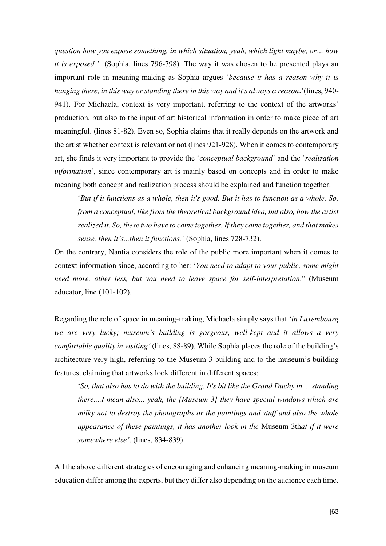*question how you expose something, in which situation, yeah, which light maybe, or… how it is exposed.'* (Sophia, lines 796-798). The way it was chosen to be presented plays an important role in meaning-making as Sophia argues '*because it has a reason why it is hanging there, in this way or standing there in this way and it's always a reason.*'(lines, 940- 941). For Michaela, context is very important, referring to the context of the artworks' production, but also to the input of art historical information in order to make piece of art meaningful. (lines 81-82). Even so, Sophia claims that it really depends on the artwork and the artist whether context is relevant or not (lines 921-928). When it comes to contemporary art, she finds it very important to provide the '*conceptual background'* and the '*realization information*', since contemporary art is mainly based on concepts and in order to make meaning both concept and realization process should be explained and function together:

'*But if it functions as a whole, then it's good. But it has to function as a whole. So, from a conceptual, like from the theoretical background idea, but also, how the artist realized it. So, these two have to come together. If they come together, and that makes sense, then it's...then it functions.'* (Sophia, lines 728-732).

On the contrary, Nantia considers the role of the public more important when it comes to context information since, according to her: '*You need to adapt to your public, some might need more, other less, but you need to leave space for self-interpretation*." (Museum educator, line (101-102).

Regarding the role of space in meaning-making, Michaela simply says that '*in Luxembourg we are very lucky; museum's building is gorgeous, well-kept and it allows a very comfortable quality in visiting'* (lines, 88-89). While Sophia places the role of the building's architecture very high, referring to the Museum 3 building and to the museum's building features, claiming that artworks look different in different spaces:

'*So, that also has to do with the building. It's bit like the Grand Duchy in... standing there....I mean also... yeah, the [Museum 3] they have special windows which are milky not to destroy the photographs or the paintings and stuff and also the whole appearance of these paintings, it has another look in the* Museum 3th*at if it were somewhere else'*. (lines, 834-839).

All the above different strategies of encouraging and enhancing meaning-making in museum education differ among the experts, but they differ also depending on the audience each time.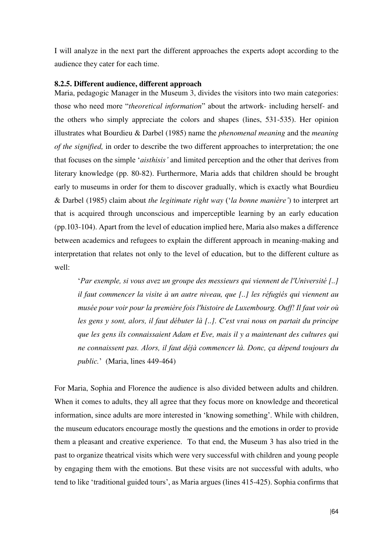I will analyze in the next part the different approaches the experts adopt according to the audience they cater for each time.

### **8.2.5. Different audience, different approach**

Maria, pedagogic Manager in the Museum 3, divides the visitors into two main categories: those who need more "*theoretical information*" about the artwork- including herself- and the others who simply appreciate the colors and shapes (lines, 531-535). Her opinion illustrates what Bourdieu & Darbel (1985) name the *phenomenal meaning* and the *meaning of the signified,* in order to describe the two different approaches to interpretation; the one that focuses on the simple '*aisthisis'* and limited perception and the other that derives from literary knowledge (pp. 80-82). Furthermore, Maria adds that children should be brought early to museums in order for them to discover gradually, which is exactly what Bourdieu & Darbel (1985) claim about *the legitimate right way* ('*la bonne manière'*) to interpret art that is acquired through unconscious and imperceptible learning by an early education (pp.103-104). Apart from the level of education implied here, Maria also makes a difference between academics and refugees to explain the different approach in meaning-making and interpretation that relates not only to the level of education, but to the different culture as well:

'*Par exemple, si vous avez un groupe des messieurs qui viennent de l'Université [..] il faut commencer la visite à un autre niveau, que [..] les réfugiés qui viennent au musée pour voir pour la première fois l'histoire de Luxembourg. Ouff! Il faut voir où les gens y sont, alors, il faut débuter là [..]. C'est vrai nous on partait du principe que les gens ils connaissaient Adam et Eve, mais il y a maintenant des cultures qui ne connaissent pas. Alors, il faut déjà commencer là. Donc, ça dépend toujours du public.*' (Maria, lines 449-464)

For Maria, Sophia and Florence the audience is also divided between adults and children. When it comes to adults, they all agree that they focus more on knowledge and theoretical information, since adults are more interested in 'knowing something'. While with children, the museum educators encourage mostly the questions and the emotions in order to provide them a pleasant and creative experience. To that end, the Museum 3 has also tried in the past to organize theatrical visits which were very successful with children and young people by engaging them with the emotions. But these visits are not successful with adults, who tend to like 'traditional guided tours', as Maria argues (lines 415-425). Sophia confirms that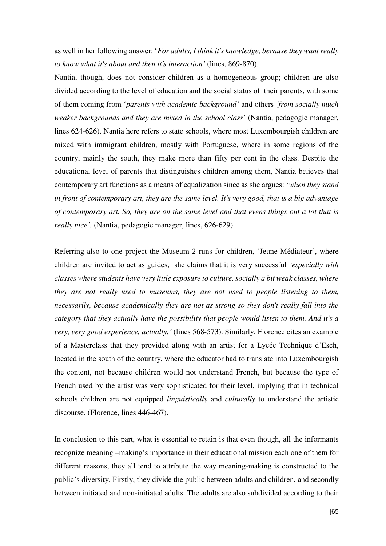as well in her following answer: '*For adults, I think it's knowledge, because they want really to know what it's about and then it's interaction'* (lines, 869-870).

Nantia, though, does not consider children as a homogeneous group; children are also divided according to the level of education and the social status of their parents, with some of them coming from '*parents with academic background'* and others *'from socially much weaker backgrounds and they are mixed in the school class*' (Nantia, pedagogic manager, lines 624-626). Nantia here refers to state schools, where most Luxembourgish children are mixed with immigrant children, mostly with Portuguese, where in some regions of the country, mainly the south, they make more than fifty per cent in the class. Despite the educational level of parents that distinguishes children among them, Nantia believes that contemporary art functions as a means of equalization since as she argues: '*when they stand in front of contemporary art, they are the same level. It's very good, that is a big advantage of contemporary art. So, they are on the same level and that evens things out a lot that is really nice'.* (Nantia, pedagogic manager, lines, 626-629).

Referring also to one project the Museum 2 runs for children, 'Jeune Médiateur', where children are invited to act as guides, she claims that it is very successful *'especially with classes where students have very little exposure to culture, socially a bit weak classes, where they are not really used to museums, they are not used to people listening to them, necessarily, because academically they are not as strong so they don't really fall into the category that they actually have the possibility that people would listen to them. And it's a very, very good experience, actually.'* (lines 568-573). Similarly, Florence cites an example of a Masterclass that they provided along with an artist for a Lycée Technique d'Esch, located in the south of the country, where the educator had to translate into Luxembourgish the content, not because children would not understand French, but because the type of French used by the artist was very sophisticated for their level, implying that in technical schools children are not equipped *linguistically* and *culturally* to understand the artistic discourse. (Florence, lines 446-467).

In conclusion to this part, what is essential to retain is that even though, all the informants recognize meaning –making's importance in their educational mission each one of them for different reasons, they all tend to attribute the way meaning-making is constructed to the public's diversity. Firstly, they divide the public between adults and children, and secondly between initiated and non-initiated adults. The adults are also subdivided according to their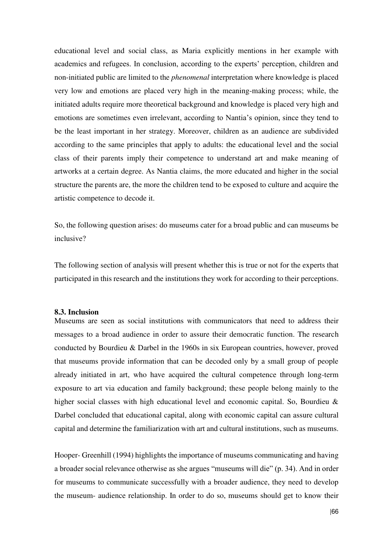educational level and social class, as Maria explicitly mentions in her example with academics and refugees. In conclusion, according to the experts' perception, children and non-initiated public are limited to the *phenomenal* interpretation where knowledge is placed very low and emotions are placed very high in the meaning-making process; while, the initiated adults require more theoretical background and knowledge is placed very high and emotions are sometimes even irrelevant, according to Nantia's opinion, since they tend to be the least important in her strategy. Moreover, children as an audience are subdivided according to the same principles that apply to adults: the educational level and the social class of their parents imply their competence to understand art and make meaning of artworks at a certain degree. As Nantia claims, the more educated and higher in the social structure the parents are, the more the children tend to be exposed to culture and acquire the artistic competence to decode it.

So, the following question arises: do museums cater for a broad public and can museums be inclusive?

The following section of analysis will present whether this is true or not for the experts that participated in this research and the institutions they work for according to their perceptions.

#### **8.3. Inclusion**

Museums are seen as social institutions with communicators that need to address their messages to a broad audience in order to assure their democratic function. The research conducted by Bourdieu & Darbel in the 1960s in six European countries, however, proved that museums provide information that can be decoded only by a small group of people already initiated in art, who have acquired the cultural competence through long-term exposure to art via education and family background; these people belong mainly to the higher social classes with high educational level and economic capital. So, Bourdieu & Darbel concluded that educational capital, along with economic capital can assure cultural capital and determine the familiarization with art and cultural institutions, such as museums.

Hooper- Greenhill (1994) highlights the importance of museums communicating and having a broader social relevance otherwise as she argues "museums will die" (p. 34). And in order for museums to communicate successfully with a broader audience, they need to develop the museum- audience relationship. In order to do so, museums should get to know their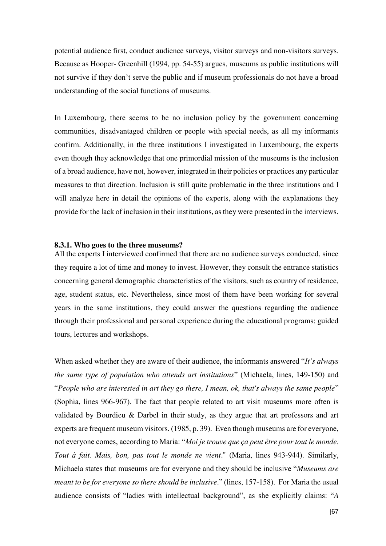potential audience first, conduct audience surveys, visitor surveys and non-visitors surveys. Because as Hooper- Greenhill (1994, pp. 54-55) argues, museums as public institutions will not survive if they don't serve the public and if museum professionals do not have a broad understanding of the social functions of museums.

In Luxembourg, there seems to be no inclusion policy by the government concerning communities, disadvantaged children or people with special needs, as all my informants confirm. Additionally, in the three institutions I investigated in Luxembourg, the experts even though they acknowledge that one primordial mission of the museums is the inclusion of a broad audience, have not, however, integrated in their policies or practices any particular measures to that direction. Inclusion is still quite problematic in the three institutions and I will analyze here in detail the opinions of the experts, along with the explanations they provide for the lack of inclusion in their institutions, as they were presented in the interviews.

### **8.3.1. Who goes to the three museums?**

All the experts I interviewed confirmed that there are no audience surveys conducted, since they require a lot of time and money to invest. However, they consult the entrance statistics concerning general demographic characteristics of the visitors, such as country of residence, age, student status, etc. Nevertheless, since most of them have been working for several years in the same institutions, they could answer the questions regarding the audience through their professional and personal experience during the educational programs; guided tours, lectures and workshops.

When asked whether they are aware of their audience, the informants answered "*It's always the same type of population who attends art institutions*" (Michaela, lines, 149-150) and "*People who are interested in art they go there, I mean, ok, that's always the same people*" (Sophia, lines 966-967). The fact that people related to art visit museums more often is validated by Bourdieu & Darbel in their study, as they argue that art professors and art experts are frequent museum visitors. (1985, p. 39). Even though museums are for everyone, not everyone comes, according to Maria: "*Moi je trouve que ça peut être pour tout le monde. Tout à fait. Mais, bon, pas tout le monde ne vient*." (Maria, lines 943-944). Similarly, Michaela states that museums are for everyone and they should be inclusive "*Museums are meant to be for everyone so there should be inclusive*." (lines, 157-158). For Maria the usual audience consists of "ladies with intellectual background", as she explicitly claims: "*A*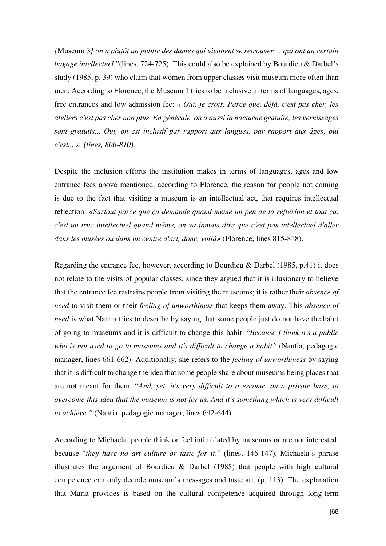*[*Museum 3*] on a plutôt un public des dames qui viennent se retrouver ... qui ont un certain bagage intellectuel*."(lines, 724-725). This could also be explained by Bourdieu & Darbel's study (1985, p. 39) who claim that women from upper classes visit museum more often than men. According to Florence, the Museum 1 tries to be inclusive in terms of languages, ages, free entrances and low admission fee: *« Oui, je crois. Parce que, déjà, c'est pas cher, les ateliers c'est pas cher non plus. En générale, on a aussi la nocturne gratuite, les vernissages sont gratuits... Oui, on est inclusif par rapport aux langues, par rapport aux âges, oui c'est... » (lines, 806-810).* 

Despite the inclusion efforts the institution makes in terms of languages, ages and low entrance fees above mentioned, according to Florence, the reason for people not coming is due to the fact that visiting a museum is an intellectual act, that requires intellectual reflection*: «Surtout parce que ça demande quand même un peu de la réflexion et tout ça, c'est un truc intellectuel quand même, on va jamais dire que c'est pas intellectuel d'aller dans les musées ou dans un centre d'art, donc, voilà»* (Florence, lines 815-818).

Regarding the entrance fee, however, according to Bourdieu & Darbel (1985, p.41) it does not relate to the visits of popular classes, since they argued that it is illusionary to believe that the entrance fee restrains people from visiting the museums; it is rather their *absence of need* to visit them or their *feeling of unworthiness* that keeps them away. This *absence of need* is what Nantia tries to describe by saying that some people just do not have the habit of going to museums and it is difficult to change this habit: "*Because I think it's a public who is not used to go to museums and it's difficult to change a habit"* (Nantia, pedagogic manager, lines 661-662). Additionally, she refers to the *feeling of unworthiness* by saying that it is difficult to change the idea that some people share about museums being places that are not meant for them: "*And, yet, it's very difficult to overcome, on a private base, to overcome this idea that the museum is not for us. And it's something which is very difficult to achieve."* (Nantia, pedagogic manager, lines 642-644).

According to Michaela, people think or feel intimidated by museums or are not interested, because "*they have no art culture or taste for it*." (lines, 146-147). Michaela's phrase illustrates the argument of Bourdieu & Darbel (1985) that people with high cultural competence can only decode museum's messages and taste art. (p. 113). The explanation that Maria provides is based on the cultural competence acquired through long-term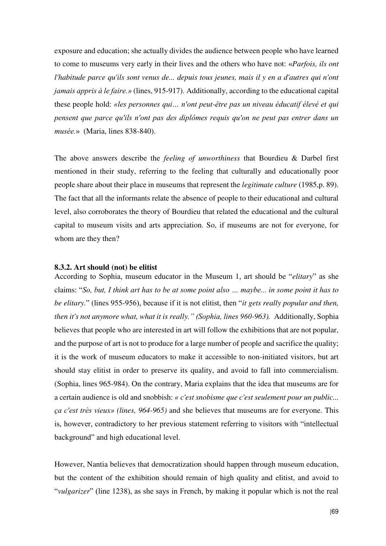exposure and education; she actually divides the audience between people who have learned to come to museums very early in their lives and the others who have not: «*Parfois, ils ont l'habitude parce qu'ils sont venus de... depuis tous jeunes, mais il y en a d'autres qui n'ont jamais appris à le faire.»* (lines, 915-917). Additionally, according to the educational capital these people hold: *«les personnes qui… n'ont peut-être pas un niveau éducatif élevé et qui pensent que parce qu'ils n'ont pas des diplômes requis qu'on ne peut pas entrer dans un musée.*» (Maria, lines 838-840).

The above answers describe the *feeling of unworthiness* that Bourdieu & Darbel first mentioned in their study, referring to the feeling that culturally and educationally poor people share about their place in museums that represent the *legitimate culture* (1985,p. 89). The fact that all the informants relate the absence of people to their educational and cultural level, also corroborates the theory of Bourdieu that related the educational and the cultural capital to museum visits and arts appreciation. So, if museums are not for everyone, for whom are they then?

### **8.3.2. Art should (not) be elitist**

According to Sophia, museum educator in the Museum 1, art should be "*elitary*" as she claims: "*So, but, I think art has to be at some point also … maybe... in some point it has to be elitary.*" (lines 955-956), because if it is not elitist, then "*it gets really popular and then, then it's not anymore what, what it is really." (Sophia, lines 960-963).* Additionally, Sophia believes that people who are interested in art will follow the exhibitions that are not popular, and the purpose of art is not to produce for a large number of people and sacrifice the quality; it is the work of museum educators to make it accessible to non-initiated visitors, but art should stay elitist in order to preserve its quality, and avoid to fall into commercialism. (Sophia, lines 965-984). On the contrary, Maria explains that the idea that museums are for a certain audience is old and snobbish: *« c'est snobisme que c'est seulement pour un public... ça c'est très vieux» (lines, 964-965)* and she believes that museums are for everyone. This is, however, contradictory to her previous statement referring to visitors with "intellectual background" and high educational level.

However, Nantia believes that democratization should happen through museum education, but the content of the exhibition should remain of high quality and elitist, and avoid to "*vulgarizer*" (line 1238), as she says in French, by making it popular which is not the real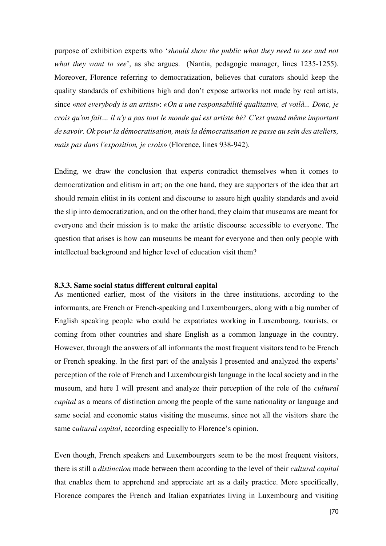purpose of exhibition experts who '*should show the public what they need to see and not what they want to see*', as she argues. (Nantia, pedagogic manager, lines 1235-1255). Moreover, Florence referring to democratization, believes that curators should keep the quality standards of exhibitions high and don't expose artworks not made by real artists, since «*not everybody is an artist*»: *«On a une responsabilité qualitative, et voilà... Donc, je crois qu'on fait… il n'y a pas tout le monde qui est artiste hé? C'est quand même important de savoir. Ok pour la démocratisation, mais la démocratisation se passe au sein des ateliers, mais pas dans l'exposition, je crois*» (Florence, lines 938-942).

Ending, we draw the conclusion that experts contradict themselves when it comes to democratization and elitism in art; on the one hand, they are supporters of the idea that art should remain elitist in its content and discourse to assure high quality standards and avoid the slip into democratization, and on the other hand, they claim that museums are meant for everyone and their mission is to make the artistic discourse accessible to everyone. The question that arises is how can museums be meant for everyone and then only people with intellectual background and higher level of education visit them?

#### **8.3.3. Same social status different cultural capital**

As mentioned earlier, most of the visitors in the three institutions, according to the informants, are French or French-speaking and Luxembourgers, along with a big number of English speaking people who could be expatriates working in Luxembourg, tourists, or coming from other countries and share English as a common language in the country. However, through the answers of all informants the most frequent visitors tend to be French or French speaking. In the first part of the analysis I presented and analyzed the experts' perception of the role of French and Luxembourgish language in the local society and in the museum, and here I will present and analyze their perception of the role of the *cultural capital* as a means of distinction among the people of the same nationality or language and same social and economic status visiting the museums, since not all the visitors share the same c*ultural capital*, according especially to Florence's opinion.

Even though, French speakers and Luxembourgers seem to be the most frequent visitors, there is still a *distinction* made between them according to the level of their *cultural capital* that enables them to apprehend and appreciate art as a daily practice. More specifically, Florence compares the French and Italian expatriates living in Luxembourg and visiting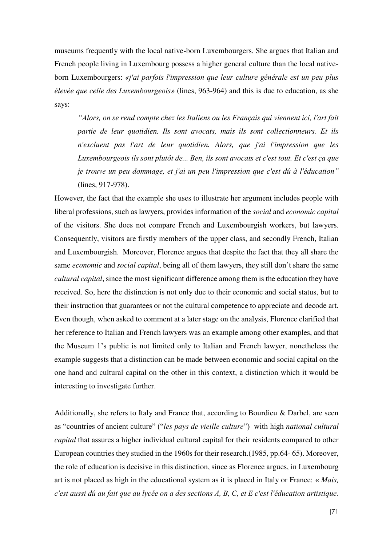museums frequently with the local native-born Luxembourgers. She argues that Italian and French people living in Luxembourg possess a higher general culture than the local nativeborn Luxembourgers: *«j'ai parfois l'impression que leur culture générale est un peu plus élevée que celle des Luxembourgeois»* (lines, 963-964) and this is due to education, as she says:

*"Alors, on se rend compte chez les Italiens ou les Français qui viennent ici, l'art fait partie de leur quotidien. Ils sont avocats, mais ils sont collectionneurs. Et ils n'excluent pas l'art de leur quotidien. Alors, que j'ai l'impression que les Luxembourgeois ils sont plutôt de... Ben, ils sont avocats et c'est tout. Et c'est ça que je trouve un peu dommage, et j'ai un peu l'impression que c'est dû à l'éducation"*  (lines, 917-978).

However, the fact that the example she uses to illustrate her argument includes people with liberal professions, such as lawyers, provides information of the *social* and *economic capital* of the visitors. She does not compare French and Luxembourgish workers, but lawyers. Consequently, visitors are firstly members of the upper class, and secondly French, Italian and Luxembourgish. Moreover, Florence argues that despite the fact that they all share the same *economic* and *social capital*, being all of them lawyers, they still don't share the same *cultural capital*, since the most significant difference among them is the education they have received. So, here the distinction is not only due to their economic and social status, but to their instruction that guarantees or not the cultural competence to appreciate and decode art. Even though, when asked to comment at a later stage on the analysis, Florence clarified that her reference to Italian and French lawyers was an example among other examples, and that the Museum 1's public is not limited only to Italian and French lawyer, nonetheless the example suggests that a distinction can be made between economic and social capital on the one hand and cultural capital on the other in this context, a distinction which it would be interesting to investigate further.

Additionally, she refers to Italy and France that, according to Bourdieu & Darbel, are seen as "countries of ancient culture" ("*les pays de vieille culture*") with high *national cultural capital* that assures a higher individual cultural capital for their residents compared to other European countries they studied in the 1960s for their research.(1985, pp.64- 65). Moreover, the role of education is decisive in this distinction, since as Florence argues, in Luxembourg art is not placed as high in the educational system as it is placed in Italy or France: « *Mais, c'est aussi dû au fait que au lycée on a des sections A, B, C, et E c'est l'éducation artistique.*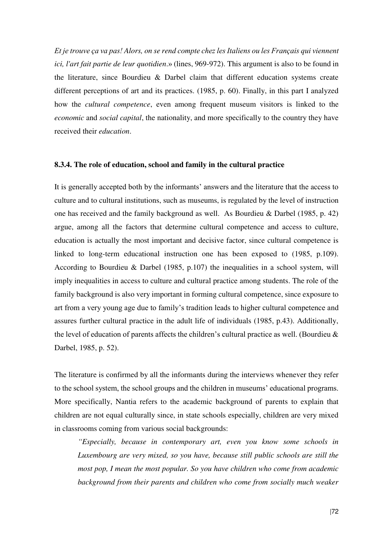*Et je trouve ça va pas! Alors, on se rend compte chez les Italiens ou les Français qui viennent ici, l'art fait partie de leur quotidien*.» (lines, 969-972). This argument is also to be found in the literature, since Bourdieu & Darbel claim that different education systems create different perceptions of art and its practices. (1985, p. 60). Finally, in this part I analyzed how the *cultural competence*, even among frequent museum visitors is linked to the *economic* and *social capital*, the nationality, and more specifically to the country they have received their *education*.

#### **8.3.4. The role of education, school and family in the cultural practice**

It is generally accepted both by the informants' answers and the literature that the access to culture and to cultural institutions, such as museums, is regulated by the level of instruction one has received and the family background as well. As Bourdieu & Darbel (1985, p. 42) argue, among all the factors that determine cultural competence and access to culture, education is actually the most important and decisive factor, since cultural competence is linked to long-term educational instruction one has been exposed to (1985, p.109). According to Bourdieu & Darbel (1985, p.107) the inequalities in a school system, will imply inequalities in access to culture and cultural practice among students. The role of the family background is also very important in forming cultural competence, since exposure to art from a very young age due to family's tradition leads to higher cultural competence and assures further cultural practice in the adult life of individuals (1985, p.43). Additionally, the level of education of parents affects the children's cultural practice as well. (Bourdieu & Darbel, 1985, p. 52).

The literature is confirmed by all the informants during the interviews whenever they refer to the school system, the school groups and the children in museums' educational programs. More specifically, Nantia refers to the academic background of parents to explain that children are not equal culturally since, in state schools especially, children are very mixed in classrooms coming from various social backgrounds:

*"Especially, because in contemporary art, even you know some schools in Luxembourg are very mixed, so you have, because still public schools are still the most pop, I mean the most popular. So you have children who come from academic background from their parents and children who come from socially much weaker*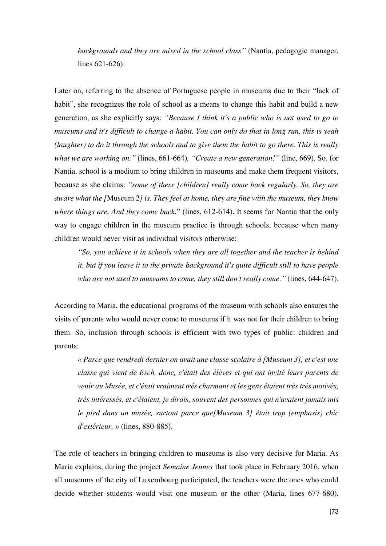*backgrounds and they are mixed in the school class"* (Nantia, pedagogic manager, lines 621-626).

Later on, referring to the absence of Portuguese people in museums due to their "lack of habit", she recognizes the role of school as a means to change this habit and build a new generation, as she explicitly says: *"Because I think it's a public who is not used to go to museums and it's difficult to change a habit. You can only do that in long run, this is yeah (laughter) to do it through the schools and to give them the habit to go there. This is really what we are working on."* (lines, 661-664)*, "Create a new generation!"* (line, 669). So, for Nantia, school is a medium to bring children in museums and make them frequent visitors, because as she claims: *"some of these [children] really come back regularly. So, they are aware what the [*Museum 2*] is. They feel at home, they are fine with the museum, they know where things are. And they come back*." (lines, 612-614). It seems for Nantia that the only way to engage children in the museum practice is through schools, because when many children would never visit as individual visitors otherwise:

*"So, you achieve it in schools when they are all together and the teacher is behind it, but if you leave it to the private background it's quite difficult still to have people who are not used to museums to come, they still don't really come."* (lines, 644-647).

According to Maria, the educational programs of the museum with schools also ensures the visits of parents who would never come to museums if it was not for their children to bring them. So, inclusion through schools is efficient with two types of public: children and parents:

*« Parce que vendredi dernier on avait une classe scolaire à [Museum 3], et c'est une classe qui vient de Esch, donc, c'était des élèves et qui ont invité leurs parents de venir au Musée, et c'était vraiment très charmant et les gens étaient très très motivés, très intéressés, et c'étaient, je dirais, souvent des personnes qui n'avaient jamais mis le pied dans un musée, surtout parce que[Museum 3] était trop (emphasis) chic d'extérieur. »* (lines, 880-885).

The role of teachers in bringing children to museums is also very decisive for Maria. As Maria explains, during the project *Semaine Jeunes* that took place in February 2016, when all museums of the city of Luxembourg participated, the teachers were the ones who could decide whether students would visit one museum or the other (Maria, lines 677-680).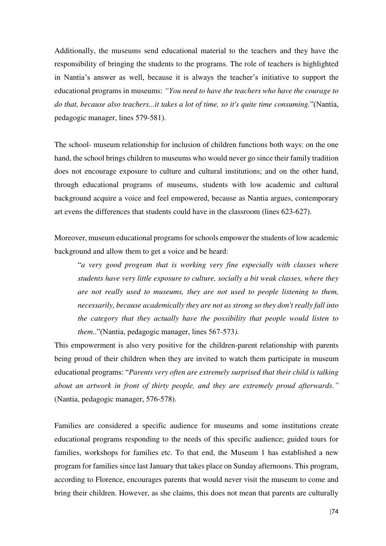Additionally, the museums send educational material to the teachers and they have the responsibility of bringing the students to the programs. The role of teachers is highlighted in Nantia's answer as well, because it is always the teacher's initiative to support the educational programs in museums: *"You need to have the teachers who have the courage to do that, because also teachers...it takes a lot of time, so it's quite time consuming.*"(Nantia, pedagogic manager, lines 579-581).

The school- museum relationship for inclusion of children functions both ways: on the one hand, the school brings children to museums who would never go since their family tradition does not encourage exposure to culture and cultural institutions; and on the other hand, through educational programs of museums, students with low academic and cultural background acquire a voice and feel empowered, because as Nantia argues, contemporary art evens the differences that students could have in the classroom (lines 623-627).

Moreover, museum educational programs for schools empower the students of low academic background and allow them to get a voice and be heard:

"*a very good program that is working very fine especially with classes where students have very little exposure to culture, socially a bit weak classes, where they are not really used to museums, they are not used to people listening to them, necessarily, because academically they are not as strong so they don't really fall into the category that they actually have the possibility that people would listen to them.*."(Nantia, pedagogic manager, lines 567-573*).* 

This empowerment is also very positive for the children-parent relationship with parents being proud of their children when they are invited to watch them participate in museum educational programs: "*Parents very often are extremely surprised that their child is talking about an artwork in front of thirty people, and they are extremely proud afterwards."*  (Nantia, pedagogic manager, 576-578).

Families are considered a specific audience for museums and some institutions create educational programs responding to the needs of this specific audience; guided tours for families, workshops for families etc. To that end, the Museum 1 has established a new program for families since last January that takes place on Sunday afternoons. This program, according to Florence, encourages parents that would never visit the museum to come and bring their children. However, as she claims, this does not mean that parents are culturally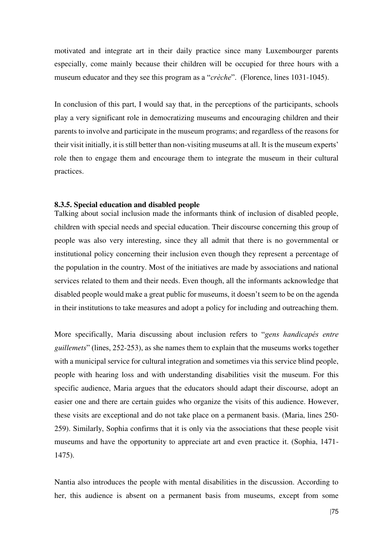motivated and integrate art in their daily practice since many Luxembourger parents especially, come mainly because their children will be occupied for three hours with a museum educator and they see this program as a "*crèche*". (Florence, lines 1031-1045).

In conclusion of this part, I would say that, in the perceptions of the participants, schools play a very significant role in democratizing museums and encouraging children and their parents to involve and participate in the museum programs; and regardless of the reasons for their visit initially, it is still better than non-visiting museums at all. It is the museum experts' role then to engage them and encourage them to integrate the museum in their cultural practices.

### **8.3.5. Special education and disabled people**

Talking about social inclusion made the informants think of inclusion of disabled people, children with special needs and special education. Their discourse concerning this group of people was also very interesting, since they all admit that there is no governmental or institutional policy concerning their inclusion even though they represent a percentage of the population in the country. Most of the initiatives are made by associations and national services related to them and their needs. Even though, all the informants acknowledge that disabled people would make a great public for museums, it doesn't seem to be on the agenda in their institutions to take measures and adopt a policy for including and outreaching them.

More specifically, Maria discussing about inclusion refers to "*gens handicapés entre guillemets*" (lines, 252-253), as she names them to explain that the museums works together with a municipal service for cultural integration and sometimes via this service blind people, people with hearing loss and with understanding disabilities visit the museum. For this specific audience, Maria argues that the educators should adapt their discourse, adopt an easier one and there are certain guides who organize the visits of this audience. However, these visits are exceptional and do not take place on a permanent basis. (Maria, lines 250- 259). Similarly, Sophia confirms that it is only via the associations that these people visit museums and have the opportunity to appreciate art and even practice it. (Sophia, 1471- 1475).

Nantia also introduces the people with mental disabilities in the discussion. According to her, this audience is absent on a permanent basis from museums, except from some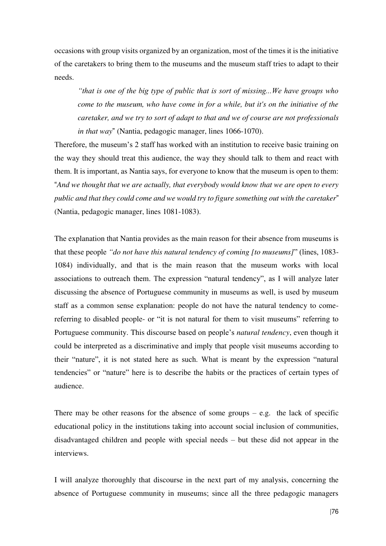occasions with group visits organized by an organization, most of the times it is the initiative of the caretakers to bring them to the museums and the museum staff tries to adapt to their needs.

*"that is one of the big type of public that is sort of missing...We have groups who come to the museum, who have come in for a while, but it's on the initiative of the caretaker, and we try to sort of adapt to that and we of course are not professionals in that way*" (Nantia, pedagogic manager, lines 1066-1070).

Therefore, the museum's 2 staff has worked with an institution to receive basic training on the way they should treat this audience, the way they should talk to them and react with them. It is important, as Nantia says, for everyone to know that the museum is open to them: "*And we thought that we are actually, that everybody would know that we are open to every public and that they could come and we would try to figure something out with the caretaker*" (Nantia, pedagogic manager, lines 1081-1083).

The explanation that Nantia provides as the main reason for their absence from museums is that these people *"do not have this natural tendency of coming [to museums]*" (lines, 1083- 1084) individually, and that is the main reason that the museum works with local associations to outreach them. The expression "natural tendency", as I will analyze later discussing the absence of Portuguese community in museums as well, is used by museum staff as a common sense explanation: people do not have the natural tendency to comereferring to disabled people- or "it is not natural for them to visit museums" referring to Portuguese community. This discourse based on people's *natural tendency*, even though it could be interpreted as a discriminative and imply that people visit museums according to their "nature", it is not stated here as such. What is meant by the expression "natural tendencies" or "nature" here is to describe the habits or the practices of certain types of audience.

There may be other reasons for the absence of some groups  $-$  e.g. the lack of specific educational policy in the institutions taking into account social inclusion of communities, disadvantaged children and people with special needs – but these did not appear in the interviews.

I will analyze thoroughly that discourse in the next part of my analysis, concerning the absence of Portuguese community in museums; since all the three pedagogic managers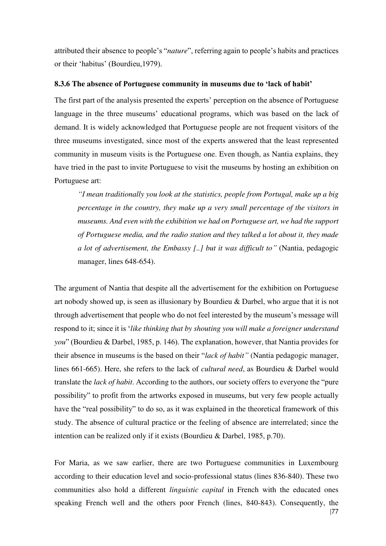attributed their absence to people's "*nature*", referring again to people's habits and practices or their 'habitus' (Bourdieu,1979).

#### **8.3.6 The absence of Portuguese community in museums due to 'lack of habit'**

The first part of the analysis presented the experts' perception on the absence of Portuguese language in the three museums' educational programs, which was based on the lack of demand. It is widely acknowledged that Portuguese people are not frequent visitors of the three museums investigated, since most of the experts answered that the least represented community in museum visits is the Portuguese one. Even though, as Nantia explains, they have tried in the past to invite Portuguese to visit the museums by hosting an exhibition on Portuguese art:

*"I mean traditionally you look at the statistics, people from Portugal, make up a big percentage in the country, they make up a very small percentage of the visitors in museums. And even with the exhibition we had on Portuguese art, we had the support of Portuguese media, and the radio station and they talked a lot about it, they made a lot of advertisement, the Embassy [..] but it was difficult to"* (Nantia, pedagogic manager, lines 648-654).

The argument of Nantia that despite all the advertisement for the exhibition on Portuguese art nobody showed up, is seen as illusionary by Bourdieu & Darbel, who argue that it is not through advertisement that people who do not feel interested by the museum's message will respond to it; since it is '*like thinking that by shouting you will make a foreigner understand you*" (Bourdieu & Darbel, 1985, p. 146). The explanation, however, that Nantia provides for their absence in museums is the based on their "*lack of habit"* (Nantia pedagogic manager, lines 661-665). Here, she refers to the lack of *cultural need*, as Bourdieu & Darbel would translate the *lack of habit*. According to the authors, our society offers to everyone the "pure possibility" to profit from the artworks exposed in museums, but very few people actually have the "real possibility" to do so, as it was explained in the theoretical framework of this study. The absence of cultural practice or the feeling of absence are interrelated; since the intention can be realized only if it exists (Bourdieu & Darbel, 1985, p.70).

For Maria, as we saw earlier, there are two Portuguese communities in Luxembourg according to their education level and socio-professional status (lines 836-840). These two communities also hold a different *linguistic capital* in French with the educated ones speaking French well and the others poor French (lines, 840-843). Consequently, the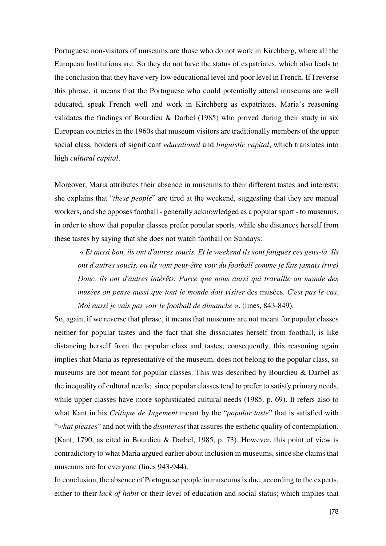Portuguese non-visitors of museums are those who do not work in Kirchberg, where all the European Institutions are. So they do not have the status of expatriates, which also leads to the conclusion that they have very low educational level and poor level in French. If I reverse this phrase, it means that the Portuguese who could potentially attend museums are well educated, speak French well and work in Kirchberg as expatriates. Maria's reasoning validates the findings of Bourdieu & Darbel (1985) who proved during their study in six European countries in the 1960s that museum visitors are traditionally members of the upper social class, holders of significant *educational* and *linguistic capital*, which translates into high *cultural capital*.

Moreover, Maria attributes their absence in museums to their different tastes and interests; she explains that "*these people*" are tired at the weekend, suggesting that they are manual workers, and she opposes football - generally acknowledged as a popular sport - to museums, in order to show that popular classes prefer popular sports, while she distances herself from these tastes by saying that she does not watch football on Sundays:

« *Et aussi bon, ils ont d'autres soucis. Et le weekend ils sont fatigués ces gens-là. Ils ont d'autres soucis, ou ils vont peut-être voir du football comme je fais jamais (rire) Donc, ils ont d'autres intérêts. Parce que nous aussi qui travaille au monde des musées on pense aussi que tout le monde doit visiter* des musées. *C'est pas le cas. Moi aussi je vais pas voir le football de dimanche* ». (lines, 843-849).

So, again, if we reverse that phrase, it means that museums are not meant for popular classes neither for popular tastes and the fact that she dissociates herself from football, is like distancing herself from the popular class and tastes; consequently, this reasoning again implies that Maria as representative of the museum, does not belong to the popular class, so museums are not meant for popular classes. This was described by Bourdieu & Darbel as the inequality of cultural needs; since popular classes tend to prefer to satisfy primary needs, while upper classes have more sophisticated cultural needs (1985, p. 69). It refers also to what Kant in his *Critique de Jugement* meant by the "*popular taste*" that is satisfied with "*what pleases*" and not with the *disinterest* that assures the esthetic quality of contemplation. (Kant, 1790, as cited in Bourdieu & Darbel, 1985, p. 73). However, this point of view is contradictory to what Maria argued earlier about inclusion in museums, since she claims that museums are for everyone (lines 943-944).

In conclusion, the absence of Portuguese people in museums is due, according to the experts, either to their *lack of habit* or their level of education and social status; which implies that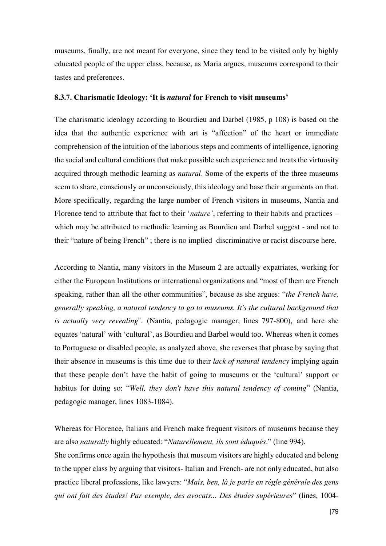museums, finally, are not meant for everyone, since they tend to be visited only by highly educated people of the upper class, because, as Maria argues, museums correspond to their tastes and preferences.

#### **8.3.7. Charismatic Ideology: 'It is** *natural* **for French to visit museums'**

The charismatic ideology according to Bourdieu and Darbel (1985, p 108) is based on the idea that the authentic experience with art is "affection" of the heart or immediate comprehension of the intuition of the laborious steps and comments of intelligence, ignoring the social and cultural conditions that make possible such experience and treats the virtuosity acquired through methodic learning as *natural*. Some of the experts of the three museums seem to share, consciously or unconsciously, this ideology and base their arguments on that. More specifically, regarding the large number of French visitors in museums, Nantia and Florence tend to attribute that fact to their '*nature'*, referring to their habits and practices – which may be attributed to methodic learning as Bourdieu and Darbel suggest - and not to their "nature of being French" ; there is no implied discriminative or racist discourse here.

According to Nantia, many visitors in the Museum 2 are actually expatriates, working for either the European Institutions or international organizations and "most of them are French speaking, rather than all the other communities", because as she argues: "*the French have, generally speaking, a natural tendency to go to museums. It's the cultural background that is actually very revealing*". (Nantia, pedagogic manager, lines 797-800), and here she equates 'natural' with 'cultural', as Bourdieu and Barbel would too. Whereas when it comes to Portuguese or disabled people, as analyzed above, she reverses that phrase by saying that their absence in museums is this time due to their *lack of natural tendency* implying again that these people don't have the habit of going to museums or the 'cultural' support or habitus for doing so: "*Well, they don't have this natural tendency of coming*" (Nantia, pedagogic manager, lines 1083-1084).

Whereas for Florence, Italians and French make frequent visitors of museums because they are also *naturally* highly educated: "*Naturellement, ils sont éduqués*." (line 994). She confirms once again the hypothesis that museum visitors are highly educated and belong to the upper class by arguing that visitors- Italian and French- are not only educated, but also practice liberal professions, like lawyers: "*Mais, ben, là je parle en règle générale des gens qui ont fait des études! Par exemple, des avocats... Des études supérieures*" (lines, 1004-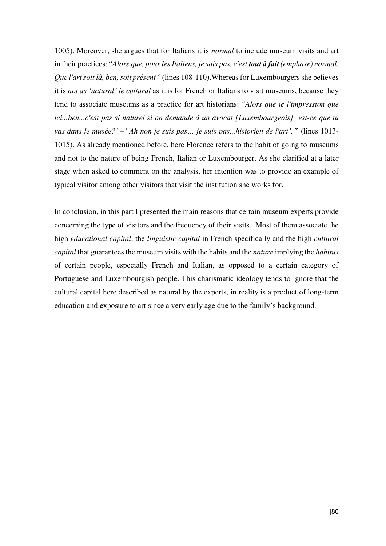1005). Moreover, she argues that for Italians it is *normal* to include museum visits and art in their practices: "*Alors que, pour les Italiens, je sais pas, c'est tout à fait (emphase) normal. Que l'art soit là, ben, soit présent* " (lines 108-110).Whereas for Luxembourgers she believes it is *not as 'natural' ie cultural* as it is for French or Italians to visit museums, because they tend to associate museums as a practice for art historians: "*Alors que je l'impression que ici...ben...c'est pas si naturel si on demande à un avocat [Luxembourgeois] 'est-ce que tu vas dans le musée?' –' Ah non je suis pas… je suis pas...historien de l'art'.* " (lines 1013- 1015). As already mentioned before, here Florence refers to the habit of going to museums and not to the nature of being French, Italian or Luxembourger. As she clarified at a later stage when asked to comment on the analysis, her intention was to provide an example of typical visitor among other visitors that visit the institution she works for.

In conclusion, in this part I presented the main reasons that certain museum experts provide concerning the type of visitors and the frequency of their visits. Most of them associate the high *educational capital*, the *linguistic capital* in French specifically and the high *cultural capital* that guarantees the museum visits with the habits and the *nature* implying the *habitus* of certain people, especially French and Italian, as opposed to a certain category of Portuguese and Luxembourgish people. This charismatic ideology tends to ignore that the cultural capital here described as natural by the experts, in reality is a product of long-term education and exposure to art since a very early age due to the family's background.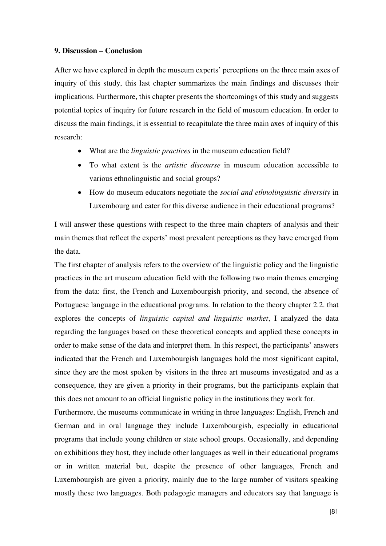#### **9. Discussion – Conclusion**

After we have explored in depth the museum experts' perceptions on the three main axes of inquiry of this study, this last chapter summarizes the main findings and discusses their implications. Furthermore, this chapter presents the shortcomings of this study and suggests potential topics of inquiry for future research in the field of museum education. In order to discuss the main findings, it is essential to recapitulate the three main axes of inquiry of this research:

- What are the *linguistic practices* in the museum education field?
- To what extent is the *artistic discourse* in museum education accessible to various ethnolinguistic and social groups?
- How do museum educators negotiate the *social and ethnolinguistic diversity* in Luxembourg and cater for this diverse audience in their educational programs?

I will answer these questions with respect to the three main chapters of analysis and their main themes that reflect the experts' most prevalent perceptions as they have emerged from the data.

The first chapter of analysis refers to the overview of the linguistic policy and the linguistic practices in the art museum education field with the following two main themes emerging from the data: first, the French and Luxembourgish priority, and second, the absence of Portuguese language in the educational programs. In relation to the theory chapter 2.2. that explores the concepts of *linguistic capital and linguistic market*, I analyzed the data regarding the languages based on these theoretical concepts and applied these concepts in order to make sense of the data and interpret them. In this respect, the participants' answers indicated that the French and Luxembourgish languages hold the most significant capital, since they are the most spoken by visitors in the three art museums investigated and as a consequence, they are given a priority in their programs, but the participants explain that this does not amount to an official linguistic policy in the institutions they work for.

Furthermore, the museums communicate in writing in three languages: English, French and German and in oral language they include Luxembourgish, especially in educational programs that include young children or state school groups. Occasionally, and depending on exhibitions they host, they include other languages as well in their educational programs or in written material but, despite the presence of other languages, French and Luxembourgish are given a priority, mainly due to the large number of visitors speaking mostly these two languages. Both pedagogic managers and educators say that language is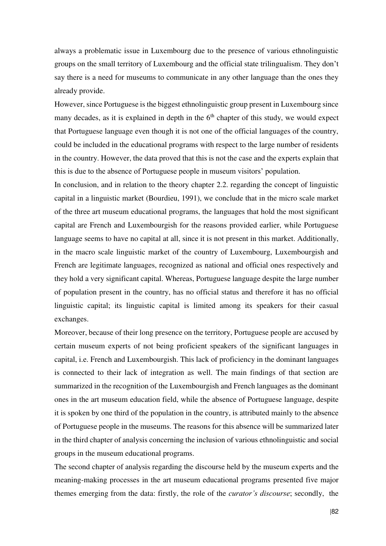always a problematic issue in Luxembourg due to the presence of various ethnolinguistic groups on the small territory of Luxembourg and the official state trilingualism. They don't say there is a need for museums to communicate in any other language than the ones they already provide.

However, since Portuguese is the biggest ethnolinguistic group present in Luxembourg since many decades, as it is explained in depth in the  $6<sup>th</sup>$  chapter of this study, we would expect that Portuguese language even though it is not one of the official languages of the country, could be included in the educational programs with respect to the large number of residents in the country. However, the data proved that this is not the case and the experts explain that this is due to the absence of Portuguese people in museum visitors' population.

In conclusion, and in relation to the theory chapter 2.2. regarding the concept of linguistic capital in a linguistic market (Bourdieu, 1991), we conclude that in the micro scale market of the three art museum educational programs, the languages that hold the most significant capital are French and Luxembourgish for the reasons provided earlier, while Portuguese language seems to have no capital at all, since it is not present in this market. Additionally, in the macro scale linguistic market of the country of Luxembourg, Luxembourgish and French are legitimate languages, recognized as national and official ones respectively and they hold a very significant capital. Whereas, Portuguese language despite the large number of population present in the country, has no official status and therefore it has no official linguistic capital; its linguistic capital is limited among its speakers for their casual exchanges.

Moreover, because of their long presence on the territory, Portuguese people are accused by certain museum experts of not being proficient speakers of the significant languages in capital, i.e. French and Luxembourgish. This lack of proficiency in the dominant languages is connected to their lack of integration as well. The main findings of that section are summarized in the recognition of the Luxembourgish and French languages as the dominant ones in the art museum education field, while the absence of Portuguese language, despite it is spoken by one third of the population in the country, is attributed mainly to the absence of Portuguese people in the museums. The reasons for this absence will be summarized later in the third chapter of analysis concerning the inclusion of various ethnolinguistic and social groups in the museum educational programs.

The second chapter of analysis regarding the discourse held by the museum experts and the meaning-making processes in the art museum educational programs presented five major themes emerging from the data: firstly, the role of the *curator's discourse*; secondly, the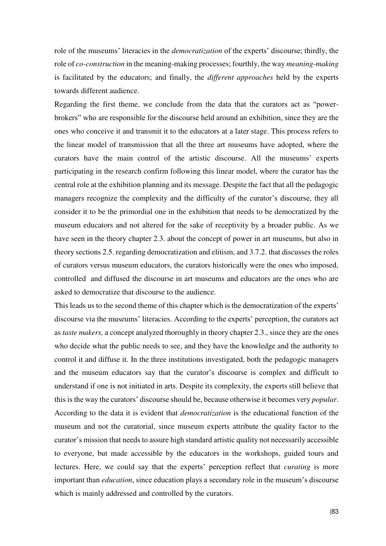role of the museums' literacies in the *democratization* of the experts' discourse; thirdly, the role of *co-construction* in the meaning-making processes; fourthly, the way *meaning-making* is facilitated by the educators; and finally, the *different approaches* held by the experts towards different audience.

Regarding the first theme, we conclude from the data that the curators act as "powerbrokers" who are responsible for the discourse held around an exhibition, since they are the ones who conceive it and transmit it to the educators at a later stage. This process refers to the linear model of transmission that all the three art museums have adopted, where the curators have the main control of the artistic discourse. All the museums' experts participating in the research confirm following this linear model, where the curator has the central role at the exhibition planning and its message. Despite the fact that all the pedagogic managers recognize the complexity and the difficulty of the curator's discourse, they all consider it to be the primordial one in the exhibition that needs to be democratized by the museum educators and not altered for the sake of receptivity by a broader public. As we have seen in the theory chapter 2.3. about the concept of power in art museums, but also in theory sections 2.5. regarding democratization and elitism, and 3.7.2. that discusses the roles of curators versus museum educators, the curators historically were the ones who imposed, controlled and diffused the discourse in art museums and educators are the ones who are asked to democratize that discourse to the audience.

This leads us to the second theme of this chapter which is the democratization of the experts' discourse via the museums' literacies. According to the experts' perception, the curators act as *taste makers,* a concept analyzed thoroughly in theory chapter 2.3., since they are the ones who decide what the public needs to see, and they have the knowledge and the authority to control it and diffuse it. In the three institutions investigated, both the pedagogic managers and the museum educators say that the curator's discourse is complex and difficult to understand if one is not initiated in arts. Despite its complexity, the experts still believe that this is the way the curators' discourse should be, because otherwise it becomes very *popular*. According to the data it is evident that *democratization* is the educational function of the museum and not the curatorial, since museum experts attribute the quality factor to the curator's mission that needs to assure high standard artistic quality not necessarily accessible to everyone, but made accessible by the educators in the workshops, guided tours and lectures. Here, we could say that the experts' perception reflect that *curating* is more important than *education*, since education plays a secondary role in the museum's discourse which is mainly addressed and controlled by the curators.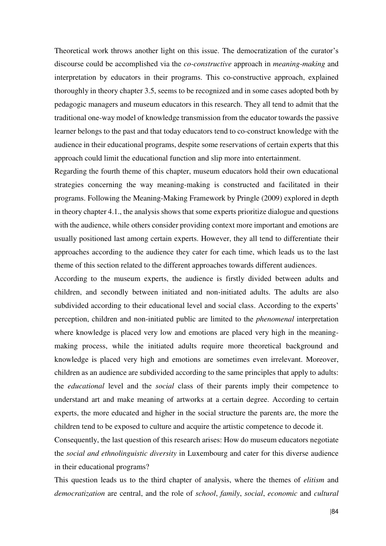Theoretical work throws another light on this issue. The democratization of the curator's discourse could be accomplished via the *co-constructive* approach in *meaning-making* and interpretation by educators in their programs. This co-constructive approach, explained thoroughly in theory chapter 3.5, seems to be recognized and in some cases adopted both by pedagogic managers and museum educators in this research. They all tend to admit that the traditional one-way model of knowledge transmission from the educator towards the passive learner belongs to the past and that today educators tend to co-construct knowledge with the audience in their educational programs, despite some reservations of certain experts that this approach could limit the educational function and slip more into entertainment.

Regarding the fourth theme of this chapter, museum educators hold their own educational strategies concerning the way meaning-making is constructed and facilitated in their programs. Following the Meaning-Making Framework by Pringle (2009) explored in depth in theory chapter 4.1., the analysis shows that some experts prioritize dialogue and questions with the audience, while others consider providing context more important and emotions are usually positioned last among certain experts. However, they all tend to differentiate their approaches according to the audience they cater for each time, which leads us to the last theme of this section related to the different approaches towards different audiences.

According to the museum experts, the audience is firstly divided between adults and children, and secondly between initiated and non-initiated adults. The adults are also subdivided according to their educational level and social class. According to the experts' perception, children and non-initiated public are limited to the *phenomenal* interpretation where knowledge is placed very low and emotions are placed very high in the meaningmaking process, while the initiated adults require more theoretical background and knowledge is placed very high and emotions are sometimes even irrelevant. Moreover, children as an audience are subdivided according to the same principles that apply to adults: the *educational* level and the *social* class of their parents imply their competence to understand art and make meaning of artworks at a certain degree. According to certain experts, the more educated and higher in the social structure the parents are, the more the children tend to be exposed to culture and acquire the artistic competence to decode it.

Consequently, the last question of this research arises: How do museum educators negotiate the *social and ethnolinguistic diversity* in Luxembourg and cater for this diverse audience in their educational programs?

This question leads us to the third chapter of analysis, where the themes of *elitism* and *democratization* are central, and the role of *school*, *family*, *social*, *economic* and *cultural*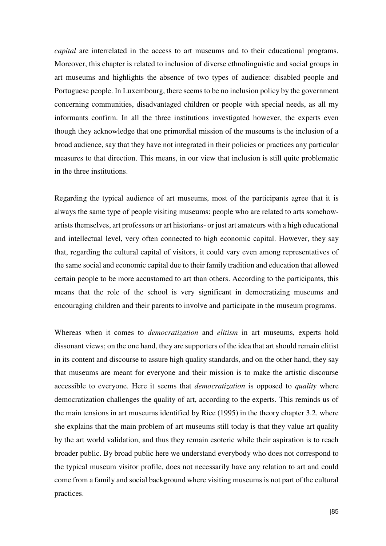*capital* are interrelated in the access to art museums and to their educational programs. Moreover, this chapter is related to inclusion of diverse ethnolinguistic and social groups in art museums and highlights the absence of two types of audience: disabled people and Portuguese people. In Luxembourg, there seems to be no inclusion policy by the government concerning communities, disadvantaged children or people with special needs, as all my informants confirm. In all the three institutions investigated however, the experts even though they acknowledge that one primordial mission of the museums is the inclusion of a broad audience, say that they have not integrated in their policies or practices any particular measures to that direction. This means, in our view that inclusion is still quite problematic in the three institutions.

Regarding the typical audience of art museums, most of the participants agree that it is always the same type of people visiting museums: people who are related to arts somehowartists themselves, art professors or art historians- or just art amateurs with a high educational and intellectual level, very often connected to high economic capital. However, they say that, regarding the cultural capital of visitors, it could vary even among representatives of the same social and economic capital due to their family tradition and education that allowed certain people to be more accustomed to art than others. According to the participants, this means that the role of the school is very significant in democratizing museums and encouraging children and their parents to involve and participate in the museum programs.

Whereas when it comes to *democratization* and *elitism* in art museums, experts hold dissonant views; on the one hand, they are supporters of the idea that art should remain elitist in its content and discourse to assure high quality standards, and on the other hand, they say that museums are meant for everyone and their mission is to make the artistic discourse accessible to everyone. Here it seems that *democratization* is opposed to *quality* where democratization challenges the quality of art, according to the experts. This reminds us of the main tensions in art museums identified by Rice (1995) in the theory chapter 3.2. where she explains that the main problem of art museums still today is that they value art quality by the art world validation, and thus they remain esoteric while their aspiration is to reach broader public. By broad public here we understand everybody who does not correspond to the typical museum visitor profile, does not necessarily have any relation to art and could come from a family and social background where visiting museums is not part of the cultural practices.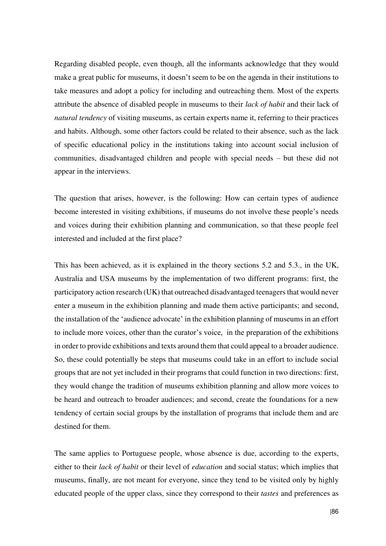Regarding disabled people, even though, all the informants acknowledge that they would make a great public for museums, it doesn't seem to be on the agenda in their institutions to take measures and adopt a policy for including and outreaching them. Most of the experts attribute the absence of disabled people in museums to their *lack of habit* and their lack of *natural tendency* of visiting museums, as certain experts name it, referring to their practices and habits. Although, some other factors could be related to their absence, such as the lack of specific educational policy in the institutions taking into account social inclusion of communities, disadvantaged children and people with special needs – but these did not appear in the interviews.

The question that arises, however, is the following: How can certain types of audience become interested in visiting exhibitions, if museums do not involve these people's needs and voices during their exhibition planning and communication, so that these people feel interested and included at the first place?

This has been achieved, as it is explained in the theory sections 5.2 and 5.3., in the UK, Australia and USA museums by the implementation of two different programs: first, the participatory action research (UK) that outreached disadvantaged teenagers that would never enter a museum in the exhibition planning and made them active participants; and second, the installation of the 'audience advocate' in the exhibition planning of museums in an effort to include more voices, other than the curator's voice, in the preparation of the exhibitions in order to provide exhibitions and texts around them that could appeal to a broader audience. So, these could potentially be steps that museums could take in an effort to include social groups that are not yet included in their programs that could function in two directions: first, they would change the tradition of museums exhibition planning and allow more voices to be heard and outreach to broader audiences; and second, create the foundations for a new tendency of certain social groups by the installation of programs that include them and are destined for them.

The same applies to Portuguese people, whose absence is due, according to the experts, either to their *lack of habit* or their level of *education* and social status; which implies that museums, finally, are not meant for everyone, since they tend to be visited only by highly educated people of the upper class, since they correspond to their *tastes* and preferences as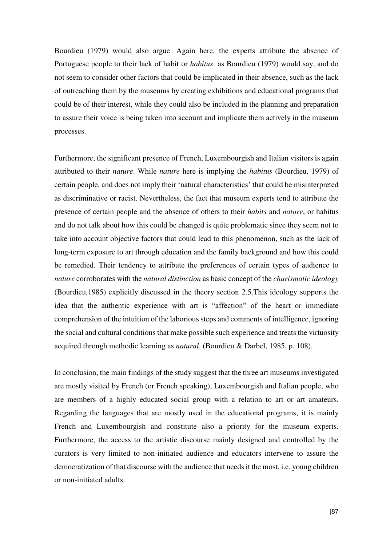Bourdieu (1979) would also argue. Again here, the experts attribute the absence of Portuguese people to their lack of habit or *habitus* as Bourdieu (1979) would say, and do not seem to consider other factors that could be implicated in their absence, such as the lack of outreaching them by the museums by creating exhibitions and educational programs that could be of their interest, while they could also be included in the planning and preparation to assure their voice is being taken into account and implicate them actively in the museum processes.

Furthermore, the significant presence of French, Luxembourgish and Italian visitors is again attributed to their *nature*. While *nature* here is implying the *habitus* (Bourdieu, 1979) of certain people, and does not imply their 'natural characteristics' that could be misinterpreted as discriminative or racist. Nevertheless, the fact that museum experts tend to attribute the presence of certain people and the absence of others to their *habits* and *nature*, or habitus and do not talk about how this could be changed is quite problematic since they seem not to take into account objective factors that could lead to this phenomenon, such as the lack of long-term exposure to art through education and the family background and how this could be remedied. Their tendency to attribute the preferences of certain types of audience to *nature* corroborates with the *natural distinction* as basic concept of the *charismatic ideology* (Bourdieu,1985) explicitly discussed in the theory section 2.5.This ideology supports the idea that the authentic experience with art is "affection" of the heart or immediate comprehension of the intuition of the laborious steps and comments of intelligence, ignoring the social and cultural conditions that make possible such experience and treats the virtuosity acquired through methodic learning as *natural*. (Bourdieu & Darbel, 1985, p. 108).

In conclusion, the main findings of the study suggest that the three art museums investigated are mostly visited by French (or French speaking), Luxembourgish and Italian people, who are members of a highly educated social group with a relation to art or art amateurs. Regarding the languages that are mostly used in the educational programs, it is mainly French and Luxembourgish and constitute also a priority for the museum experts. Furthermore, the access to the artistic discourse mainly designed and controlled by the curators is very limited to non-initiated audience and educators intervene to assure the democratization of that discourse with the audience that needs it the most, i.e. young children or non-initiated adults.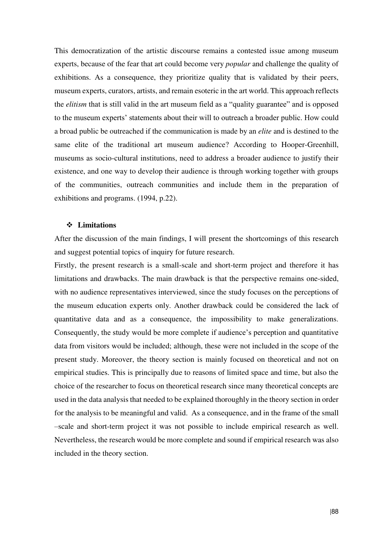This democratization of the artistic discourse remains a contested issue among museum experts, because of the fear that art could become very *popular* and challenge the quality of exhibitions. As a consequence, they prioritize quality that is validated by their peers, museum experts, curators, artists, and remain esoteric in the art world. This approach reflects the *elitism* that is still valid in the art museum field as a "quality guarantee" and is opposed to the museum experts' statements about their will to outreach a broader public. How could a broad public be outreached if the communication is made by an *elite* and is destined to the same elite of the traditional art museum audience? According to Hooper-Greenhill, museums as socio-cultural institutions, need to address a broader audience to justify their existence, and one way to develop their audience is through working together with groups of the communities, outreach communities and include them in the preparation of exhibitions and programs. (1994, p.22).

### **Limitations**

After the discussion of the main findings, I will present the shortcomings of this research and suggest potential topics of inquiry for future research.

Firstly, the present research is a small-scale and short-term project and therefore it has limitations and drawbacks. The main drawback is that the perspective remains one-sided, with no audience representatives interviewed, since the study focuses on the perceptions of the museum education experts only. Another drawback could be considered the lack of quantitative data and as a consequence, the impossibility to make generalizations. Consequently, the study would be more complete if audience's perception and quantitative data from visitors would be included; although, these were not included in the scope of the present study. Moreover, the theory section is mainly focused on theoretical and not on empirical studies. This is principally due to reasons of limited space and time, but also the choice of the researcher to focus on theoretical research since many theoretical concepts are used in the data analysis that needed to be explained thoroughly in the theory section in order for the analysis to be meaningful and valid. As a consequence, and in the frame of the small –scale and short-term project it was not possible to include empirical research as well. Nevertheless, the research would be more complete and sound if empirical research was also included in the theory section.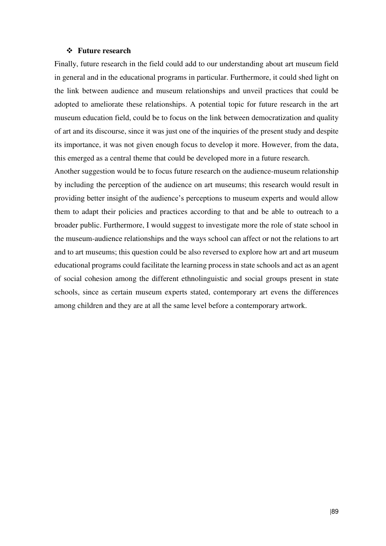#### **Future research**

Finally, future research in the field could add to our understanding about art museum field in general and in the educational programs in particular. Furthermore, it could shed light on the link between audience and museum relationships and unveil practices that could be adopted to ameliorate these relationships. A potential topic for future research in the art museum education field, could be to focus on the link between democratization and quality of art and its discourse, since it was just one of the inquiries of the present study and despite its importance, it was not given enough focus to develop it more. However, from the data, this emerged as a central theme that could be developed more in a future research.

Another suggestion would be to focus future research on the audience-museum relationship by including the perception of the audience on art museums; this research would result in providing better insight of the audience's perceptions to museum experts and would allow them to adapt their policies and practices according to that and be able to outreach to a broader public. Furthermore, I would suggest to investigate more the role of state school in the museum-audience relationships and the ways school can affect or not the relations to art and to art museums; this question could be also reversed to explore how art and art museum educational programs could facilitate the learning process in state schools and act as an agent of social cohesion among the different ethnolinguistic and social groups present in state schools, since as certain museum experts stated, contemporary art evens the differences among children and they are at all the same level before a contemporary artwork.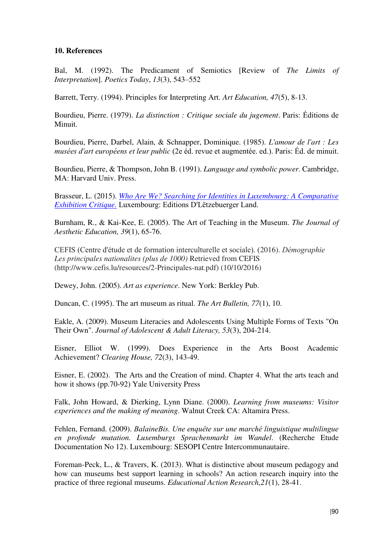### **10. References**

Bal, M. (1992). The Predicament of Semiotics [Review of *The Limits of Interpretation*]. *Poetics Today*, *13*(3), 543–552

Barrett, Terry. (1994). Principles for Interpreting Art. *Art Education, 47*(5), 8-13.

Bourdieu, Pierre. (1979). *La distinction : Critique sociale du jugement*. Paris: Éditions de Minuit.

Bourdieu, Pierre, Darbel, Alain, & Schnapper, Dominique. (1985). *L'amour de l'art : Les musées d'art européens et leur public* (2e éd. revue et augmentée. ed.). Paris: Éd. de minuit.

Bourdieu, Pierre, & Thompson, John B. (1991). *Language and symbolic power*. Cambridge, MA: Harvard Univ. Press.

Brasseur, L. (2015). *[Who Are We? Searching for Identities in Luxembourg: A Comparative](http://www.fondationrobertkrieps.lu/prix-de-la-fondation-robert-krieps-2014/)  [Exhibition Critique.](http://www.fondationrobertkrieps.lu/prix-de-la-fondation-robert-krieps-2014/)* Luxembourg: Editions D'Lëtzebuerger Land.

Burnham, R., & Kai-Kee, E. (2005). The Art of Teaching in the Museum. *The Journal of Aesthetic Education, 39*(1), 65-76.

CEFIS (Centre d'étude et de formation interculturelle et sociale). (2016). *Démographie Les principales nationalites (plus de 1000)* Retrieved from CEFIS (http://www.cefis.lu/resources/2-Principales-nat.pdf) (10/10/2016)

Dewey, John. (2005). *Art as experience*. New York: Berkley Pub.

Duncan, C. (1995). The art museum as ritual. *The Art Bulletin, 77*(1), 10.

Eakle, A. (2009). Museum Literacies and Adolescents Using Multiple Forms of Texts "On Their Own". *Journal of Adolescent & Adult Literacy, 53*(3), 204-214.

Eisner, Elliot W. (1999). Does Experience in the Arts Boost Academic Achievement? *Clearing House, 72*(3), 143-49.

Eisner, E. (2002). The Arts and the Creation of mind. Chapter 4. What the arts teach and how it shows (pp.70-92) Yale University Press

Falk, John Howard, & Dierking, Lynn Diane. (2000). *Learning from museums: Visitor experiences and the making of meaning*. Walnut Creek CA: Altamira Press.

Fehlen, Fernand. (2009). *BalaineBis. Une enquête sur une marché linguistique multilingue en profonde mutation. Luxemburgs Sprachenmarkt im Wandel*. (Recherche Etude Documentation No 12). Luxembourg: SESOPI Centre Intercommunautaire.

Foreman-Peck, L., & Travers, K. (2013). What is distinctive about museum pedagogy and how can museums best support learning in schools? An action research inquiry into the practice of three regional museums. *Educational Action Research,21*(1), 28-41.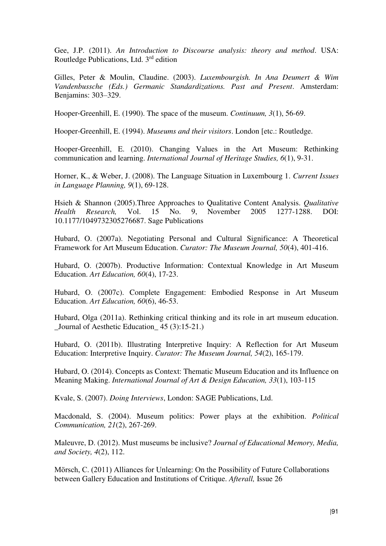Gee, J.P. (2011). *An Introduction to Discourse analysis: theory and method*. USA: Routledge Publications, Ltd. 3rd edition

Gilles, Peter & Moulin, Claudine. (2003). *Luxembourgish. In Ana Deumert & Wim Vandenbussche (Eds.) Germanic Standardizations. Past and Present*. Amsterdam: Benjamins: 303–329.

Hooper‐Greenhill, E. (1990). The space of the museum. *Continuum, 3*(1), 56-69.

Hooper-Greenhill, E. (1994). *Museums and their visitors*. London [etc.: Routledge.

Hooper-Greenhill, E. (2010). Changing Values in the Art Museum: Rethinking communication and learning. *International Journal of Heritage Studies, 6*(1), 9-31.

Horner, K., & Weber, J. (2008). The Language Situation in Luxembourg 1. *Current Issues in Language Planning, 9*(1), 69-128.

Hsieh & Shannon (2005).Three Approaches to Qualitative Content Analysis. *Qualitative Health Research,* Vol. 15 No. 9, November 2005 1277-1288. DOI: 10.1177/1049732305276687. Sage Publications

Hubard, O. (2007a). Negotiating Personal and Cultural Significance: A Theoretical Framework for Art Museum Education. *Curator: The Museum Journal, 50*(4), 401-416.

Hubard, O. (2007b). Productive Information: Contextual Knowledge in Art Museum Education. *Art Education, 60*(4), 17-23.

Hubard, O. (2007c). Complete Engagement: Embodied Response in Art Museum Education. *Art Education, 60*(6), 46-53.

Hubard, Olga (2011a). Rethinking critical thinking and its role in art museum education. Journal of Aesthetic Education 45 (3):15-21.)

Hubard, O. (2011b). Illustrating Interpretive Inquiry: A Reflection for Art Museum Education: Interpretive Inquiry. *Curator: The Museum Journal, 54*(2), 165-179.

Hubard, O. (2014). Concepts as Context: Thematic Museum Education and its Influence on Meaning Making. *International Journal of Art & Design Education, 33*(1), 103-115

Kvale, S. (2007). *Doing Interviews*, London: SAGE Publications, Ltd.

Macdonald, S. (2004). Museum politics: Power plays at the exhibition. *Political Communication, 21*(2), 267-269.

Maleuvre, D. (2012). Must museums be inclusive? *Journal of Educational Memory, Media, and Society, 4*(2), 112.

Mörsch, C. (2011) Alliances for Unlearning: On the Possibility of Future Collaborations between Gallery Education and Institutions of Critique. *Afterall,* Issue 26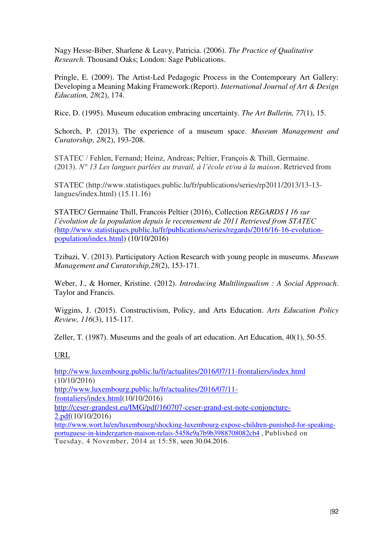Nagy Hesse-Biber, Sharlene & Leavy, Patricia. (2006). *The Practice of Qualitative Research*. Thousand Oaks; London: Sage Publications.

Pringle, E. (2009). The Artist-Led Pedagogic Process in the Contemporary Art Gallery: Developing a Meaning Making Framework.(Report). *International Journal of Art & Design Education, 28*(2), 174.

Rice, D. (1995). Museum education embracing uncertainty. *The Art Bulletin, 77*(1), 15.

Schorch, P. (2013). The experience of a museum space. *Museum Management and Curatorship, 28*(2), 193-208.

STATEC / Fehlen, Fernand; Heinz, Andreas; Peltier, François & Thill, Germaine. (2013). *N° 13 Les langues parlées au travail, à l'école et/ou à la maison*. Retrieved from

STATEC (http://www.statistiques.public.lu/fr/publications/series/rp2011/2013/13-13 langues/index.html) (15.11.16)

STATEC/ Germaine Thill, Francois Peltier (2016), Collection *REGARDS I 16 sur l'évolution de la population depuis le recensement de 2011 Retrieved from STATEC (*[http://www.statistiques.public.lu/fr/publications/series/regards/2016/16-16-evolution](http://www.statistiques.public.lu/fr/publications/series/regards/2016/16-16-evolution-population/index.html)[population/index.html\)](http://www.statistiques.public.lu/fr/publications/series/regards/2016/16-16-evolution-population/index.html) (10/10/2016)

Tzibazi, V. (2013). Participatory Action Research with young people in museums. *Museum Management and Curatorship,28*(2), 153-171.

Weber, J., & Horner, Kristine. (2012). *Introducing Multilingualism : A Social Approach*. Taylor and Francis.

Wiggins, J. (2015). Constructivism, Policy, and Arts Education. *Arts Education Policy Review, 116*(3), 115-117.

Zeller, T. (1987). Museums and the goals of art education. Art Education, 40(1), 50-55.

### URL

<http://www.luxembourg.public.lu/fr/actualites/2016/07/11-frontaliers/index.html> (10/10/2016) [http://www.luxembourg.public.lu/fr/actualites/2016/07/11](http://www.luxembourg.public.lu/fr/actualites/2016/07/11-frontaliers/index.html) [frontaliers/index.html\(](http://www.luxembourg.public.lu/fr/actualites/2016/07/11-frontaliers/index.html)10/10/2016) [http://ceser-grandest.eu/IMG/pdf/160707-ceser-grand-est-note-conjoncture-](http://ceser-grandest.eu/IMG/pdf/160707-ceser-grand-est-note-conjoncture-2.pdf)[2.pdf\(](http://ceser-grandest.eu/IMG/pdf/160707-ceser-grand-est-note-conjoncture-2.pdf)10/10/2016) [http://www.wort.lu/en/luxembourg/shocking-luxembourg-expose-children-punished-for-speaking](http://www.wort.lu/en/luxembourg/shocking-luxembourg-expose-children-punished-for-speaking-portuguese-in-kindergarten-maison-relais-5458e9a7b9b3988708082cb4)[portuguese-in-kindergarten-maison-relais-5458e9a7b9b3988708082cb4](http://www.wort.lu/en/luxembourg/shocking-luxembourg-expose-children-punished-for-speaking-portuguese-in-kindergarten-maison-relais-5458e9a7b9b3988708082cb4) , Published on Tuesday, 4 November, 2014 at 15:58, seen 30.04.2016.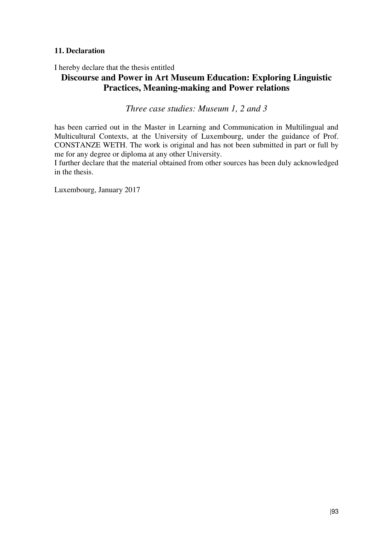### **11. Declaration**

I hereby declare that the thesis entitled

# **Discourse and Power in Art Museum Education: Exploring Linguistic Practices, Meaning-making and Power relations**

*Three case studies: Museum 1, 2 and 3*

has been carried out in the Master in Learning and Communication in Multilingual and Multicultural Contexts, at the University of Luxembourg, under the guidance of Prof. CONSTANZE WETH. The work is original and has not been submitted in part or full by me for any degree or diploma at any other University.

I further declare that the material obtained from other sources has been duly acknowledged in the thesis.

Luxembourg, January 2017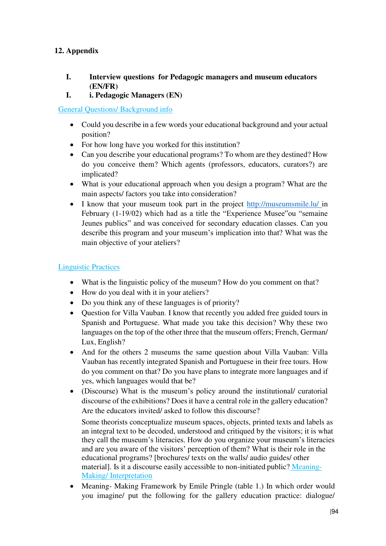# **12. Appendix**

## **I. Interview questions for Pedagogic managers and museum educators (EN/FR)**

**I. i. Pedagogic Managers (EN)** 

General Questions/ Background info

- Could you describe in a few words your educational background and your actual position?
- For how long have you worked for this institution?
- Can you describe your educational programs? To whom are they destined? How do you conceive them? Which agents (professors, educators, curators?) are implicated?
- What is your educational approach when you design a program? What are the main aspects/ factors you take into consideration?
- I know that your museum took part in the project [http://museumsmile.lu/ i](http://museumsmile.lu/)n February (1-19/02) which had as a title the "Experience Musee"ou "semaine Jeunes publics" and was conceived for secondary education classes. Can you describe this program and your museum's implication into that? What was the main objective of your ateliers?

# Linguistic Practices

- What is the linguistic policy of the museum? How do you comment on that?
- How do you deal with it in your ateliers?
- Do you think any of these languages is of priority?
- Question for Villa Vauban. I know that recently you added free guided tours in Spanish and Portuguese. What made you take this decision? Why these two languages on the top of the other three that the museum offers; French, German/ Lux, English?
- And for the others 2 museums the same question about Villa Vauban: Villa Vauban has recently integrated Spanish and Portuguese in their free tours. How do you comment on that? Do you have plans to integrate more languages and if yes, which languages would that be?
- (Discourse) What is the museum's policy around the institutional/ curatorial discourse of the exhibitions? Does it have a central role in the gallery education? Are the educators invited/ asked to follow this discourse?

Some theorists conceptualize museum spaces, objects, printed texts and labels as an integral text to be decoded, understood and critiqued by the visitors; it is what they call the museum's literacies. How do you organize your museum's literacies and are you aware of the visitors' perception of them? What is their role in the educational programs? [brochures/ texts on the walls/ audio guides/ other material]. Is it a discourse easily accessible to non-initiated public? Meaning-Making/ Interpretation

• Meaning- Making Framework by Emile Pringle (table 1.) In which order would you imagine/ put the following for the gallery education practice: dialogue/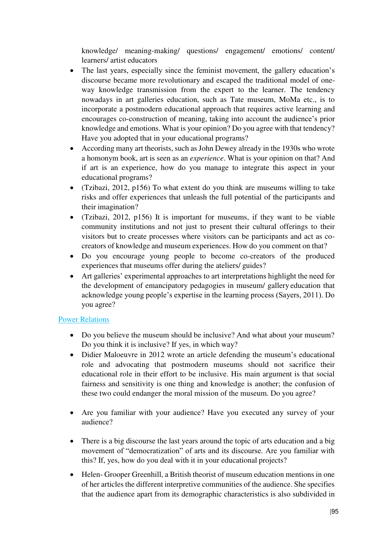knowledge/ meaning-making/ questions/ engagement/ emotions/ content/ learners/ artist educators

- The last years, especially since the feminist movement, the gallery education's discourse became more revolutionary and escaped the traditional model of oneway knowledge transmission from the expert to the learner. The tendency nowadays in art galleries education, such as Tate museum, MoMa etc., is to incorporate a postmodern educational approach that requires active learning and encourages co-construction of meaning, taking into account the audience's prior knowledge and emotions. What is your opinion? Do you agree with that tendency? Have you adopted that in your educational programs?
- According many art theorists, such as John Dewey already in the 1930s who wrote a homonym book, art is seen as an *experience*. What is your opinion on that? And if art is an experience, how do you manage to integrate this aspect in your educational programs?
- (Tzibazi, 2012, p156) To what extent do you think are museums willing to take risks and offer experiences that unleash the full potential of the participants and their imagination?
- (Tzibazi, 2012, p156) It is important for museums, if they want to be viable community institutions and not just to present their cultural offerings to their visitors but to create processes where visitors can be participants and act as cocreators of knowledge and museum experiences. How do you comment on that?
- Do you encourage young people to become co-creators of the produced experiences that museums offer during the ateliers/ guides?
- Art galleries' experimental approaches to art interpretations highlight the need for the development of emancipatory pedagogies in museum/ gallery education that acknowledge young people's expertise in the learning process (Sayers, 2011). Do you agree?

# Power Relations

- Do you believe the museum should be inclusive? And what about your museum? Do you think it is inclusive? If yes, in which way?
- Didier Maloeuvre in 2012 wrote an article defending the museum's educational role and advocating that postmodern museums should not sacrifice their educational role in their effort to be inclusive. His main argument is that social fairness and sensitivity is one thing and knowledge is another; the confusion of these two could endanger the moral mission of the museum. Do you agree?
- Are you familiar with your audience? Have you executed any survey of your audience?
- There is a big discourse the last years around the topic of arts education and a big movement of "democratization" of arts and its discourse. Are you familiar with this? If, yes, how do you deal with it in your educational projects?
- Helen- Grooper Greenhill, a British theorist of museum education mentions in one of her articles the different interpretive communities of the audience. She specifies that the audience apart from its demographic characteristics is also subdivided in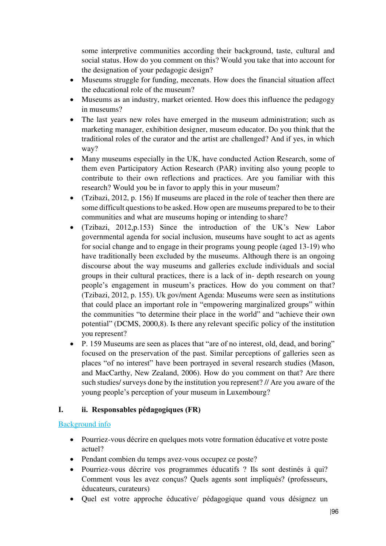some interpretive communities according their background, taste, cultural and social status. How do you comment on this? Would you take that into account for the designation of your pedagogic design?

- Museums struggle for funding, mecenats. How does the financial situation affect the educational role of the museum?
- Museums as an industry, market oriented. How does this influence the pedagogy in museums?
- The last years new roles have emerged in the museum administration; such as marketing manager, exhibition designer, museum educator. Do you think that the traditional roles of the curator and the artist are challenged? And if yes, in which way?
- Many museums especially in the UK, have conducted Action Research, some of them even Participatory Action Research (PAR) inviting also young people to contribute to their own reflections and practices. Are you familiar with this research? Would you be in favor to apply this in your museum?
- (Tzibazi, 2012, p. 156) If museums are placed in the role of teacher then there are some difficult questions to be asked. How open are museums prepared to be to their communities and what are museums hoping or intending to share?
- (Tzibazi, 2012,p.153) Since the introduction of the UK's New Labor governmental agenda for social inclusion, museums have sought to act as agents for social change and to engage in their programs young people (aged 13-19) who have traditionally been excluded by the museums. Although there is an ongoing discourse about the way museums and galleries exclude individuals and social groups in their cultural practices, there is a lack of in- depth research on young people's engagement in museum's practices. How do you comment on that? (Tzibazi, 2012, p. 155). Uk gov/ment Agenda: Museums were seen as institutions that could place an important role in "empowering marginalized groups" within the communities "to determine their place in the world" and "achieve their own potential" (DCMS, 2000,8). Is there any relevant specific policy of the institution you represent?
- P. 159 Museums are seen as places that "are of no interest, old, dead, and boring" focused on the preservation of the past. Similar perceptions of galleries seen as places "of no interest" have been portrayed in several research studies (Mason, and MacCarthy, New Zealand, 2006). How do you comment on that? Are there such studies/ surveys done by the institution you represent? // Are you aware of the young people's perception of your museum in Luxembourg?

# **I. ii. Responsables pédagogiques (FR)**

# Background info

- Pourriez-vous décrire en quelques mots votre formation éducative et votre poste actuel?
- Pendant combien du temps avez-vous occupez ce poste?
- Pourriez-vous décrire vos programmes éducatifs ? Ils sont destinés à qui? Comment vous les avez conçus? Quels agents sont impliqués? (professeurs, éducateurs, curateurs)
- Quel est votre approche éducative/ pédagogique quand vous désignez un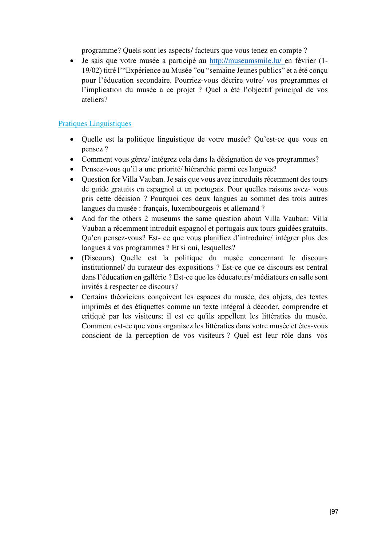programme? Quels sont les aspects/ facteurs que vous tenez en compte ?

 Je sais que votre musée a participé au <http://museumsmile.lu/>en février (1- 19/02) titré l'"Expérience au Musée "ou "semaine Jeunes publics" et a été conçu pour l'éducation secondaire. Pourriez-vous décrire votre/ vos programmes et l'implication du musée a ce projet ? Quel a été l'objectif principal de vos ateliers?

## Pratiques Linguistiques

- Quelle est la politique linguistique de votre musée? Qu'est-ce que vous en pensez ?
- Comment vous gérez/ intégrez cela dans la désignation de vos programmes?
- Pensez-vous qu'il a une priorité/ hiérarchie parmi ces langues?
- Question for Villa Vauban. Je sais que vous avez introduits récemment des tours de guide gratuits en espagnol et en portugais. Pour quelles raisons avez- vous pris cette décision ? Pourquoi ces deux langues au sommet des trois autres langues du musée : français, luxembourgeois et allemand ?
- And for the others 2 museums the same question about Villa Vauban: Villa Vauban a récemment introduit espagnol et portugais aux tours guidées gratuits. Qu'en pensez-vous? Est- ce que vous planifiez d'introduire/ intégrer plus des langues à vos programmes ? Et si oui, lesquelles?
- (Discours) Quelle est la politique du musée concernant le discours institutionnel/ du curateur des expositions ? Est-ce que ce discours est central dans l'éducation en gallérie ? Est-ce que les éducateurs/ médiateurs en salle sont invités à respecter ce discours?
- Certains théoriciens conçoivent les espaces du musée, des objets, des textes imprimés et des étiquettes comme un texte intégral à décoder, comprendre et critiqué par les visiteurs; il est ce qu'ils appellent les littératies du musée. Comment est-ce que vous organisez les littératies dans votre musée et êtes-vous conscient de la perception de vos visiteurs ? Quel est leur rôle dans vos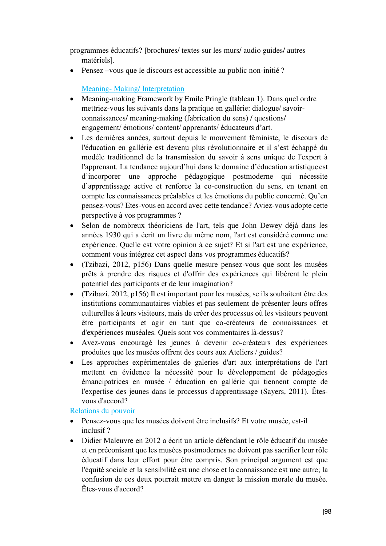programmes éducatifs? [brochures/ textes sur les murs/ audio guides/ autres matériels].

Pensez –vous que le discours est accessible au public non-initié ?

# Meaning- Making/ Interpretation

- Meaning-making Framework by Emile Pringle (tableau 1). Dans quel ordre mettriez-vous les suivants dans la pratique en gallérie: dialogue/ savoirconnaissances/ meaning-making (fabrication du sens) / questions/ engagement/ émotions/ content/ apprenants/ éducateurs d'art.
- Les dernières années, surtout depuis le mouvement féministe, le discours de l'éducation en gallérie est devenu plus révolutionnaire et il s'est échappé du modèle traditionnel de la transmission du savoir à sens unique de l'expert à l'apprenant. La tendance aujourd'hui dans le domaine d'éducation artistique est d'incorporer une approche pédagogique postmoderne qui nécessite d'apprentissage active et renforce la co-construction du sens, en tenant en compte les connaissances préalables et les émotions du public concerné. Qu'en pensez-vous? Etes-vous en accord avec cette tendance? Aviez-vous adopte cette perspective à vos programmes ?
- Selon de nombreux théoriciens de l'art, tels que John Dewey déjà dans les années 1930 qui a écrit un livre du même nom, l'art est considéré comme une expérience. Quelle est votre opinion à ce sujet? Et si l'art est une expérience, comment vous intégrez cet aspect dans vos programmes éducatifs?
- (Tzibazi, 2012, p156) Dans quelle mesure pensez-vous que sont les musées prêts à prendre des risques et d'offrir des expériences qui libèrent le plein potentiel des participants et de leur imagination?
- (Tzibazi, 2012, p156) Il est important pour les musées, se ils souhaitent être des institutions communautaires viables et pas seulement de présenter leurs offres culturelles à leurs visiteurs, mais de créer des processus où les visiteurs peuvent être participants et agir en tant que co-créateurs de connaissances et d'expériences muséales. Quels sont vos commentaires là-dessus?
- Avez-vous encouragé les jeunes à devenir co-créateurs des expériences produites que les musées offrent des cours aux Ateliers / guides?
- Les approches expérimentales de galeries d'art aux interprétations de l'art mettent en évidence la nécessité pour le développement de pédagogies émancipatrices en musée / éducation en gallérie qui tiennent compte de l'expertise des jeunes dans le processus d'apprentissage (Sayers, 2011). Êtesvous d'accord?

## Relations du pouvoir

- Pensez-vous que les musées doivent être inclusifs? Et votre musée, est-il inclusif ?
- Didier Maleuvre en 2012 a écrit un article défendant le rôle éducatif du musée et en préconisant que les musées postmodernes ne doivent pas sacrifier leur rôle éducatif dans leur effort pour être compris. Son principal argument est que l'équité sociale et la sensibilité est une chose et la connaissance est une autre; la confusion de ces deux pourrait mettre en danger la mission morale du musée. Êtes-vous d'accord?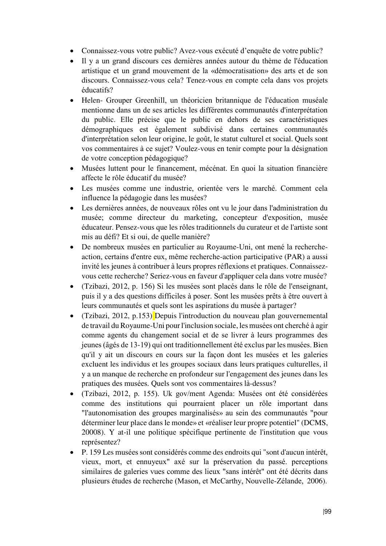- Connaissez-vous votre public? Avez-vous exécuté d'enquête de votre public?
- Il y a un grand discours ces dernières années autour du thème de l'éducation artistique et un grand mouvement de la «démocratisation» des arts et de son discours. Connaissez-vous cela? Tenez-vous en compte cela dans vos projets éducatifs?
- Helen- Grouper Greenhill, un théoricien britannique de l'éducation muséale mentionne dans un de ses articles les différentes communautés d'interprétation du public. Elle précise que le public en dehors de ses caractéristiques démographiques est également subdivisé dans certaines communautés d'interprétation selon leur origine, le goût, le statut culturel et social. Quels sont vos commentaires à ce sujet? Voulez-vous en tenir compte pour la désignation de votre conception pédagogique?
- Musées luttent pour le financement, mécénat. En quoi la situation financière affecte le rôle éducatif du musée?
- Les musées comme une industrie, orientée vers le marché. Comment cela influence la pédagogie dans les musées?
- Les dernières années, de nouveaux rôles ont vu le jour dans l'administration du musée; comme directeur du marketing, concepteur d'exposition, musée éducateur. Pensez-vous que les rôles traditionnels du curateur et de l'artiste sont mis au défi? Et si oui, de quelle manière?
- De nombreux musées en particulier au Royaume-Uni, ont mené la rechercheaction, certains d'entre eux, même recherche-action participative (PAR) a aussi invité les jeunes à contribuer à leurs propres réflexions et pratiques. Connaissezvous cette recherche? Seriez-vous en faveur d'appliquer cela dans votre musée?
- (Tzibazi, 2012, p. 156) Si les musées sont placés dans le rôle de l'enseignant, puis il y a des questions difficiles à poser. Sont les musées prêts à être ouvert à leurs communautés et quels sont les aspirations du musée à partager?
- (Tzibazi, 2012, p.153) Depuis l'introduction du nouveau plan gouvernemental de travail du Royaume-Uni pour l'inclusion sociale, les musées ont cherché à agir comme agents du changement social et de se livrer à leurs programmes des jeunes (âgés de 13-19) qui ont traditionnellement été exclus par les musées. Bien qu'il y ait un discours en cours sur la façon dont les musées et les galeries excluent les individus et les groupes sociaux dans leurs pratiques culturelles, il y a un manque de recherche en profondeur sur l'engagement des jeunes dans les pratiques des musées. Quels sont vos commentaires là-dessus?
- (Tzibazi, 2012, p. 155). Uk gov/ment Agenda: Musées ont été considérées comme des institutions qui pourraient placer un rôle important dans "l'autonomisation des groupes marginalisés» au sein des communautés "pour déterminer leur place dans le monde» et «réaliser leur propre potentiel" (DCMS, 20008). Y at-il une politique spécifique pertinente de l'institution que vous représentez?
- P. 159 Les musées sont considérés comme des endroits qui "sont d'aucun intérêt, vieux, mort, et ennuyeux" axé sur la préservation du passé. perceptions similaires de galeries vues comme des lieux "sans intérêt" ont été décrits dans plusieurs études de recherche (Mason, et McCarthy, Nouvelle-Zélande, 2006).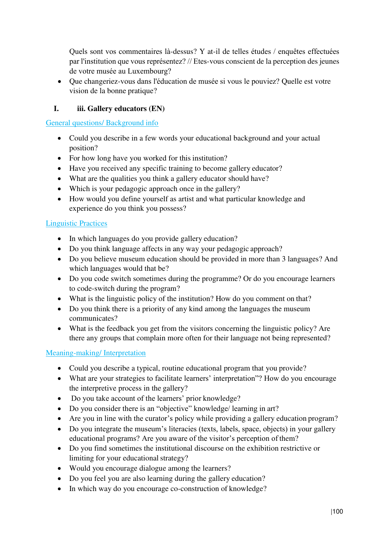Quels sont vos commentaires là-dessus? Y at-il de telles études / enquêtes effectuées par l'institution que vous représentez? // Etes-vous conscient de la perception des jeunes de votre musée au Luxembourg?

 Que changeriez-vous dans l'éducation de musée si vous le pouviez? Quelle est votre vision de la bonne pratique?

# **I. iii. Gallery educators (EN)**

General questions/ Background info

- Could you describe in a few words your educational background and your actual position?
- For how long have you worked for this institution?
- Have you received any specific training to become gallery educator?
- What are the qualities you think a gallery educator should have?
- Which is your pedagogic approach once in the gallery?
- How would you define yourself as artist and what particular knowledge and experience do you think you possess?

### Linguistic Practices

- In which languages do you provide gallery education?
- Do you think language affects in any way your pedagogic approach?
- Do you believe museum education should be provided in more than 3 languages? And which languages would that be?
- Do you code switch sometimes during the programme? Or do you encourage learners to code-switch during the program?
- What is the linguistic policy of the institution? How do you comment on that?
- Do you think there is a priority of any kind among the languages the museum communicates?
- What is the feedback you get from the visitors concerning the linguistic policy? Are there any groups that complain more often for their language not being represented?

### Meaning-making/ Interpretation

- Could you describe a typical, routine educational program that you provide?
- What are your strategies to facilitate learners' interpretation"? How do you encourage the interpretive process in the gallery?
- Do you take account of the learners' prior knowledge?
- Do you consider there is an "objective" knowledge/ learning in art?
- Are you in line with the curator's policy while providing a gallery education program?
- Do you integrate the museum's literacies (texts, labels, space, objects) in your gallery educational programs? Are you aware of the visitor's perception of them?
- Do you find sometimes the institutional discourse on the exhibition restrictive or limiting for your educational strategy?
- Would you encourage dialogue among the learners?
- Do you feel you are also learning during the gallery education?
- In which way do you encourage co-construction of knowledge?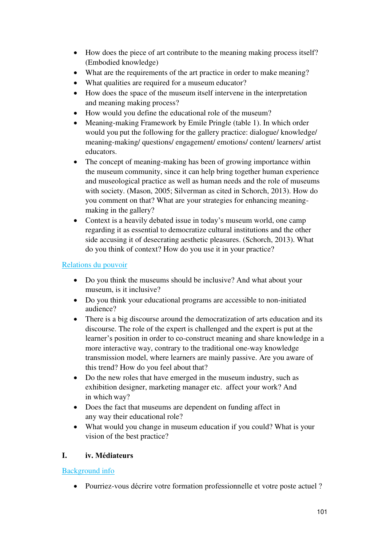- How does the piece of art contribute to the meaning making process itself? (Embodied knowledge)
- What are the requirements of the art practice in order to make meaning?
- What qualities are required for a museum educator?
- How does the space of the museum itself intervene in the interpretation and meaning making process?
- How would you define the educational role of the museum?
- Meaning-making Framework by Emile Pringle (table 1). In which order would you put the following for the gallery practice: dialogue/ knowledge/ meaning-making/ questions/ engagement/ emotions/ content/ learners/ artist educators.
- The concept of meaning-making has been of growing importance within the museum community, since it can help bring together human experience and museological practice as well as human needs and the role of museums with society. (Mason, 2005; Silverman as cited in Schorch, 2013). How do you comment on that? What are your strategies for enhancing meaningmaking in the gallery?
- Context is a heavily debated issue in today's museum world, one camp regarding it as essential to democratize cultural institutions and the other side accusing it of desecrating aesthetic pleasures. (Schorch, 2013). What do you think of context? How do you use it in your practice?

### Relations du pouvoir

- Do you think the museums should be inclusive? And what about your museum, is it inclusive?
- Do you think your educational programs are accessible to non-initiated audience?
- There is a big discourse around the democratization of arts education and its discourse. The role of the expert is challenged and the expert is put at the learner's position in order to co-construct meaning and share knowledge in a more interactive way, contrary to the traditional one-way knowledge transmission model, where learners are mainly passive. Are you aware of this trend? How do you feel about that?
- Do the new roles that have emerged in the museum industry, such as exhibition designer, marketing manager etc. affect your work? And in which way?
- Does the fact that museums are dependent on funding affect in any way their educational role?
- What would you change in museum education if you could? What is your vision of the best practice?

### **I. iv. Médiateurs**

### Background info

Pourriez-vous décrire votre formation professionnelle et votre poste actuel ?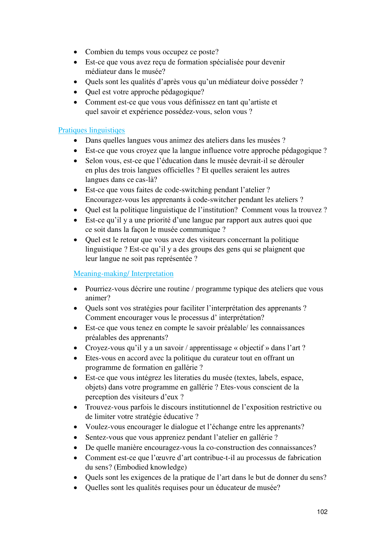- Combien du temps vous occupez ce poste?
- Est-ce que vous avez reçu de formation spécialisée pour devenir médiateur dans le musée?
- Quels sont les qualités d'après vous qu'un médiateur doive posséder ?
- Quel est votre approche pédagogique?
- Comment est-ce que vous vous définissez en tant qu'artiste et quel savoir et expérience possédez-vous, selon vous ?

## Pratiques linguistiqes

- Dans quelles langues vous animez des ateliers dans les musées ?
- Est-ce que vous croyez que la langue influence votre approche pédagogique ?
- Selon vous, est-ce que l'éducation dans le musée devrait-il se dérouler en plus des trois langues officielles ? Et quelles seraient les autres langues dans ce cas-là?
- Est-ce que vous faites de code-switching pendant l'atelier ? Encouragez-vous les apprenants à code-switcher pendant les ateliers ?
- Quel est la politique linguistique de l'institution? Comment vous la trouvez ?
- Est-ce qu'il y a une priorité d'une langue par rapport aux autres quoi que ce soit dans la façon le musée communique ?
- Quel est le retour que vous avez des visiteurs concernant la politique linguistique ? Est-ce qu'il y a des groups des gens qui se plaignent que leur langue ne soit pas représentée ?

### Meaning-making/ Interpretation

- Pourriez-vous décrire une routine / programme typique des ateliers que vous animer?
- Quels sont vos stratégies pour faciliter l'interprétation des apprenants ? Comment encourager vous le processus d' interprétation?
- Est-ce que vous tenez en compte le savoir préalable/ les connaissances préalables des apprenants?
- Croyez-vous qu'il y a un savoir / apprentissage « objectif » dans l'art ?
- Etes-vous en accord avec la politique du curateur tout en offrant un programme de formation en gallérie ?
- Est-ce que vous intégrez les literaties du musée (textes, labels, espace, objets) dans votre programme en gallérie ? Etes-vous conscient de la perception des visiteurs d'eux ?
- Trouvez-vous parfois le discours institutionnel de l'exposition restrictive ou de limiter votre stratégie éducative ?
- Voulez-vous encourager le dialogue et l'échange entre les apprenants?
- Sentez-vous que vous appreniez pendant l'atelier en gallérie ?
- De quelle manière encouragez-vous la co-construction des connaissances?
- Comment est-ce que l'œuvre d'art contribue-t-il au processus de fabrication du sens? (Embodied knowledge)
- Quels sont les exigences de la pratique de l'art dans le but de donner du sens?
- Ouelles sont les qualités requises pour un éducateur de musée?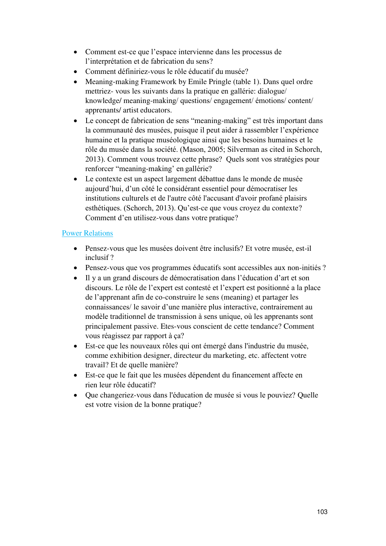- Comment est-ce que l'espace intervienne dans les processus de l'interprétation et de fabrication du sens?
- Comment définiriez-vous le rôle éducatif du musée?
- Meaning-making Framework by Emile Pringle (table 1). Dans quel ordre mettriez- vous les suivants dans la pratique en gallérie: dialogue/ knowledge/ meaning-making/ questions/ engagement/ émotions/ content/ apprenants/ artist educators.
- Le concept de fabrication de sens "meaning-making" est très important dans la communauté des musées, puisque il peut aider à rassembler l'expérience humaine et la pratique muséologique ainsi que les besoins humaines et le rôle du musée dans la société. (Mason, 2005; Silverman as cited in Schorch, 2013). Comment vous trouvez cette phrase? Quels sont vos stratégies pour renforcer "meaning-making' en gallérie?
- Le contexte est un aspect largement débattue dans le monde de musée aujourd'hui, d'un côté le considérant essentiel pour démocratiser les institutions culturels et de l'autre côté l'accusant d'avoir profané plaisirs esthétiques. (Schorch, 2013). Qu'est-ce que vous croyez du contexte? Comment d'en utilisez-vous dans votre pratique?

## Power Relations

- Pensez-vous que les musées doivent être inclusifs? Et votre musée, est-il inclusif ?
- Pensez-vous que vos programmes éducatifs sont accessibles aux non-initiés ?
- Il y a un grand discours de démocratisation dans l'éducation d'art et son discours. Le rôle de l'expert est contesté et l'expert est positionné a la place de l'apprenant afin de co-construire le sens (meaning) et partager les connaissances/ le savoir d'une manière plus interactive, contrairement au modèle traditionnel de transmission à sens unique, où les apprenants sont principalement passive. Etes-vous conscient de cette tendance? Comment vous réagissez par rapport à ça?
- Est-ce que les nouveaux rôles qui ont émergé dans l'industrie du musée, comme exhibition designer, directeur du marketing, etc. affectent votre travail? Et de quelle manière?
- Est-ce que le fait que les musées dépendent du financement affecte en rien leur rôle éducatif?
- Que changeriez-vous dans l'éducation de musée si vous le pouviez? Quelle est votre vision de la bonne pratique?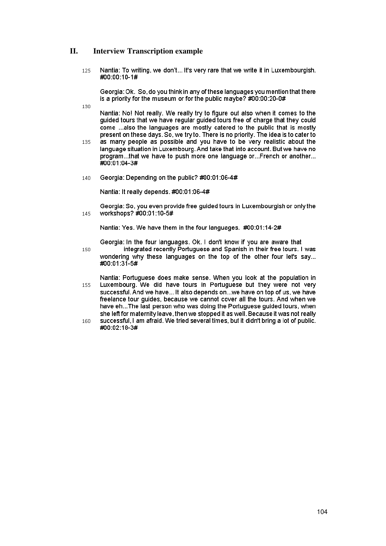#### II. **Interview Transcription example**

130

Nantia: To writing, we don't... It's very rare that we write it in Luxembourgish. 125 #00:00:10-1#

Georgia: Ok. So, do you think in any of these languages you mention that there is a priority for the museum or for the public maybe? #00:00:20-0#

Nantia: No! Not really. We really try to figure out also when it comes to the guided tours that we have regular guided tours free of charge that they could come ... also the languages are mostly catered to the public that is mostly present on these days. So, we try to. There is no priority. The idea is to cater to

- as many people as possible and you have to be very realistic about the 135 language situation in Luxembourg. And take that into account. But we have no program...that we have to push more one language or...French or another... #00:01:04-3#
- 140 Georgia: Depending on the public? #00:01:06-4#

Nantia: It really depends, #00:01:06-4#

Georgia: So, you even provide free guided tours in Luxembourgish or only the workshops? #00:01:10-5# 145

Nantia: Yes. We have them in the four languages. #00:01:14-2#

Georgia: In the four languages. Ok. I don't know if you are aware that

integrated recently Portuguese and Spanish in their free tours. I was 150 wondering why these languages on the top of the other four let's say... #00:01:31-5#

Nantia: Portuguese does make sense. When you look at the population in Luxembourg. We did have tours in Portuguese but they were not very 155 successful. And we have... It also depends on...we have on top of us, we have freelance tour guides, because we cannot cover all the tours. And when we have eh... The last person who was doing the Portuguese guided tours, when she left for maternity leave, then we stopped it as well. Because it was not really

successful, I am afraid. We tried several times, but it didn't bring a lot of public. 160 #00:02:18-3#